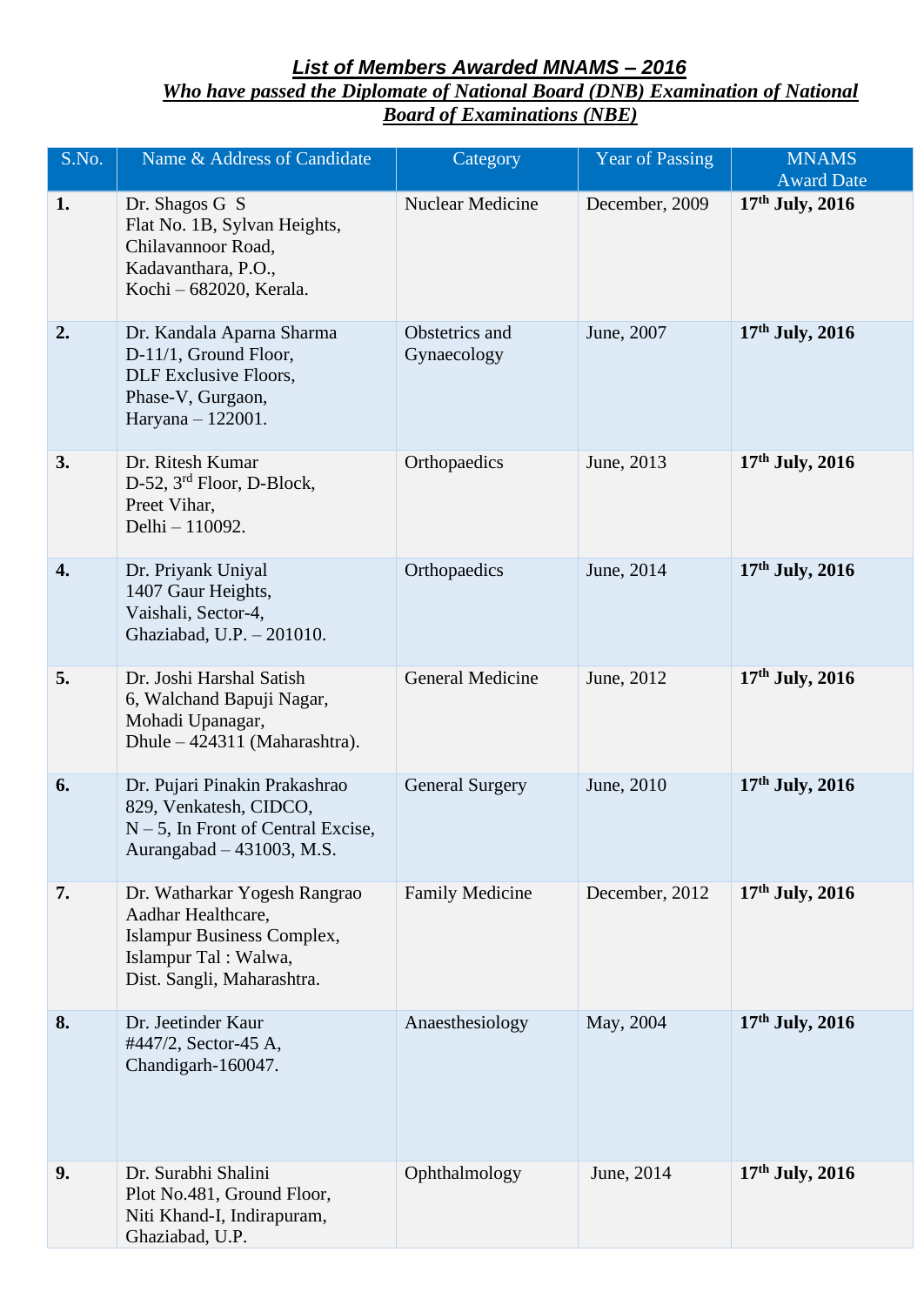## *List of Members Awarded MNAMS – 2016*

*Who have passed the Diplomate of National Board (DNB) Examination of National Board of Examinations (NBE)*

| S.No. | Name & Address of Candidate                                                                                                            | Category                      | Year of Passing | <b>MNAMS</b><br><b>Award Date</b> |
|-------|----------------------------------------------------------------------------------------------------------------------------------------|-------------------------------|-----------------|-----------------------------------|
| 1.    | Dr. Shagos G S<br>Flat No. 1B, Sylvan Heights,<br>Chilavannoor Road,<br>Kadavanthara, P.O.,<br>Kochi - 682020, Kerala.                 | Nuclear Medicine              | December, 2009  | 17th July, 2016                   |
| 2.    | Dr. Kandala Aparna Sharma<br>D-11/1, Ground Floor,<br>DLF Exclusive Floors,<br>Phase-V, Gurgaon,<br>Haryana - 122001.                  | Obstetrics and<br>Gynaecology | June, 2007      | $17th$ July, 2016                 |
| 3.    | Dr. Ritesh Kumar<br>D-52, 3 <sup>rd</sup> Floor, D-Block,<br>Preet Vihar,<br>Delhi - 110092.                                           | Orthopaedics                  | June, 2013      | $17th$ July, 2016                 |
| 4.    | Dr. Priyank Uniyal<br>1407 Gaur Heights,<br>Vaishali, Sector-4,<br>Ghaziabad, U.P. - 201010.                                           | Orthopaedics                  | June, 2014      | $17th$ July, 2016                 |
| 5.    | Dr. Joshi Harshal Satish<br>6, Walchand Bapuji Nagar,<br>Mohadi Upanagar,<br>Dhule – 424311 (Maharashtra).                             | <b>General Medicine</b>       | June, 2012      | $17th$ July, 2016                 |
| 6.    | Dr. Pujari Pinakin Prakashrao<br>829, Venkatesh, CIDCO,<br>$N-5$ , In Front of Central Excise,<br>Aurangabad – 431003, M.S.            | <b>General Surgery</b>        | June, 2010      | $17th$ July, 2016                 |
| 7.    | Dr. Watharkar Yogesh Rangrao<br>Aadhar Healthcare,<br>Islampur Business Complex,<br>Islampur Tal: Walwa,<br>Dist. Sangli, Maharashtra. | <b>Family Medicine</b>        | December, 2012  | $17th$ July, 2016                 |
| 8.    | Dr. Jeetinder Kaur<br>#447/2, Sector-45 A,<br>Chandigarh-160047.                                                                       | Anaesthesiology               | May, 2004       | $17th$ July, 2016                 |
| 9.    | Dr. Surabhi Shalini<br>Plot No.481, Ground Floor,<br>Niti Khand-I, Indirapuram,<br>Ghaziabad, U.P.                                     | Ophthalmology                 | June, 2014      | $17th$ July, 2016                 |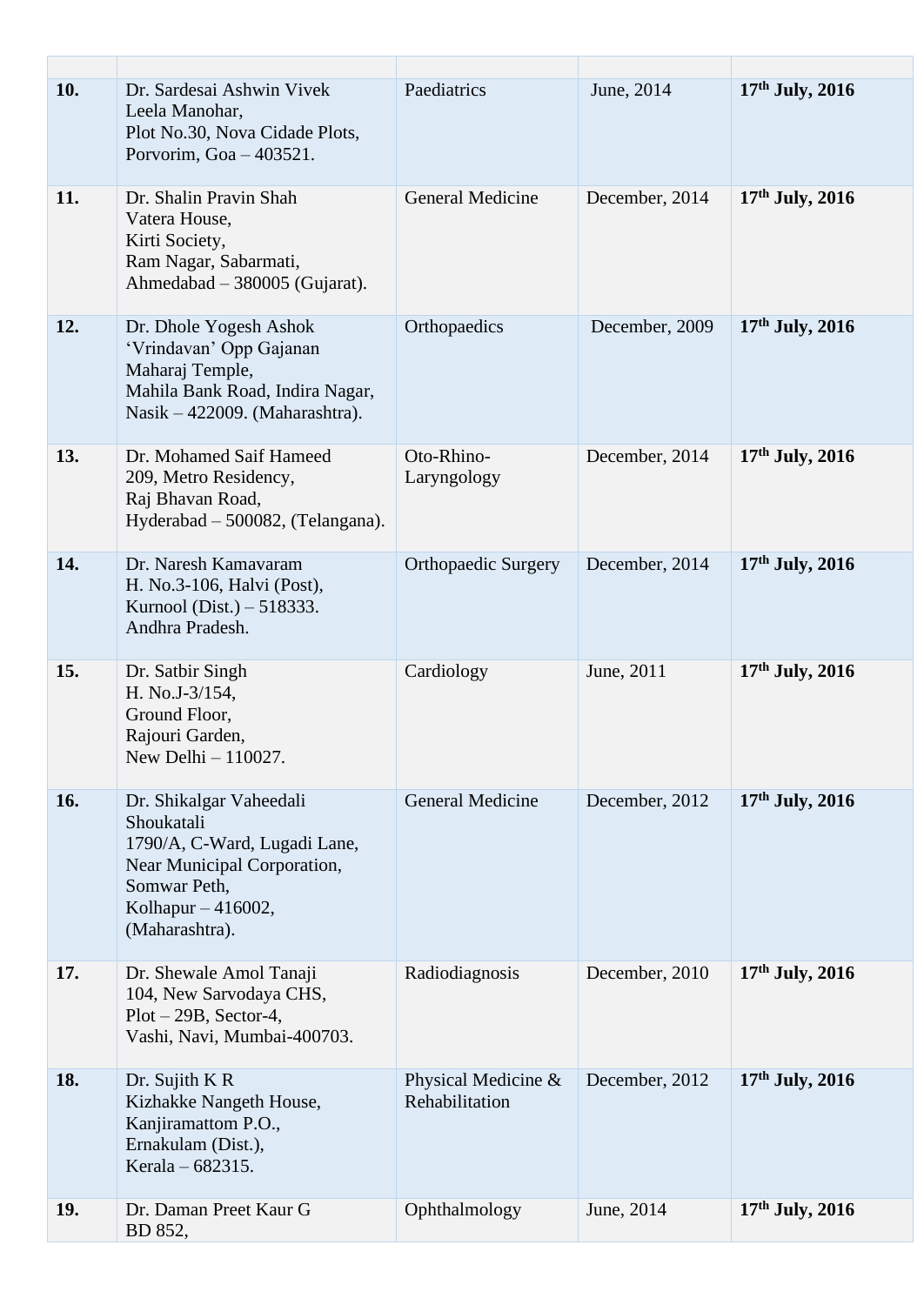| 10. | Dr. Sardesai Ashwin Vivek<br>Leela Manohar,<br>Plot No.30, Nova Cidade Plots,<br>Porvorim, Goa - 403521.                                                     | Paediatrics                           | June, 2014     | 17th July, 2016   |
|-----|--------------------------------------------------------------------------------------------------------------------------------------------------------------|---------------------------------------|----------------|-------------------|
| 11. | Dr. Shalin Pravin Shah<br>Vatera House,<br>Kirti Society,<br>Ram Nagar, Sabarmati,<br>Ahmedabad - 380005 (Gujarat).                                          | <b>General Medicine</b>               | December, 2014 | $17th$ July, 2016 |
| 12. | Dr. Dhole Yogesh Ashok<br>'Vrindavan' Opp Gajanan<br>Maharaj Temple,<br>Mahila Bank Road, Indira Nagar,<br>Nasik – 422009. (Maharashtra).                    | Orthopaedics                          | December, 2009 | $17th$ July, 2016 |
| 13. | Dr. Mohamed Saif Hameed<br>209, Metro Residency,<br>Raj Bhavan Road,<br>Hyderabad - 500082, (Telangana).                                                     | Oto-Rhino-<br>Laryngology             | December, 2014 | $17th$ July, 2016 |
| 14. | Dr. Naresh Kamavaram<br>H. No.3-106, Halvi (Post),<br>Kurnool (Dist.) – 518333.<br>Andhra Pradesh.                                                           | <b>Orthopaedic Surgery</b>            | December, 2014 | $17th$ July, 2016 |
| 15. | Dr. Satbir Singh<br>H. No.J-3/154,<br>Ground Floor,<br>Rajouri Garden,<br>New Delhi - 110027.                                                                | Cardiology                            | June, 2011     | $17th$ July, 2016 |
| 16. | Dr. Shikalgar Vaheedali<br>Shoukatali<br>1790/A, C-Ward, Lugadi Lane,<br>Near Municipal Corporation,<br>Somwar Peth,<br>Kolhapur - 416002,<br>(Maharashtra). | <b>General Medicine</b>               | December, 2012 | $17th$ July, 2016 |
| 17. | Dr. Shewale Amol Tanaji<br>104, New Sarvodaya CHS,<br>$Plot - 29B$ , Sector-4,<br>Vashi, Navi, Mumbai-400703.                                                | Radiodiagnosis                        | December, 2010 | $17th$ July, 2016 |
| 18. | Dr. Sujith K R<br>Kizhakke Nangeth House,<br>Kanjiramattom P.O.,<br>Ernakulam (Dist.),<br>Kerala – 682315.                                                   | Physical Medicine &<br>Rehabilitation | December, 2012 | $17th$ July, 2016 |
| 19. | Dr. Daman Preet Kaur G<br>BD 852,                                                                                                                            | Ophthalmology                         | June, 2014     | $17th$ July, 2016 |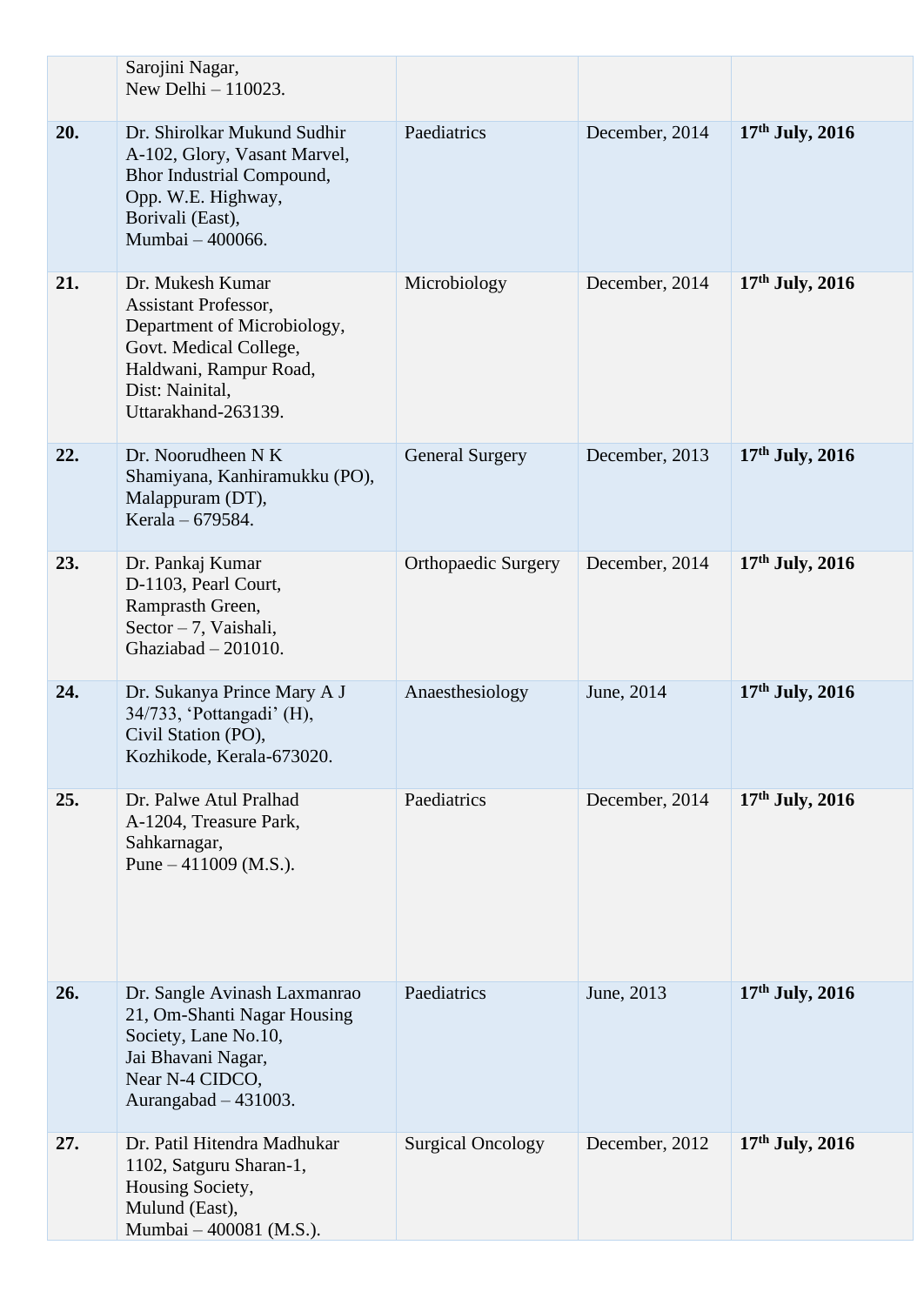|     | Sarojini Nagar,<br>New Delhi $-110023$ .                                                                                                                                     |                            |                |                   |
|-----|------------------------------------------------------------------------------------------------------------------------------------------------------------------------------|----------------------------|----------------|-------------------|
| 20. | Dr. Shirolkar Mukund Sudhir<br>A-102, Glory, Vasant Marvel,<br>Bhor Industrial Compound,<br>Opp. W.E. Highway,<br>Borivali (East),<br>Mumbai - 400066.                       | Paediatrics                | December, 2014 | $17th$ July, 2016 |
| 21. | Dr. Mukesh Kumar<br><b>Assistant Professor,</b><br>Department of Microbiology,<br>Govt. Medical College,<br>Haldwani, Rampur Road,<br>Dist: Nainital,<br>Uttarakhand-263139. | Microbiology               | December, 2014 | $17th$ July, 2016 |
| 22. | Dr. Noorudheen N K<br>Shamiyana, Kanhiramukku (PO),<br>Malappuram (DT),<br>Kerala - 679584.                                                                                  | <b>General Surgery</b>     | December, 2013 | $17th$ July, 2016 |
| 23. | Dr. Pankaj Kumar<br>D-1103, Pearl Court,<br>Ramprasth Green,<br>Sector $-7$ , Vaishali,<br>Ghaziabad $-201010$ .                                                             | <b>Orthopaedic Surgery</b> | December, 2014 | $17th$ July, 2016 |
| 24. | Dr. Sukanya Prince Mary A J<br>34/733, 'Pottangadi' (H),<br>Civil Station (PO),<br>Kozhikode, Kerala-673020.                                                                 | Anaesthesiology            | June, 2014     | $17th$ July, 2016 |
| 25. | Dr. Palwe Atul Pralhad<br>A-1204, Treasure Park,<br>Sahkarnagar,<br>Pune $-411009$ (M.S.).                                                                                   | Paediatrics                | December, 2014 | $17th$ July, 2016 |
| 26. | Dr. Sangle Avinash Laxmanrao<br>21, Om-Shanti Nagar Housing<br>Society, Lane No.10,<br>Jai Bhavani Nagar,<br>Near N-4 CIDCO,<br>Aurangabad $-431003$ .                       | Paediatrics                | June, 2013     | $17th$ July, 2016 |
| 27. | Dr. Patil Hitendra Madhukar<br>1102, Satguru Sharan-1,<br>Housing Society,<br>Mulund (East),<br>Mumbai - 400081 (M.S.).                                                      | <b>Surgical Oncology</b>   | December, 2012 | $17th$ July, 2016 |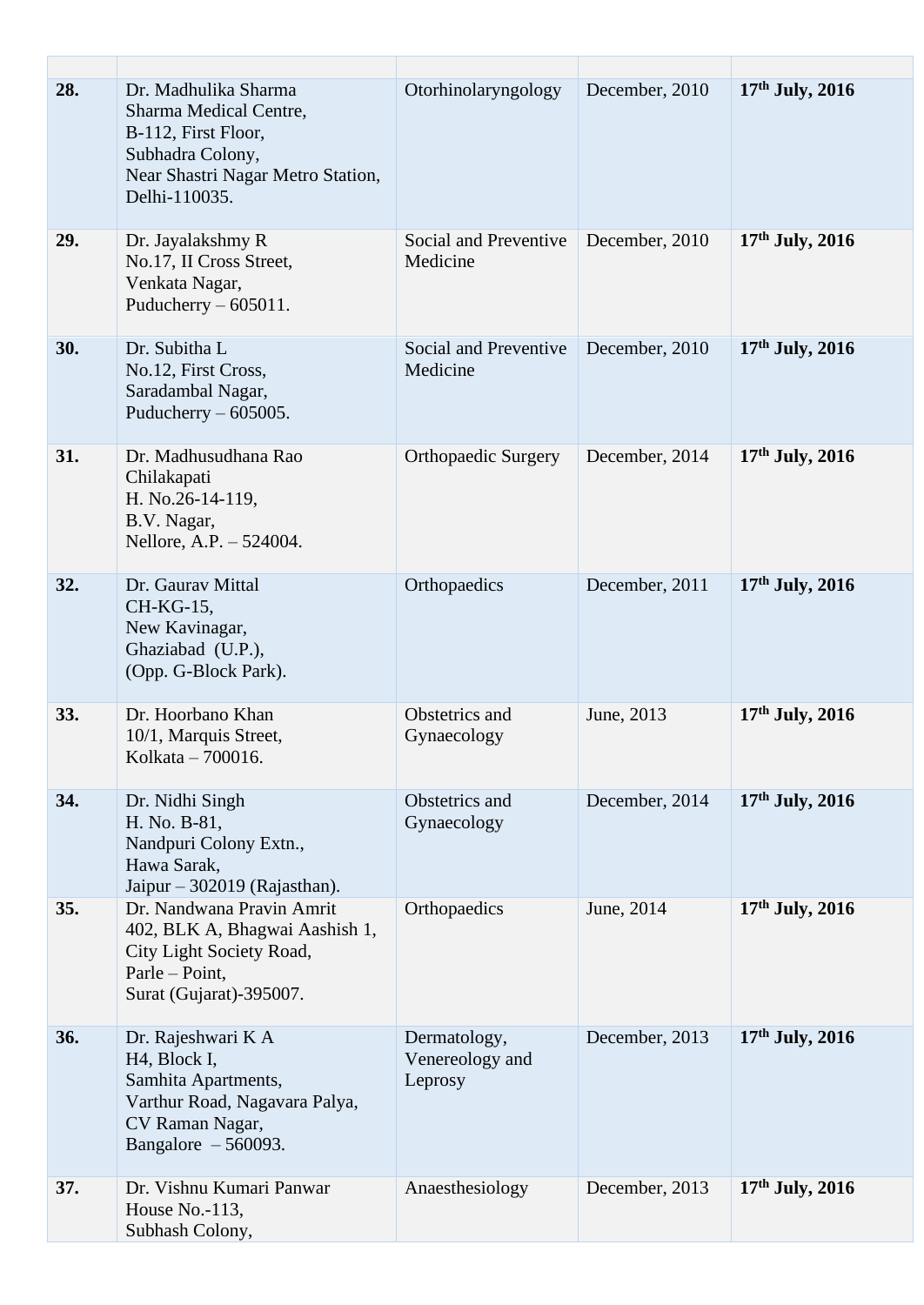| 28. | Dr. Madhulika Sharma<br>Sharma Medical Centre,<br>B-112, First Floor,<br>Subhadra Colony,<br>Near Shastri Nagar Metro Station,<br>Delhi-110035.     | Otorhinolaryngology                        | December, 2010 | $17th$ July, 2016 |
|-----|-----------------------------------------------------------------------------------------------------------------------------------------------------|--------------------------------------------|----------------|-------------------|
| 29. | Dr. Jayalakshmy R<br>No.17, II Cross Street,<br>Venkata Nagar,<br>Puducherry $-605011$ .                                                            | Social and Preventive<br>Medicine          | December, 2010 | $17th$ July, 2016 |
| 30. | Dr. Subitha L<br>No.12, First Cross,<br>Saradambal Nagar,<br>Puducherry $-605005$ .                                                                 | Social and Preventive<br>Medicine          | December, 2010 | $17th$ July, 2016 |
| 31. | Dr. Madhusudhana Rao<br>Chilakapati<br>H. No.26-14-119,<br>B.V. Nagar,<br>Nellore, A.P. - 524004.                                                   | Orthopaedic Surgery                        | December, 2014 | $17th$ July, 2016 |
| 32. | Dr. Gaurav Mittal<br>CH-KG-15,<br>New Kavinagar,<br>Ghaziabad (U.P.),<br>(Opp. G-Block Park).                                                       | Orthopaedics                               | December, 2011 | $17th$ July, 2016 |
| 33. | Dr. Hoorbano Khan<br>10/1, Marquis Street,<br>Kolkata - 700016.                                                                                     | Obstetrics and<br>Gynaecology              | June, 2013     | $17th$ July, 2016 |
| 34. | Dr. Nidhi Singh<br>H. No. B-81,<br>Nandpuri Colony Extn.,<br>Hawa Sarak,<br>Jaipur - 302019 (Rajasthan).                                            | Obstetrics and<br>Gynaecology              | December, 2014 | $17th$ July, 2016 |
| 35. | Dr. Nandwana Pravin Amrit<br>402, BLK A, Bhagwai Aashish 1,<br>City Light Society Road,<br>Parle – Point,<br>Surat (Gujarat)-395007.                | Orthopaedics                               | June, 2014     | $17th$ July, 2016 |
| 36. | Dr. Rajeshwari K A<br>H <sub>4</sub> , Block I,<br>Samhita Apartments,<br>Varthur Road, Nagavara Palya,<br>CV Raman Nagar,<br>Bangalore $-560093$ . | Dermatology,<br>Venereology and<br>Leprosy | December, 2013 | $17th$ July, 2016 |
| 37. | Dr. Vishnu Kumari Panwar<br>House $No.-113$ ,<br>Subhash Colony,                                                                                    | Anaesthesiology                            | December, 2013 | $17th$ July, 2016 |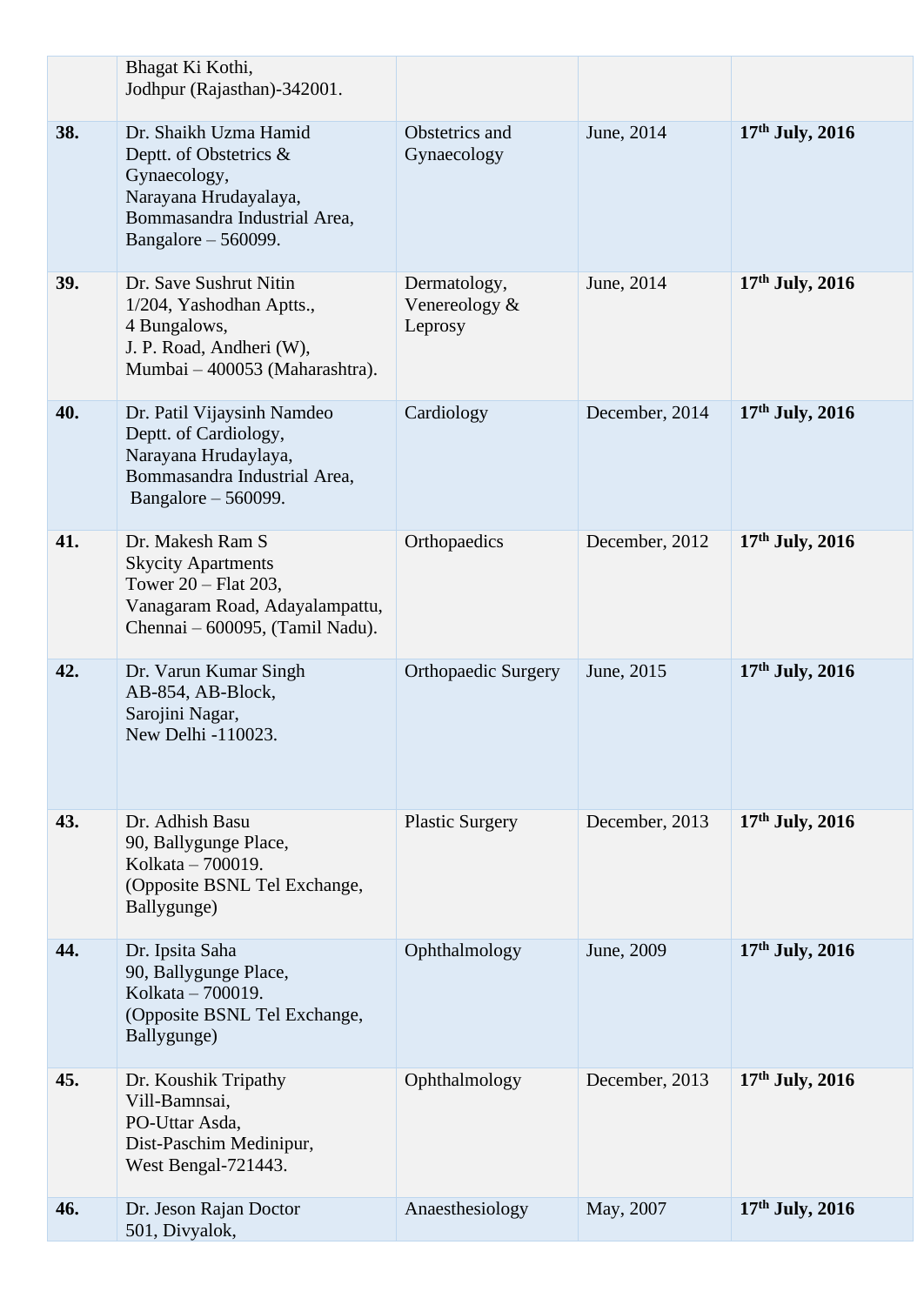|     | Bhagat Ki Kothi,<br>Jodhpur (Rajasthan)-342001.                                                                                                 |                                          |                |                   |
|-----|-------------------------------------------------------------------------------------------------------------------------------------------------|------------------------------------------|----------------|-------------------|
| 38. | Dr. Shaikh Uzma Hamid<br>Deptt. of Obstetrics &<br>Gynaecology,<br>Narayana Hrudayalaya,<br>Bommasandra Industrial Area,<br>Bangalore - 560099. | Obstetrics and<br>Gynaecology            | June, 2014     | $17th$ July, 2016 |
| 39. | Dr. Save Sushrut Nitin<br>1/204, Yashodhan Aptts.,<br>4 Bungalows,<br>J. P. Road, Andheri (W),<br>Mumbai - 400053 (Maharashtra).                | Dermatology,<br>Venereology &<br>Leprosy | June, 2014     | $17th$ July, 2016 |
| 40. | Dr. Patil Vijaysinh Namdeo<br>Deptt. of Cardiology,<br>Narayana Hrudaylaya,<br>Bommasandra Industrial Area,<br>Bangalore $-560099$ .            | Cardiology                               | December, 2014 | $17th$ July, 2016 |
| 41. | Dr. Makesh Ram S<br><b>Skycity Apartments</b><br>Tower 20 – Flat 203,<br>Vanagaram Road, Adayalampattu,<br>Chennai – 600095, (Tamil Nadu).      | Orthopaedics                             | December, 2012 | $17th$ July, 2016 |
| 42. | Dr. Varun Kumar Singh<br>AB-854, AB-Block,<br>Sarojini Nagar,<br>New Delhi -110023.                                                             | <b>Orthopaedic Surgery</b>               | June, 2015     | $17th$ July, 2016 |
| 43. | Dr. Adhish Basu<br>90, Ballygunge Place,<br>Kolkata – 700019.<br>(Opposite BSNL Tel Exchange,<br>Ballygunge)                                    | <b>Plastic Surgery</b>                   | December, 2013 | $17th$ July, 2016 |
| 44. | Dr. Ipsita Saha<br>90, Ballygunge Place,<br>Kolkata – 700019.<br>(Opposite BSNL Tel Exchange,<br>Ballygunge)                                    | Ophthalmology                            | June, 2009     | $17th$ July, 2016 |
| 45. | Dr. Koushik Tripathy<br>Vill-Bamnsai,<br>PO-Uttar Asda,<br>Dist-Paschim Medinipur,<br>West Bengal-721443.                                       | Ophthalmology                            | December, 2013 | $17th$ July, 2016 |
| 46. | Dr. Jeson Rajan Doctor<br>501, Divyalok,                                                                                                        | Anaesthesiology                          | May, 2007      | $17th$ July, 2016 |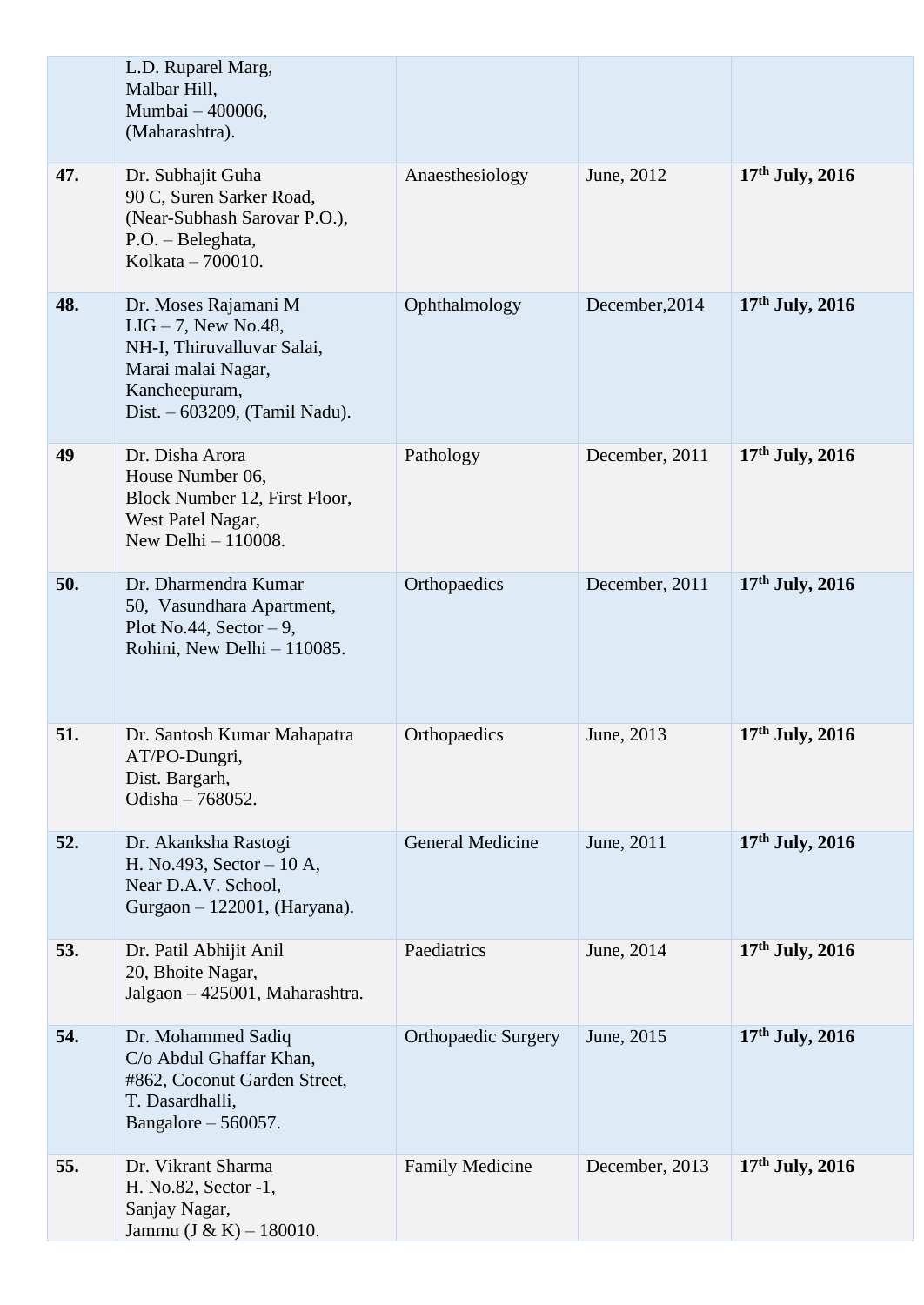|     | L.D. Ruparel Marg,<br>Malbar Hill,<br>Mumbai - 400006,<br>(Maharashtra).                                                                           |                            |                |                   |
|-----|----------------------------------------------------------------------------------------------------------------------------------------------------|----------------------------|----------------|-------------------|
| 47. | Dr. Subhajit Guha<br>90 C, Suren Sarker Road,<br>(Near-Subhash Sarovar P.O.),<br>P.O. - Beleghata,<br>Kolkata - 700010.                            | Anaesthesiology            | June, 2012     | 17th July, 2016   |
| 48. | Dr. Moses Rajamani M<br>$LIG-7$ , New No.48,<br>NH-I, Thiruvalluvar Salai,<br>Marai malai Nagar,<br>Kancheepuram,<br>Dist. - 603209, (Tamil Nadu). | Ophthalmology              | December, 2014 | $17th$ July, 2016 |
| 49  | Dr. Disha Arora<br>House Number 06,<br>Block Number 12, First Floor,<br>West Patel Nagar,<br>New Delhi - 110008.                                   | Pathology                  | December, 2011 | $17th$ July, 2016 |
| 50. | Dr. Dharmendra Kumar<br>50, Vasundhara Apartment,<br>Plot No.44, Sector $-9$ ,<br>Rohini, New Delhi - 110085.                                      | Orthopaedics               | December, 2011 | $17th$ July, 2016 |
| 51. | Dr. Santosh Kumar Mahapatra<br>AT/PO-Dungri,<br>Dist. Bargarh,<br>Odisha - 768052.                                                                 | Orthopaedics               | June, 2013     | $17th$ July, 2016 |
| 52. | Dr. Akanksha Rastogi<br>H. No.493, Sector – 10 A,<br>Near D.A.V. School,<br>Gurgaon - 122001, (Haryana).                                           | General Medicine           | June, 2011     | $17th$ July, 2016 |
| 53. | Dr. Patil Abhijit Anil<br>20, Bhoite Nagar,<br>Jalgaon - 425001, Maharashtra.                                                                      | Paediatrics                | June, 2014     | $17th$ July, 2016 |
| 54. | Dr. Mohammed Sadiq<br>C/o Abdul Ghaffar Khan,<br>#862, Coconut Garden Street,<br>T. Dasardhalli,<br>Bangalore $-560057$ .                          | <b>Orthopaedic Surgery</b> | June, 2015     | $17th$ July, 2016 |
| 55. | Dr. Vikrant Sharma<br>H. No.82, Sector -1,<br>Sanjay Nagar,<br>Jammu $(J & K) - 180010$ .                                                          | <b>Family Medicine</b>     | December, 2013 | $17th$ July, 2016 |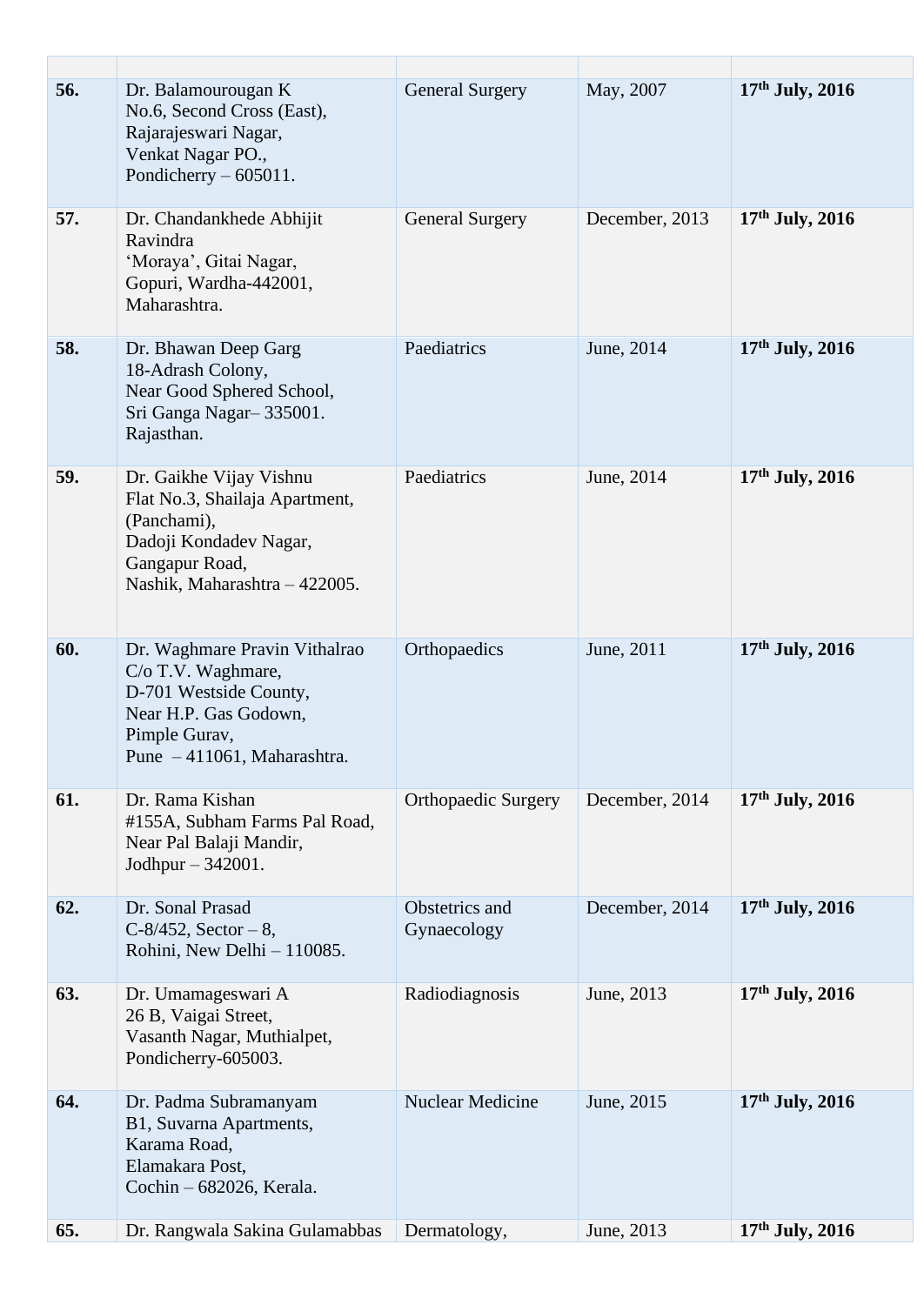| 56. | Dr. Balamourougan K<br>No.6, Second Cross (East),<br>Rajarajeswari Nagar,<br>Venkat Nagar PO.,<br>Pondicherry $-605011$ .                              | <b>General Surgery</b>        | May, 2007      | $17th$ July, 2016 |
|-----|--------------------------------------------------------------------------------------------------------------------------------------------------------|-------------------------------|----------------|-------------------|
| 57. | Dr. Chandankhede Abhijit<br>Ravindra<br>'Moraya', Gitai Nagar,<br>Gopuri, Wardha-442001,<br>Maharashtra.                                               | <b>General Surgery</b>        | December, 2013 | $17th$ July, 2016 |
| 58. | Dr. Bhawan Deep Garg<br>18-Adrash Colony,<br>Near Good Sphered School,<br>Sri Ganga Nagar-335001.<br>Rajasthan.                                        | Paediatrics                   | June, 2014     | $17th$ July, 2016 |
| 59. | Dr. Gaikhe Vijay Vishnu<br>Flat No.3, Shailaja Apartment,<br>(Panchami),<br>Dadoji Kondadev Nagar,<br>Gangapur Road,<br>Nashik, Maharashtra - 422005.  | Paediatrics                   | June, 2014     | $17th$ July, 2016 |
| 60. | Dr. Waghmare Pravin Vithalrao<br>C/o T.V. Waghmare,<br>D-701 Westside County,<br>Near H.P. Gas Godown,<br>Pimple Gurav,<br>Pune - 411061, Maharashtra. | Orthopaedics                  | June, 2011     | $17th$ July, 2016 |
| 61. | Dr. Rama Kishan<br>#155A, Subham Farms Pal Road,<br>Near Pal Balaji Mandir,<br>Jodhpur $-342001$ .                                                     | <b>Orthopaedic Surgery</b>    | December, 2014 | $17th$ July, 2016 |
| 62. | Dr. Sonal Prasad<br>$C-8/452$ , Sector - 8,<br>Rohini, New Delhi - 110085.                                                                             | Obstetrics and<br>Gynaecology | December, 2014 | 17th July, 2016   |
| 63. | Dr. Umamageswari A<br>26 B, Vaigai Street,<br>Vasanth Nagar, Muthialpet,<br>Pondicherry-605003.                                                        | Radiodiagnosis                | June, 2013     | $17th$ July, 2016 |
| 64. | Dr. Padma Subramanyam<br>B1, Suvarna Apartments,<br>Karama Road,<br>Elamakara Post,<br>Cochin - 682026, Kerala.                                        | <b>Nuclear Medicine</b>       | June, 2015     | $17th$ July, 2016 |
| 65. | Dr. Rangwala Sakina Gulamabbas                                                                                                                         | Dermatology,                  | June, 2013     | $17th$ July, 2016 |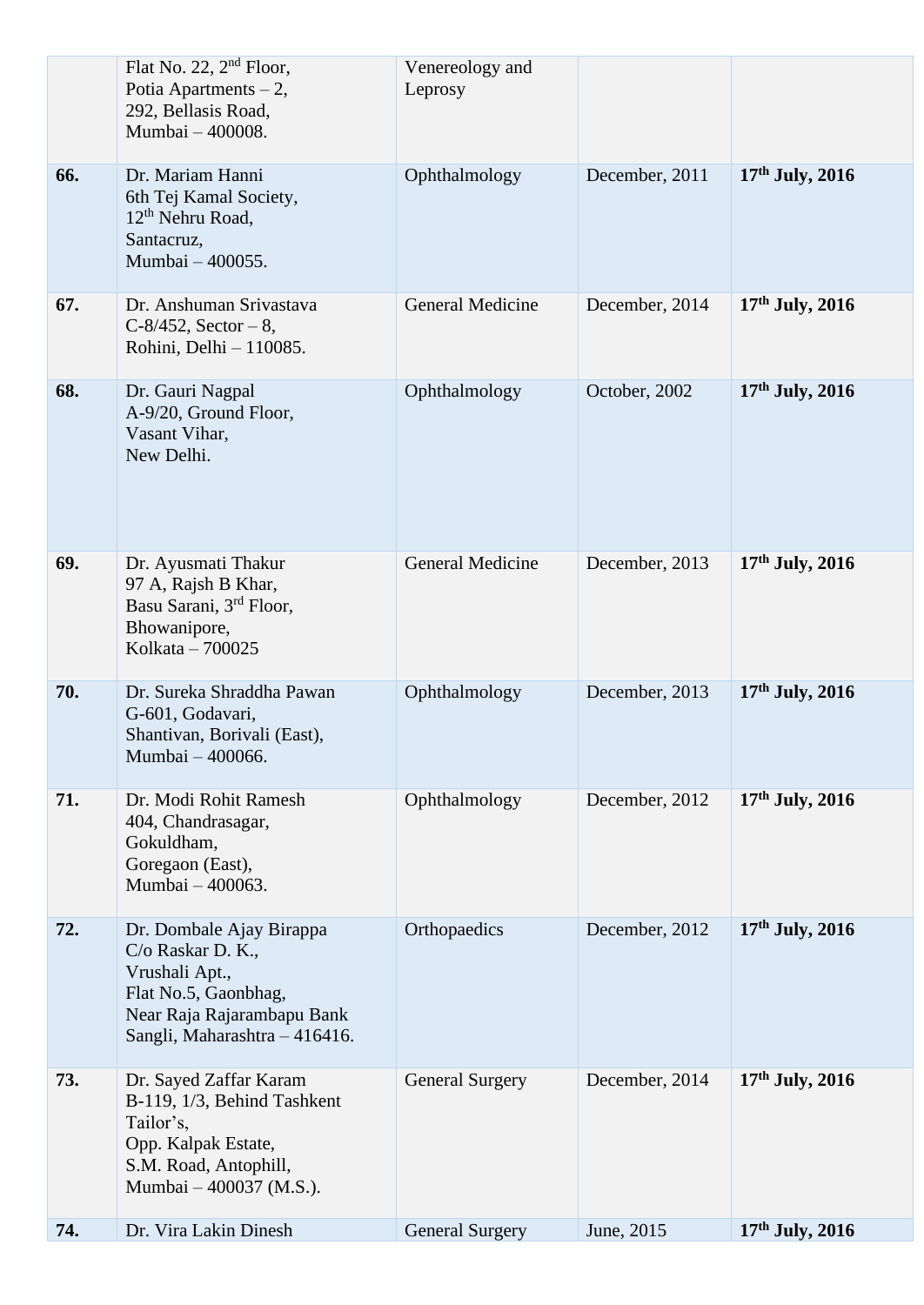|     | Flat No. 22, $2nd$ Floor,<br>Potia Apartments $-2$ ,<br>292, Bellasis Road,<br>Mumbai - 400008.                                                        | Venereology and<br>Leprosy |                |                   |
|-----|--------------------------------------------------------------------------------------------------------------------------------------------------------|----------------------------|----------------|-------------------|
| 66. | Dr. Mariam Hanni<br>6th Tej Kamal Society,<br>12 <sup>th</sup> Nehru Road,<br>Santacruz,<br>Mumbai - 400055.                                           | Ophthalmology              | December, 2011 | $17th$ July, 2016 |
| 67. | Dr. Anshuman Srivastava<br>$C-8/452$ , Sector - 8,<br>Rohini, Delhi - 110085.                                                                          | <b>General Medicine</b>    | December, 2014 | $17th$ July, 2016 |
| 68. | Dr. Gauri Nagpal<br>A-9/20, Ground Floor,<br>Vasant Vihar,<br>New Delhi.                                                                               | Ophthalmology              | October, 2002  | $17th$ July, 2016 |
| 69. | Dr. Ayusmati Thakur<br>97 A, Rajsh B Khar,<br>Basu Sarani, 3 <sup>rd</sup> Floor,<br>Bhowanipore,<br>Kolkata - 700025                                  | <b>General Medicine</b>    | December, 2013 | $17th$ July, 2016 |
| 70. | Dr. Sureka Shraddha Pawan<br>G-601, Godavari,<br>Shantivan, Borivali (East),<br>Mumbai - 400066.                                                       | Ophthalmology              | December, 2013 | $17th$ July, 2016 |
| 71. | Dr. Modi Rohit Ramesh<br>404, Chandrasagar,<br>Gokuldham,<br>Goregaon (East),<br>Mumbai - 400063.                                                      | Ophthalmology              | December, 2012 | $17th$ July, 2016 |
| 72. | Dr. Dombale Ajay Birappa<br>C/o Raskar D. K.,<br>Vrushali Apt.,<br>Flat No.5, Gaonbhag,<br>Near Raja Rajarambapu Bank<br>Sangli, Maharashtra - 416416. | Orthopaedics               | December, 2012 | $17th$ July, 2016 |
| 73. | Dr. Sayed Zaffar Karam<br>B-119, 1/3, Behind Tashkent<br>Tailor's,<br>Opp. Kalpak Estate,<br>S.M. Road, Antophill,<br>Mumbai - 400037 (M.S.).          | <b>General Surgery</b>     | December, 2014 | $17th$ July, 2016 |
| 74. | Dr. Vira Lakin Dinesh                                                                                                                                  | <b>General Surgery</b>     | June, 2015     | $17th$ July, 2016 |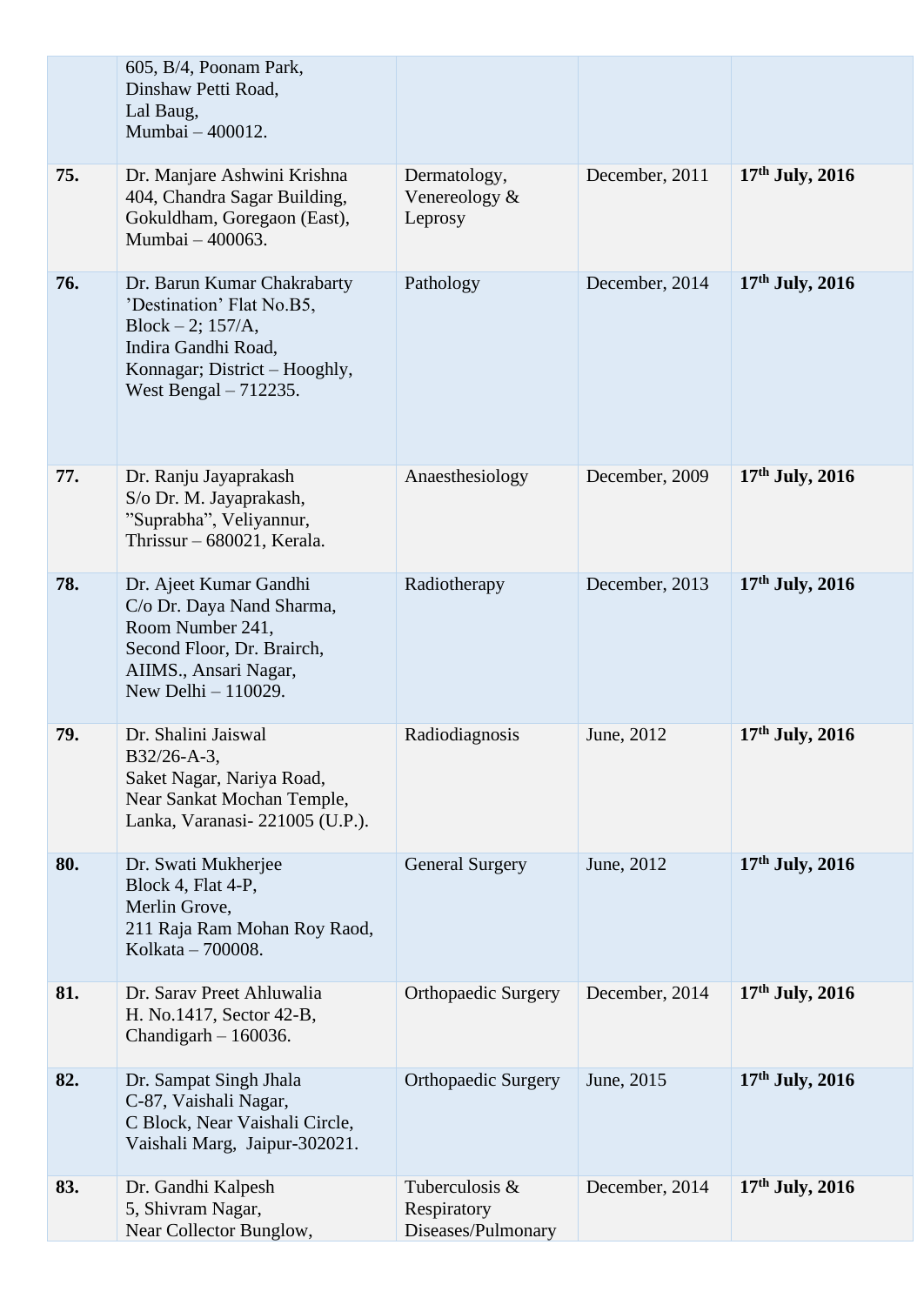|     | 605, B/4, Poonam Park,<br>Dinshaw Petti Road,<br>Lal Baug,<br>Mumbai - 400012.                                                                                     |                                                     |                |                   |
|-----|--------------------------------------------------------------------------------------------------------------------------------------------------------------------|-----------------------------------------------------|----------------|-------------------|
| 75. | Dr. Manjare Ashwini Krishna<br>404, Chandra Sagar Building,<br>Gokuldham, Goregaon (East),<br>Mumbai - 400063.                                                     | Dermatology,<br>Venereology $\&$<br>Leprosy         | December, 2011 | $17th$ July, 2016 |
| 76. | Dr. Barun Kumar Chakrabarty<br>'Destination' Flat No.B5,<br>Block $-2$ ; 157/A,<br>Indira Gandhi Road,<br>Konnagar; District – Hooghly,<br>West Bengal $-712235$ . | Pathology                                           | December, 2014 | $17th$ July, 2016 |
| 77. | Dr. Ranju Jayaprakash<br>S/o Dr. M. Jayaprakash,<br>"Suprabha", Veliyannur,<br>Thrissur – 680021, Kerala.                                                          | Anaesthesiology                                     | December, 2009 | $17th$ July, 2016 |
| 78. | Dr. Ajeet Kumar Gandhi<br>C/o Dr. Daya Nand Sharma,<br>Room Number 241,<br>Second Floor, Dr. Brairch,<br>AIIMS., Ansari Nagar,<br>New Delhi $-110029$ .            | Radiotherapy                                        | December, 2013 | $17th$ July, 2016 |
| 79. | Dr. Shalini Jaiswal<br>B32/26-A-3,<br>Saket Nagar, Nariya Road,<br>Near Sankat Mochan Temple,<br>Lanka, Varanasi-221005 (U.P.).                                    | Radiodiagnosis                                      | June, 2012     | 17th July, 2016   |
| 80. | Dr. Swati Mukherjee<br>Block 4, Flat 4-P,<br>Merlin Grove,<br>211 Raja Ram Mohan Roy Raod,<br>Kolkata - 700008.                                                    | <b>General Surgery</b>                              | June, 2012     | $17th$ July, 2016 |
| 81. | Dr. Sarav Preet Ahluwalia<br>H. No.1417, Sector 42-B,<br>Chandigarh - 160036.                                                                                      | <b>Orthopaedic Surgery</b>                          | December, 2014 | $17th$ July, 2016 |
| 82. | Dr. Sampat Singh Jhala<br>C-87, Vaishali Nagar,<br>C Block, Near Vaishali Circle,<br>Vaishali Marg, Jaipur-302021.                                                 | <b>Orthopaedic Surgery</b>                          | June, 2015     | $17th$ July, 2016 |
| 83. | Dr. Gandhi Kalpesh<br>5, Shivram Nagar,<br>Near Collector Bunglow,                                                                                                 | Tuberculosis &<br>Respiratory<br>Diseases/Pulmonary | December, 2014 | $17th$ July, 2016 |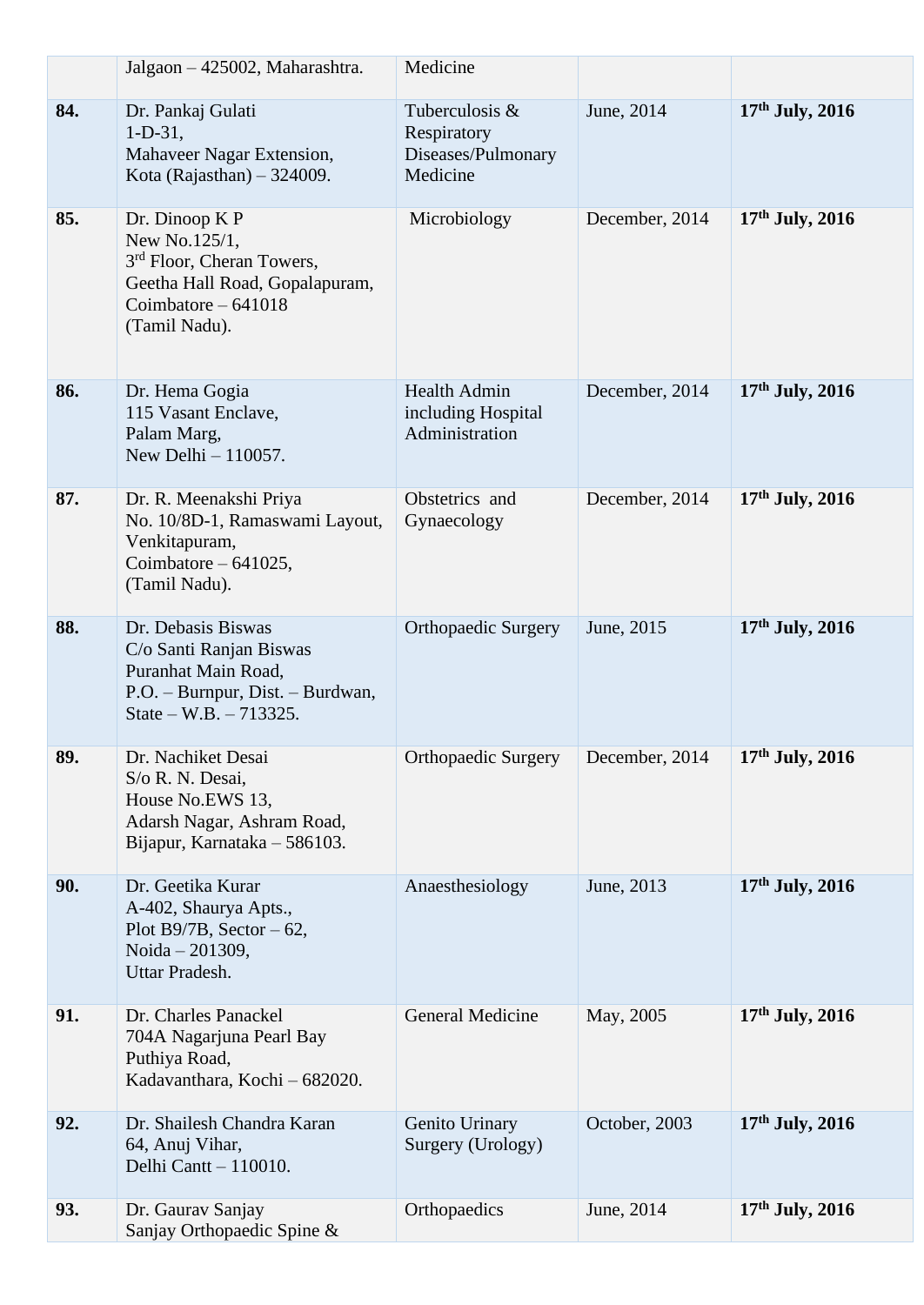|     | Jalgaon - 425002, Maharashtra.                                                                                                                      | Medicine                                                        |                |                   |
|-----|-----------------------------------------------------------------------------------------------------------------------------------------------------|-----------------------------------------------------------------|----------------|-------------------|
| 84. | Dr. Pankaj Gulati<br>$1-D-31$ ,<br>Mahaveer Nagar Extension,<br>Kota (Rajasthan) $-324009$ .                                                        | Tuberculosis &<br>Respiratory<br>Diseases/Pulmonary<br>Medicine | June, 2014     | $17th$ July, 2016 |
| 85. | Dr. Dinoop K P<br>New No.125/1,<br>3 <sup>rd</sup> Floor, Cheran Towers,<br>Geetha Hall Road, Gopalapuram,<br>Coimbatore $-641018$<br>(Tamil Nadu). | Microbiology                                                    | December, 2014 | $17th$ July, 2016 |
| 86. | Dr. Hema Gogia<br>115 Vasant Enclave,<br>Palam Marg,<br>New Delhi $-110057$ .                                                                       | <b>Health Admin</b><br>including Hospital<br>Administration     | December, 2014 | 17th July, 2016   |
| 87. | Dr. R. Meenakshi Priya<br>No. 10/8D-1, Ramaswami Layout,<br>Venkitapuram,<br>Coimbatore $-641025$ ,<br>(Tamil Nadu).                                | Obstetrics and<br>Gynaecology                                   | December, 2014 | $17th$ July, 2016 |
| 88. | Dr. Debasis Biswas<br>C/o Santi Ranjan Biswas<br>Puranhat Main Road,<br>P.O. - Burnpur, Dist. - Burdwan,<br>State – W.B. – 713325.                  | <b>Orthopaedic Surgery</b>                                      | June, 2015     | 17th July, 2016   |
| 89. | Dr. Nachiket Desai<br>S/o R. N. Desai,<br>House No.EWS 13,<br>Adarsh Nagar, Ashram Road,<br>Bijapur, Karnataka - 586103.                            | <b>Orthopaedic Surgery</b>                                      | December, 2014 | $17th$ July, 2016 |
| 90. | Dr. Geetika Kurar<br>A-402, Shaurya Apts.,<br>Plot B9/7B, Sector $-62$ ,<br>Noida - 201309,<br>Uttar Pradesh.                                       | Anaesthesiology                                                 | June, 2013     | $17th$ July, 2016 |
| 91. | Dr. Charles Panackel<br>704A Nagarjuna Pearl Bay<br>Puthiya Road,<br>Kadavanthara, Kochi - 682020.                                                  | <b>General Medicine</b>                                         | May, 2005      | $17th$ July, 2016 |
| 92. | Dr. Shailesh Chandra Karan<br>64, Anuj Vihar,<br>Delhi Cantt - 110010.                                                                              | Genito Urinary<br>Surgery (Urology)                             | October, 2003  | $17th$ July, 2016 |
| 93. | Dr. Gaurav Sanjay<br>Sanjay Orthopaedic Spine &                                                                                                     | Orthopaedics                                                    | June, 2014     | $17th$ July, 2016 |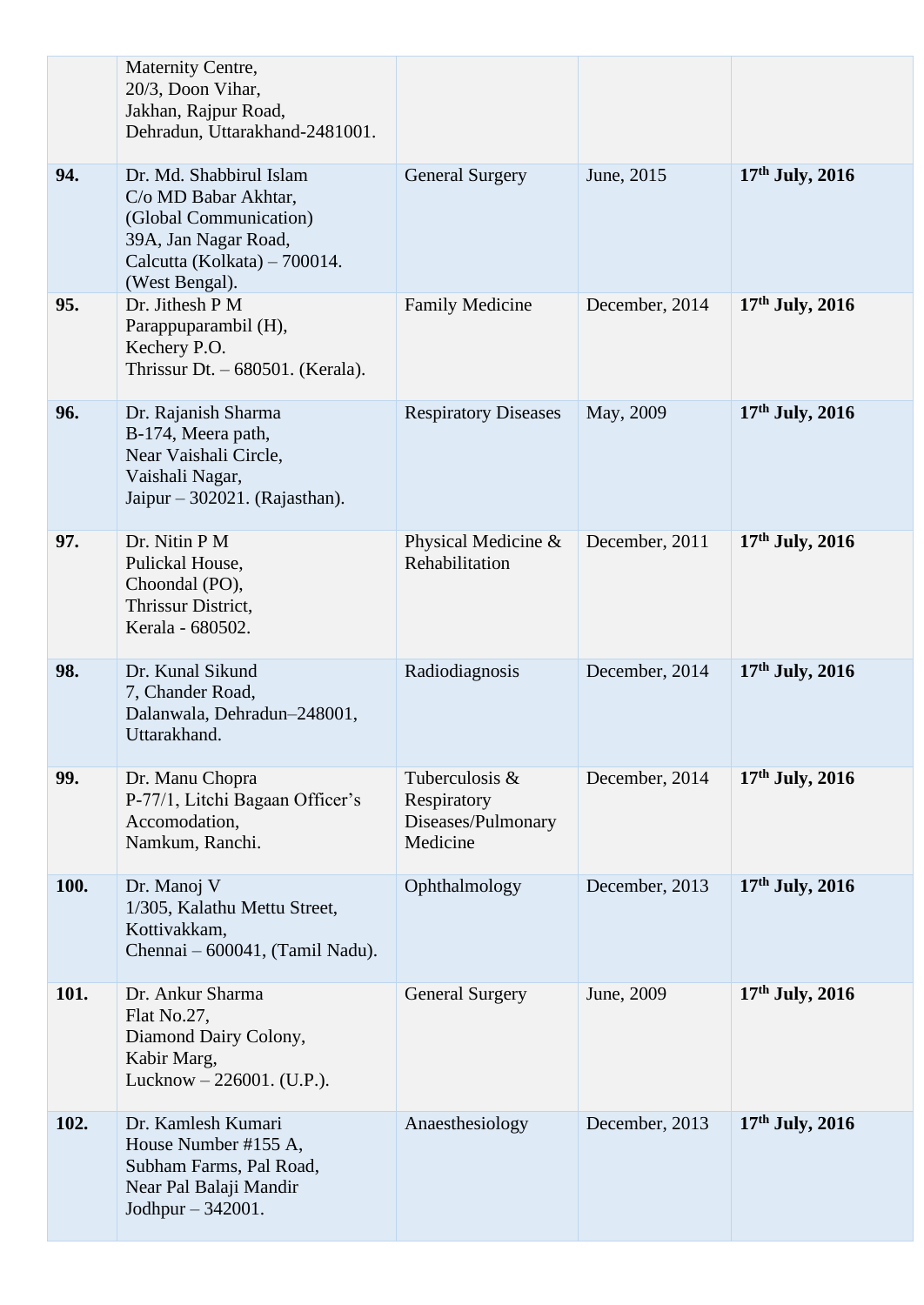|             | Maternity Centre,<br>20/3, Doon Vihar,<br>Jakhan, Rajpur Road,<br>Dehradun, Uttarakhand-2481001.                                                    |                                                                 |                |                   |
|-------------|-----------------------------------------------------------------------------------------------------------------------------------------------------|-----------------------------------------------------------------|----------------|-------------------|
| 94.         | Dr. Md. Shabbirul Islam<br>C/o MD Babar Akhtar,<br>(Global Communication)<br>39A, Jan Nagar Road,<br>Calcutta (Kolkata) – 700014.<br>(West Bengal). | <b>General Surgery</b>                                          | June, 2015     | $17th$ July, 2016 |
| 95.         | Dr. Jithesh P M<br>Parappuparambil (H),<br>Kechery P.O.<br>Thrissur Dt. $-680501$ . (Kerala).                                                       | <b>Family Medicine</b>                                          | December, 2014 | $17th$ July, 2016 |
| 96.         | Dr. Rajanish Sharma<br>B-174, Meera path,<br>Near Vaishali Circle,<br>Vaishali Nagar,<br>Jaipur $-302021$ . (Rajasthan).                            | <b>Respiratory Diseases</b>                                     | May, 2009      | $17th$ July, 2016 |
| 97.         | Dr. Nitin P M<br>Pulickal House,<br>Choondal (PO),<br>Thrissur District,<br>Kerala - 680502.                                                        | Physical Medicine &<br>Rehabilitation                           | December, 2011 | $17th$ July, 2016 |
| 98.         | Dr. Kunal Sikund<br>7, Chander Road,<br>Dalanwala, Dehradun-248001,<br>Uttarakhand.                                                                 | Radiodiagnosis                                                  | December, 2014 | $17th$ July, 2016 |
| 99.         | Dr. Manu Chopra<br>P-77/1, Litchi Bagaan Officer's<br>Accomodation,<br>Namkum, Ranchi.                                                              | Tuberculosis &<br>Respiratory<br>Diseases/Pulmonary<br>Medicine | December, 2014 | $17th$ July, 2016 |
| <b>100.</b> | Dr. Manoj V<br>1/305, Kalathu Mettu Street,<br>Kottivakkam,<br>Chennai – 600041, (Tamil Nadu).                                                      | Ophthalmology                                                   | December, 2013 | $17th$ July, 2016 |
| 101.        | Dr. Ankur Sharma<br>Flat No.27,<br>Diamond Dairy Colony,<br>Kabir Marg,<br>Lucknow $-226001$ . (U.P.).                                              | <b>General Surgery</b>                                          | June, 2009     | $17th$ July, 2016 |
| 102.        | Dr. Kamlesh Kumari<br>House Number #155 A,<br>Subham Farms, Pal Road,<br>Near Pal Balaji Mandir<br>Jodhpur - 342001.                                | Anaesthesiology                                                 | December, 2013 | $17th$ July, 2016 |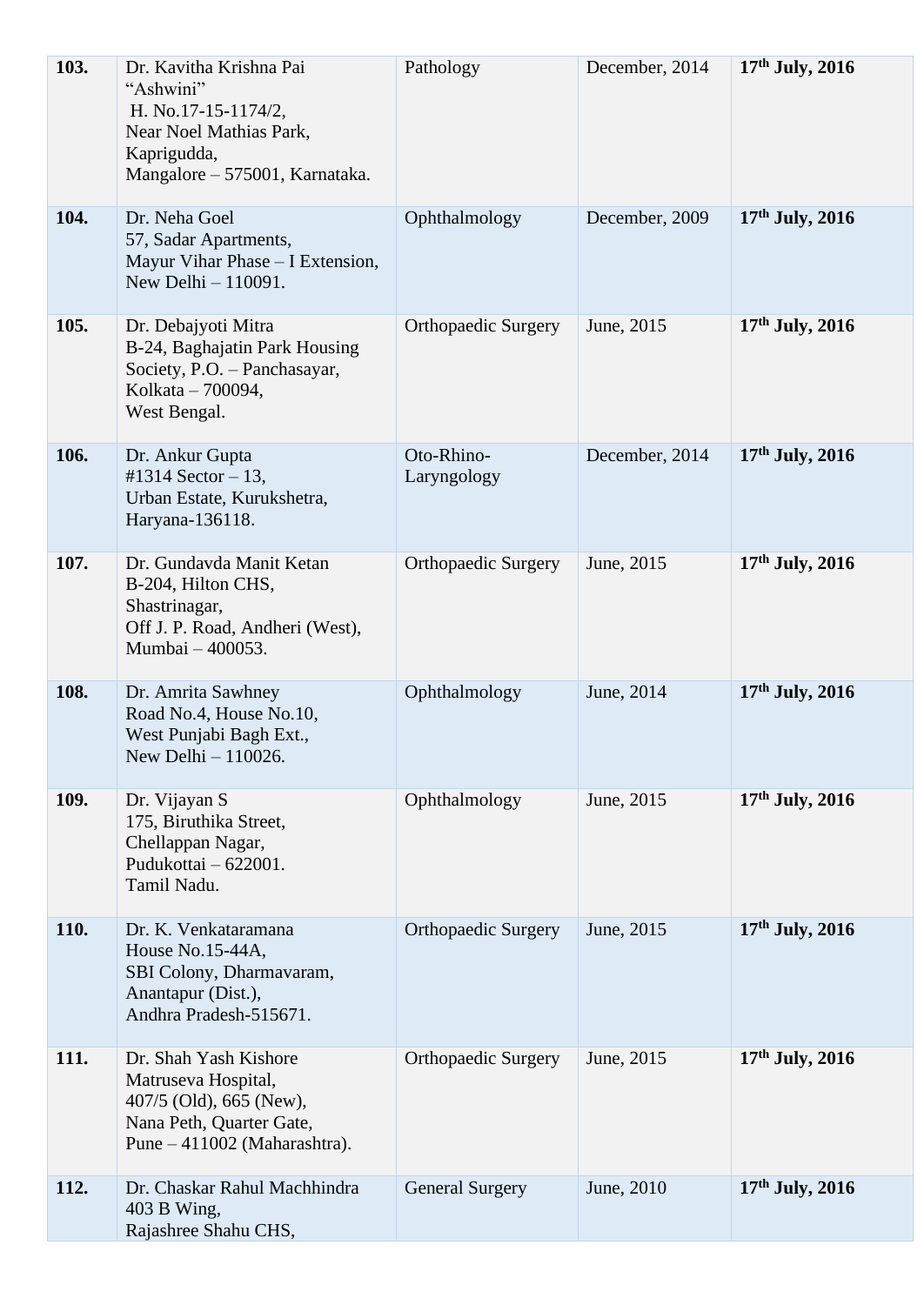| 103.        | Dr. Kavitha Krishna Pai<br>"Ashwini"<br>H. No.17-15-1174/2,<br>Near Noel Mathias Park,<br>Kaprigudda,<br>Mangalore – 575001, Karnataka. | Pathology                  | December, 2014 | $17th$ July, 2016 |
|-------------|-----------------------------------------------------------------------------------------------------------------------------------------|----------------------------|----------------|-------------------|
| 104.        | Dr. Neha Goel<br>57, Sadar Apartments,<br>Mayur Vihar Phase - I Extension,<br>New Delhi $-110091$ .                                     | Ophthalmology              | December, 2009 | $17th$ July, 2016 |
| 105.        | Dr. Debajyoti Mitra<br>B-24, Baghajatin Park Housing<br>Society, P.O. - Panchasayar,<br>Kolkata - 700094,<br>West Bengal.               | <b>Orthopaedic Surgery</b> | June, 2015     | $17th$ July, 2016 |
| 106.        | Dr. Ankur Gupta<br>#1314 Sector $-13$ ,<br>Urban Estate, Kurukshetra,<br>Haryana-136118.                                                | Oto-Rhino-<br>Laryngology  | December, 2014 | $17th$ July, 2016 |
| 107.        | Dr. Gundavda Manit Ketan<br>B-204, Hilton CHS,<br>Shastrinagar,<br>Off J. P. Road, Andheri (West),<br>Mumbai - 400053.                  | <b>Orthopaedic Surgery</b> | June, 2015     | $17th$ July, 2016 |
| 108.        | Dr. Amrita Sawhney<br>Road No.4, House No.10,<br>West Punjabi Bagh Ext.,<br>New Delhi - 110026.                                         | Ophthalmology              | June, 2014     | $17th$ July, 2016 |
| 109.        | Dr. Vijayan S<br>175, Biruthika Street,<br>Chellappan Nagar,<br>Pudukottai - 622001.<br>Tamil Nadu.                                     | Ophthalmology              | June, 2015     | $17th$ July, 2016 |
| <b>110.</b> | Dr. K. Venkataramana<br>House No.15-44A,<br>SBI Colony, Dharmavaram,<br>Anantapur (Dist.),<br>Andhra Pradesh-515671.                    | <b>Orthopaedic Surgery</b> | June, 2015     | $17th$ July, 2016 |
| 111.        | Dr. Shah Yash Kishore<br>Matruseva Hospital,<br>407/5 (Old), 665 (New),<br>Nana Peth, Quarter Gate,<br>Pune – 411002 (Maharashtra).     | <b>Orthopaedic Surgery</b> | June, 2015     | 17th July, 2016   |
| 112.        | Dr. Chaskar Rahul Machhindra<br>403 B Wing,<br>Rajashree Shahu CHS,                                                                     | <b>General Surgery</b>     | June, 2010     | $17th$ July, 2016 |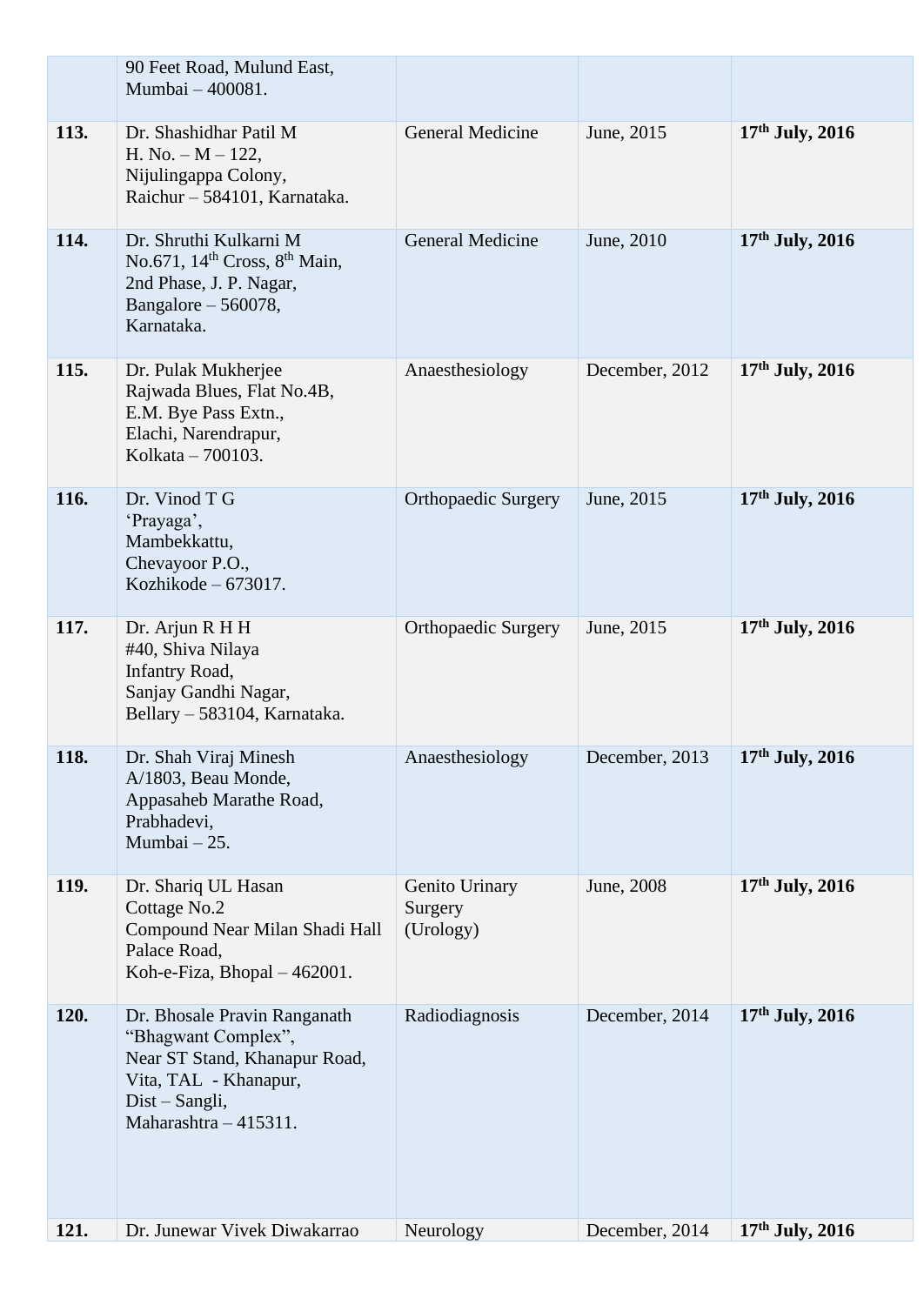|      | 90 Feet Road, Mulund East,<br>Mumbai - 400081.                                                                                                           |                                        |                |                   |
|------|----------------------------------------------------------------------------------------------------------------------------------------------------------|----------------------------------------|----------------|-------------------|
| 113. | Dr. Shashidhar Patil M<br>H. No. $-M - 122$ ,<br>Nijulingappa Colony,<br>Raichur - 584101, Karnataka.                                                    | <b>General Medicine</b>                | June, 2015     | $17th$ July, 2016 |
| 114. | Dr. Shruthi Kulkarni M<br>No.671, 14 <sup>th</sup> Cross, 8 <sup>th</sup> Main,<br>2nd Phase, J. P. Nagar,<br>Bangalore $-560078$ ,<br>Karnataka.        | <b>General Medicine</b>                | June, 2010     | $17th$ July, 2016 |
| 115. | Dr. Pulak Mukherjee<br>Rajwada Blues, Flat No.4B,<br>E.M. Bye Pass Extn.,<br>Elachi, Narendrapur,<br>Kolkata - 700103.                                   | Anaesthesiology                        | December, 2012 | 17th July, 2016   |
| 116. | Dr. Vinod T G<br>'Prayaga',<br>Mambekkattu,<br>Chevayoor P.O.,<br>Kozhikode $-673017$ .                                                                  | <b>Orthopaedic Surgery</b>             | June, 2015     | $17th$ July, 2016 |
| 117. | Dr. Arjun R H H<br>#40, Shiva Nilaya<br>Infantry Road,<br>Sanjay Gandhi Nagar,<br>Bellary - 583104, Karnataka.                                           | <b>Orthopaedic Surgery</b>             | June, 2015     | $17th$ July, 2016 |
| 118. | Dr. Shah Viraj Minesh<br>A/1803, Beau Monde,<br>Appasaheb Marathe Road,<br>Prabhadevi,<br>Mumbai - 25.                                                   | Anaesthesiology                        | December, 2013 | $17th$ July, 2016 |
| 119. | Dr. Shariq UL Hasan<br>Cottage No.2<br>Compound Near Milan Shadi Hall<br>Palace Road,<br>Koh-e-Fiza, Bhopal - 462001.                                    | Genito Urinary<br>Surgery<br>(Urology) | June, 2008     | $17th$ July, 2016 |
| 120. | Dr. Bhosale Pravin Ranganath<br>"Bhagwant Complex",<br>Near ST Stand, Khanapur Road,<br>Vita, TAL - Khanapur,<br>Dist – Sangli,<br>Maharashtra - 415311. | Radiodiagnosis                         | December, 2014 | $17th$ July, 2016 |
| 121. | Dr. Junewar Vivek Diwakarrao                                                                                                                             | Neurology                              | December, 2014 | $17th$ July, 2016 |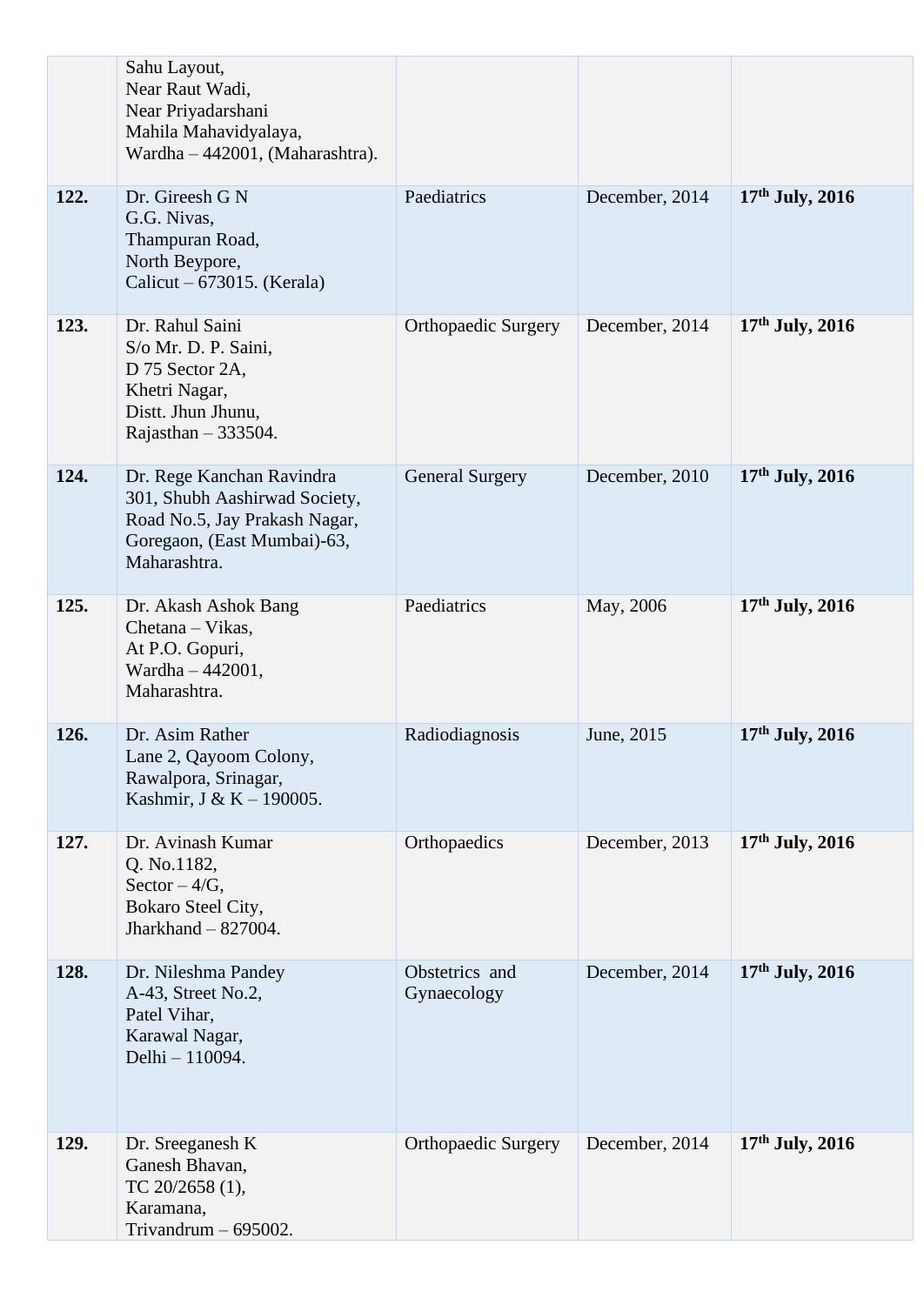|      | Sahu Layout,<br>Near Raut Wadi,<br>Near Priyadarshani<br>Mahila Mahavidyalaya,<br>Wardha - 442001, (Maharashtra).                          |                               |                |                   |
|------|--------------------------------------------------------------------------------------------------------------------------------------------|-------------------------------|----------------|-------------------|
| 122. | Dr. Gireesh G N<br>G.G. Nivas,<br>Thampuran Road,<br>North Beypore,<br>Calicut – $673015$ . (Kerala)                                       | Paediatrics                   | December, 2014 | $17th$ July, 2016 |
| 123. | Dr. Rahul Saini<br>S/o Mr. D. P. Saini,<br>D 75 Sector 2A,<br>Khetri Nagar,<br>Distt. Jhun Jhunu,<br>Rajasthan $-333504$ .                 | <b>Orthopaedic Surgery</b>    | December, 2014 | 17th July, 2016   |
| 124. | Dr. Rege Kanchan Ravindra<br>301, Shubh Aashirwad Society,<br>Road No.5, Jay Prakash Nagar,<br>Goregaon, (East Mumbai)-63,<br>Maharashtra. | <b>General Surgery</b>        | December, 2010 | $17th$ July, 2016 |
| 125. | Dr. Akash Ashok Bang<br>Chetana – Vikas,<br>At P.O. Gopuri,<br>Wardha - 442001,<br>Maharashtra.                                            | Paediatrics                   | May, 2006      | $17th$ July, 2016 |
| 126. | Dr. Asim Rather<br>Lane 2, Qayoom Colony,<br>Rawalpora, Srinagar,<br>Kashmir, J & K - 190005.                                              | Radiodiagnosis                | June, 2015     | $17th$ July, 2016 |
| 127. | Dr. Avinash Kumar<br>Q. No.1182,<br>Sector $-4/G$ ,<br>Bokaro Steel City,<br>Jharkhand $-$ 827004.                                         | Orthopaedics                  | December, 2013 | $17th$ July, 2016 |
| 128. | Dr. Nileshma Pandey<br>A-43, Street No.2,<br>Patel Vihar,<br>Karawal Nagar,<br>Delhi - 110094.                                             | Obstetrics and<br>Gynaecology | December, 2014 | $17th$ July, 2016 |
| 129. | Dr. Sreeganesh K<br>Ganesh Bhavan,<br>TC $20/2658$ (1),<br>Karamana,<br>Trivandrum $-695002$ .                                             | <b>Orthopaedic Surgery</b>    | December, 2014 | 17th July, 2016   |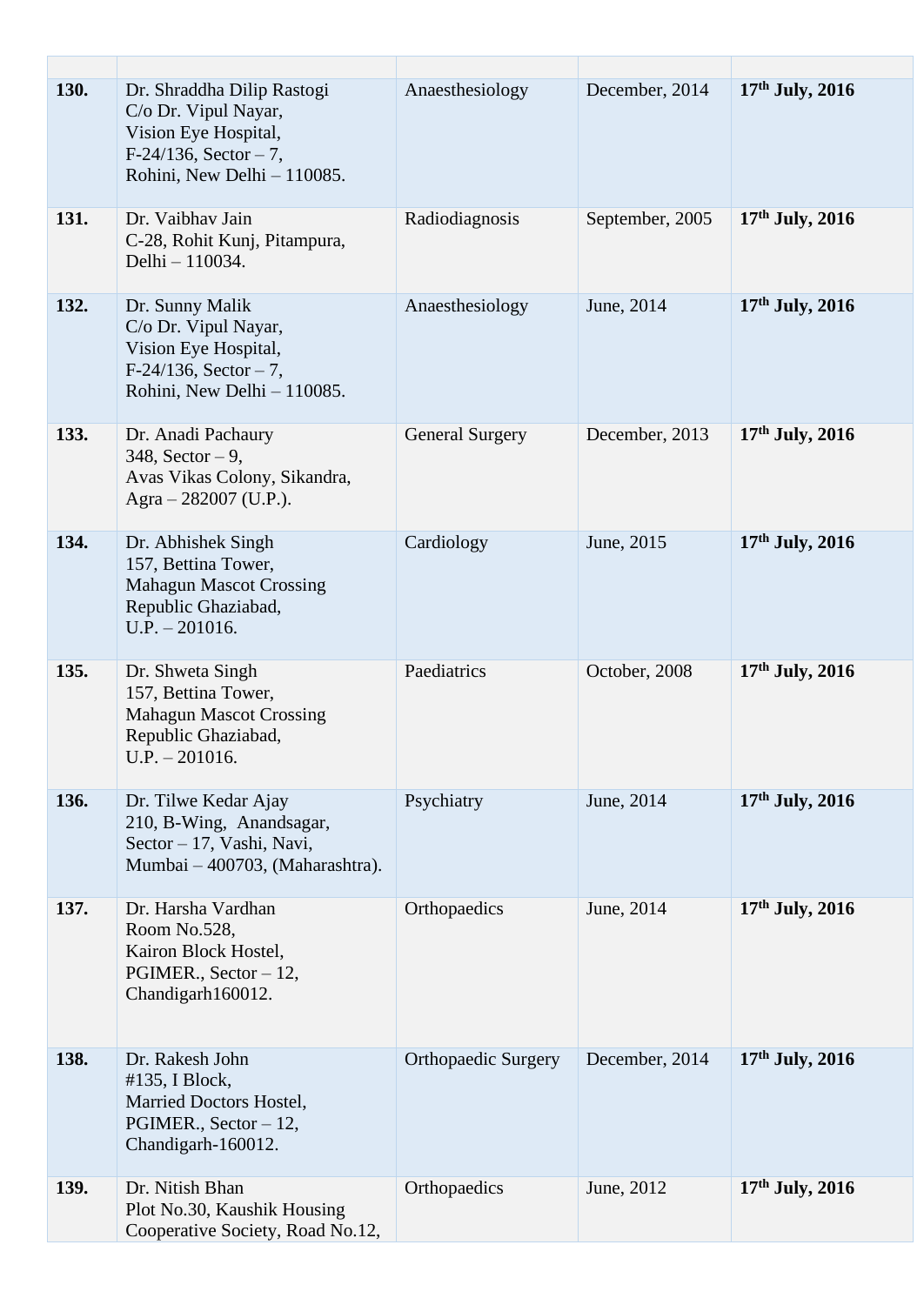| 130. | Dr. Shraddha Dilip Rastogi<br>C/o Dr. Vipul Nayar,<br>Vision Eye Hospital,<br>$F-24/136$ , Sector - 7,<br>Rohini, New Delhi - 110085. | Anaesthesiology            | December, 2014  | $17th$ July, 2016 |
|------|---------------------------------------------------------------------------------------------------------------------------------------|----------------------------|-----------------|-------------------|
| 131. | Dr. Vaibhav Jain<br>C-28, Rohit Kunj, Pitampura,<br>Delhi - 110034.                                                                   | Radiodiagnosis             | September, 2005 | $17th$ July, 2016 |
| 132. | Dr. Sunny Malik<br>C/o Dr. Vipul Nayar,<br>Vision Eye Hospital,<br>$F-24/136$ , Sector - 7,<br>Rohini, New Delhi - 110085.            | Anaesthesiology            | June, 2014      | $17th$ July, 2016 |
| 133. | Dr. Anadi Pachaury<br>$348$ , Sector $-9$ ,<br>Avas Vikas Colony, Sikandra,<br>Agra $-282007$ (U.P.).                                 | <b>General Surgery</b>     | December, 2013  | 17th July, 2016   |
| 134. | Dr. Abhishek Singh<br>157, Bettina Tower,<br><b>Mahagun Mascot Crossing</b><br>Republic Ghaziabad,<br>$U.P. - 201016.$                | Cardiology                 | June, 2015      | 17th July, 2016   |
| 135. | Dr. Shweta Singh<br>157, Bettina Tower,<br><b>Mahagun Mascot Crossing</b><br>Republic Ghaziabad,<br>$U.P. - 201016.$                  | Paediatrics                | October, 2008   | $17th$ July, 2016 |
| 136. | Dr. Tilwe Kedar Ajay<br>210, B-Wing, Anandsagar,<br>Sector - 17, Vashi, Navi,<br>Mumbai - 400703, (Maharashtra).                      | Psychiatry                 | June, 2014      | $17th$ July, 2016 |
| 137. | Dr. Harsha Vardhan<br>Room No.528,<br>Kairon Block Hostel,<br>PGIMER., Sector - 12,<br>Chandigarh160012.                              | Orthopaedics               | June, 2014      | $17th$ July, 2016 |
| 138. | Dr. Rakesh John<br>#135, I Block,<br>Married Doctors Hostel,<br>PGIMER., Sector - 12,<br>Chandigarh-160012.                           | <b>Orthopaedic Surgery</b> | December, 2014  | $17th$ July, 2016 |
| 139. | Dr. Nitish Bhan<br>Plot No.30, Kaushik Housing<br>Cooperative Society, Road No.12,                                                    | Orthopaedics               | June, 2012      | $17th$ July, 2016 |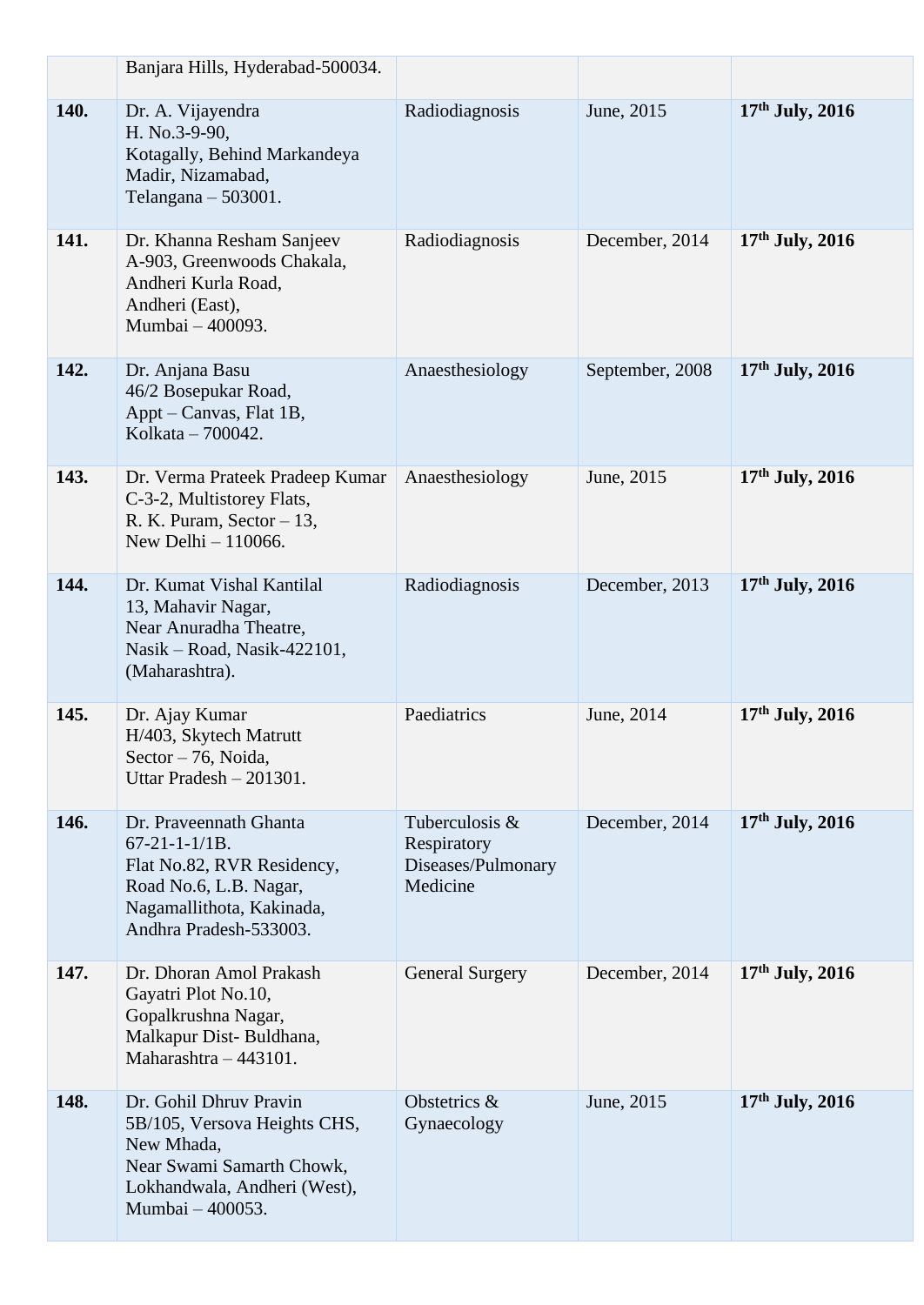|      | Banjara Hills, Hyderabad-500034.                                                                                                                                |                                                                 |                 |                   |
|------|-----------------------------------------------------------------------------------------------------------------------------------------------------------------|-----------------------------------------------------------------|-----------------|-------------------|
| 140. | Dr. A. Vijayendra<br>H. No.3-9-90,<br>Kotagally, Behind Markandeya<br>Madir, Nizamabad,<br>Telangana $-503001$ .                                                | Radiodiagnosis                                                  | June, 2015      | $17th$ July, 2016 |
| 141. | Dr. Khanna Resham Sanjeev<br>A-903, Greenwoods Chakala,<br>Andheri Kurla Road,<br>Andheri (East),<br>Mumbai - 400093.                                           | Radiodiagnosis                                                  | December, 2014  | 17th July, 2016   |
| 142. | Dr. Anjana Basu<br>46/2 Bosepukar Road,<br>Appt – Canvas, Flat 1B,<br>Kolkata – 700042.                                                                         | Anaesthesiology                                                 | September, 2008 | $17th$ July, 2016 |
| 143. | Dr. Verma Prateek Pradeep Kumar<br>C-3-2, Multistorey Flats,<br>R. K. Puram, Sector $-13$ ,<br>New Delhi $-110066$ .                                            | Anaesthesiology                                                 | June, 2015      | $17th$ July, 2016 |
| 144. | Dr. Kumat Vishal Kantilal<br>13, Mahavir Nagar,<br>Near Anuradha Theatre,<br>Nasik - Road, Nasik-422101,<br>(Maharashtra).                                      | Radiodiagnosis                                                  | December, 2013  | $17th$ July, 2016 |
| 145. | Dr. Ajay Kumar<br>H/403, Skytech Matrutt<br>Sector - 76, Noida,<br>Uttar Pradesh $-201301$ .                                                                    | Paediatrics                                                     | June, 2014      | $17th$ July, 2016 |
| 146. | Dr. Praveennath Ghanta<br>$67 - 21 - 1 - 1/1B$ .<br>Flat No.82, RVR Residency,<br>Road No.6, L.B. Nagar,<br>Nagamallithota, Kakinada,<br>Andhra Pradesh-533003. | Tuberculosis &<br>Respiratory<br>Diseases/Pulmonary<br>Medicine | December, 2014  | $17th$ July, 2016 |
| 147. | Dr. Dhoran Amol Prakash<br>Gayatri Plot No.10,<br>Gopalkrushna Nagar,<br>Malkapur Dist-Buldhana,<br>Maharashtra - 443101.                                       | <b>General Surgery</b>                                          | December, 2014  | $17th$ July, 2016 |
| 148. | Dr. Gohil Dhruv Pravin<br>5B/105, Versova Heights CHS,<br>New Mhada,<br>Near Swami Samarth Chowk,<br>Lokhandwala, Andheri (West),<br>Mumbai - 400053.           | Obstetrics &<br>Gynaecology                                     | June, 2015      | $17th$ July, 2016 |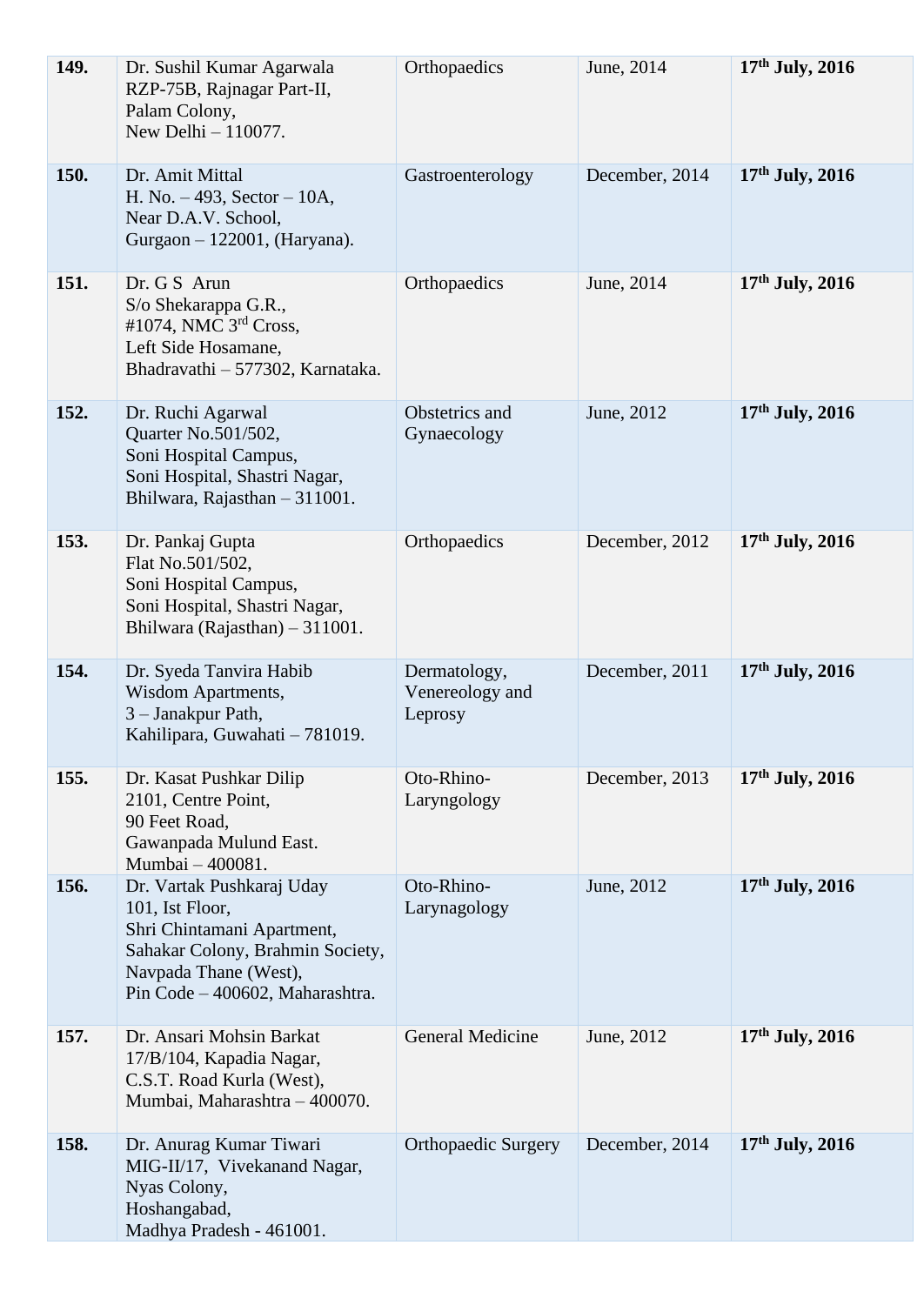| 149. | Dr. Sushil Kumar Agarwala<br>RZP-75B, Rajnagar Part-II,<br>Palam Colony,<br>New Delhi - 110077.                                                                            | Orthopaedics                               | June, 2014     | $17th$ July, 2016 |
|------|----------------------------------------------------------------------------------------------------------------------------------------------------------------------------|--------------------------------------------|----------------|-------------------|
| 150. | Dr. Amit Mittal<br>H. No. $-493$ , Sector $-10A$ ,<br>Near D.A.V. School,<br>Gurgaon - 122001, (Haryana).                                                                  | Gastroenterology                           | December, 2014 | $17th$ July, 2016 |
| 151. | Dr. G S Arun<br>S/o Shekarappa G.R.,<br>#1074, NMC 3 <sup>rd</sup> Cross,<br>Left Side Hosamane,<br>Bhadravathi - 577302, Karnataka.                                       | Orthopaedics                               | June, 2014     | $17th$ July, 2016 |
| 152. | Dr. Ruchi Agarwal<br>Quarter No.501/502,<br>Soni Hospital Campus,<br>Soni Hospital, Shastri Nagar,<br>Bhilwara, Rajasthan - 311001.                                        | Obstetrics and<br>Gynaecology              | June, 2012     | $17th$ July, 2016 |
| 153. | Dr. Pankaj Gupta<br>Flat No.501/502,<br>Soni Hospital Campus,<br>Soni Hospital, Shastri Nagar,<br>Bhilwara (Rajasthan) - 311001.                                           | Orthopaedics                               | December, 2012 | 17th July, 2016   |
| 154. | Dr. Syeda Tanvira Habib<br>Wisdom Apartments,<br>3 - Janakpur Path,<br>Kahilipara, Guwahati - 781019.                                                                      | Dermatology,<br>Venereology and<br>Leprosy | December, 2011 | $17th$ July, 2016 |
| 155. | Dr. Kasat Pushkar Dilip<br>2101, Centre Point,<br>90 Feet Road,<br>Gawanpada Mulund East.<br>Mumbai - 400081.                                                              | Oto-Rhino-<br>Laryngology                  | December, 2013 | $17th$ July, 2016 |
| 156. | Dr. Vartak Pushkaraj Uday<br>101, Ist Floor,<br>Shri Chintamani Apartment,<br>Sahakar Colony, Brahmin Society,<br>Navpada Thane (West),<br>Pin Code - 400602, Maharashtra. | Oto-Rhino-<br>Larynagology                 | June, 2012     | $17th$ July, 2016 |
| 157. | Dr. Ansari Mohsin Barkat<br>17/B/104, Kapadia Nagar,<br>C.S.T. Road Kurla (West),<br>Mumbai, Maharashtra - 400070.                                                         | <b>General Medicine</b>                    | June, 2012     | $17th$ July, 2016 |
| 158. | Dr. Anurag Kumar Tiwari<br>MIG-II/17, Vivekanand Nagar,<br>Nyas Colony,<br>Hoshangabad,<br>Madhya Pradesh - 461001.                                                        | <b>Orthopaedic Surgery</b>                 | December, 2014 | $17th$ July, 2016 |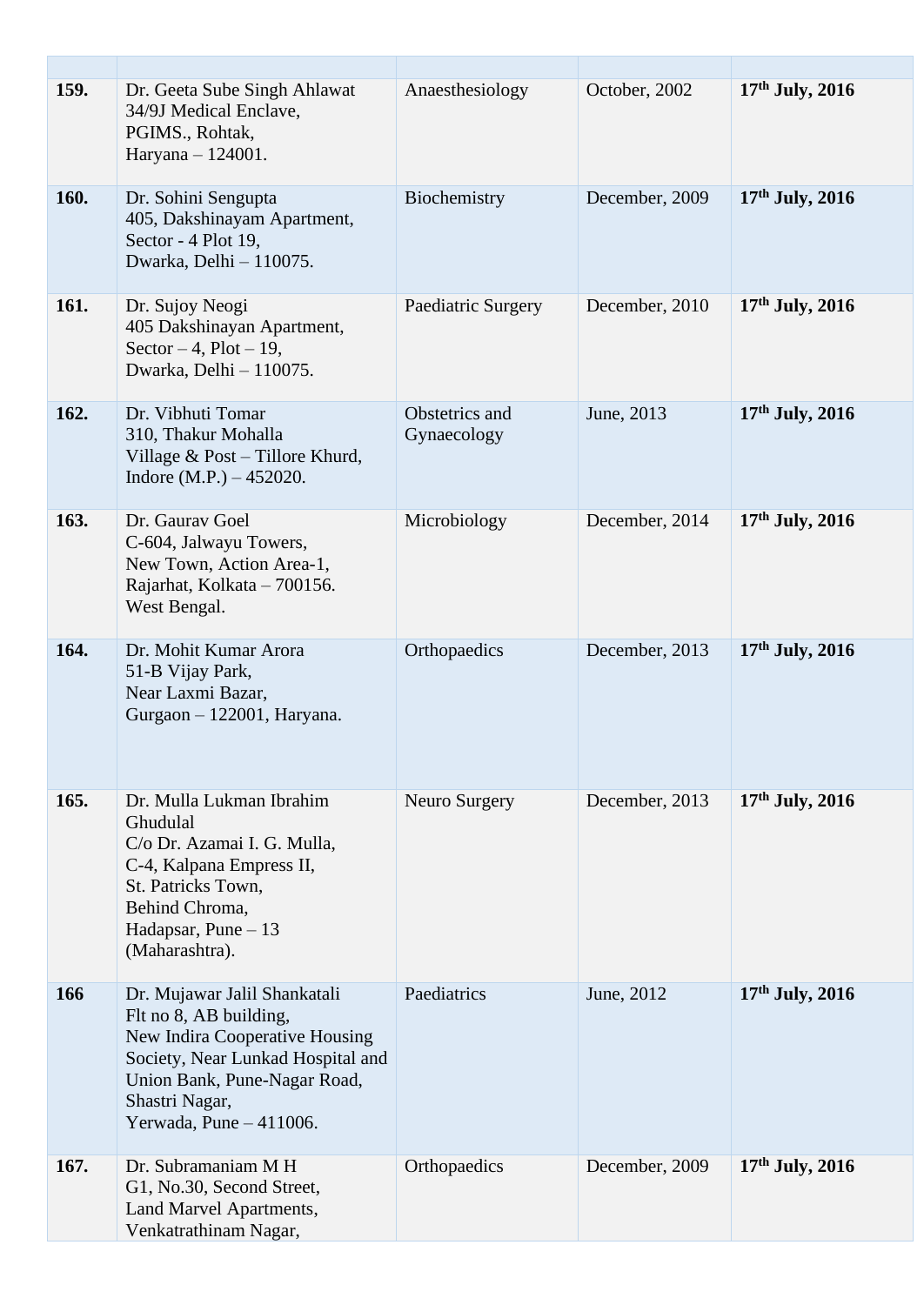| <b>159.</b> | Dr. Geeta Sube Singh Ahlawat<br>34/9J Medical Enclave,<br>PGIMS., Rohtak,<br>Haryana - 124001.                                                                                                             | Anaesthesiology               | October, 2002  | $17th$ July, 2016 |
|-------------|------------------------------------------------------------------------------------------------------------------------------------------------------------------------------------------------------------|-------------------------------|----------------|-------------------|
| 160.        | Dr. Sohini Sengupta<br>405, Dakshinayam Apartment,<br>Sector - 4 Plot 19,<br>Dwarka, Delhi - 110075.                                                                                                       | Biochemistry                  | December, 2009 | $17th$ July, 2016 |
| 161.        | Dr. Sujoy Neogi<br>405 Dakshinayan Apartment,<br>Sector $-4$ , Plot $-19$ ,<br>Dwarka, Delhi - 110075.                                                                                                     | Paediatric Surgery            | December, 2010 | $17th$ July, 2016 |
| 162.        | Dr. Vibhuti Tomar<br>310, Thakur Mohalla<br>Village & Post - Tillore Khurd,<br>Indore $(M.P.) - 452020$ .                                                                                                  | Obstetrics and<br>Gynaecology | June, 2013     | $17th$ July, 2016 |
| 163.        | Dr. Gauray Goel<br>C-604, Jalwayu Towers,<br>New Town, Action Area-1,<br>Rajarhat, Kolkata - 700156.<br>West Bengal.                                                                                       | Microbiology                  | December, 2014 | $17th$ July, 2016 |
| 164.        | Dr. Mohit Kumar Arora<br>51-B Vijay Park,<br>Near Laxmi Bazar,<br>Gurgaon - 122001, Haryana.                                                                                                               | Orthopaedics                  | December, 2013 | $17th$ July, 2016 |
| 165.        | Dr. Mulla Lukman Ibrahim<br>Ghudulal<br>C/o Dr. Azamai I. G. Mulla,<br>C-4, Kalpana Empress II,<br>St. Patricks Town,<br>Behind Chroma,<br>Hadapsar, Pune $-13$<br>(Maharashtra).                          | Neuro Surgery                 | December, 2013 | $17th$ July, 2016 |
| 166         | Dr. Mujawar Jalil Shankatali<br>Flt no 8, AB building,<br>New Indira Cooperative Housing<br>Society, Near Lunkad Hospital and<br>Union Bank, Pune-Nagar Road,<br>Shastri Nagar,<br>Yerwada, Pune - 411006. | Paediatrics                   | June, 2012     | $17th$ July, 2016 |
| 167.        | Dr. Subramaniam M H<br>G1, No.30, Second Street,<br>Land Marvel Apartments,<br>Venkatrathinam Nagar,                                                                                                       | Orthopaedics                  | December, 2009 | $17th$ July, 2016 |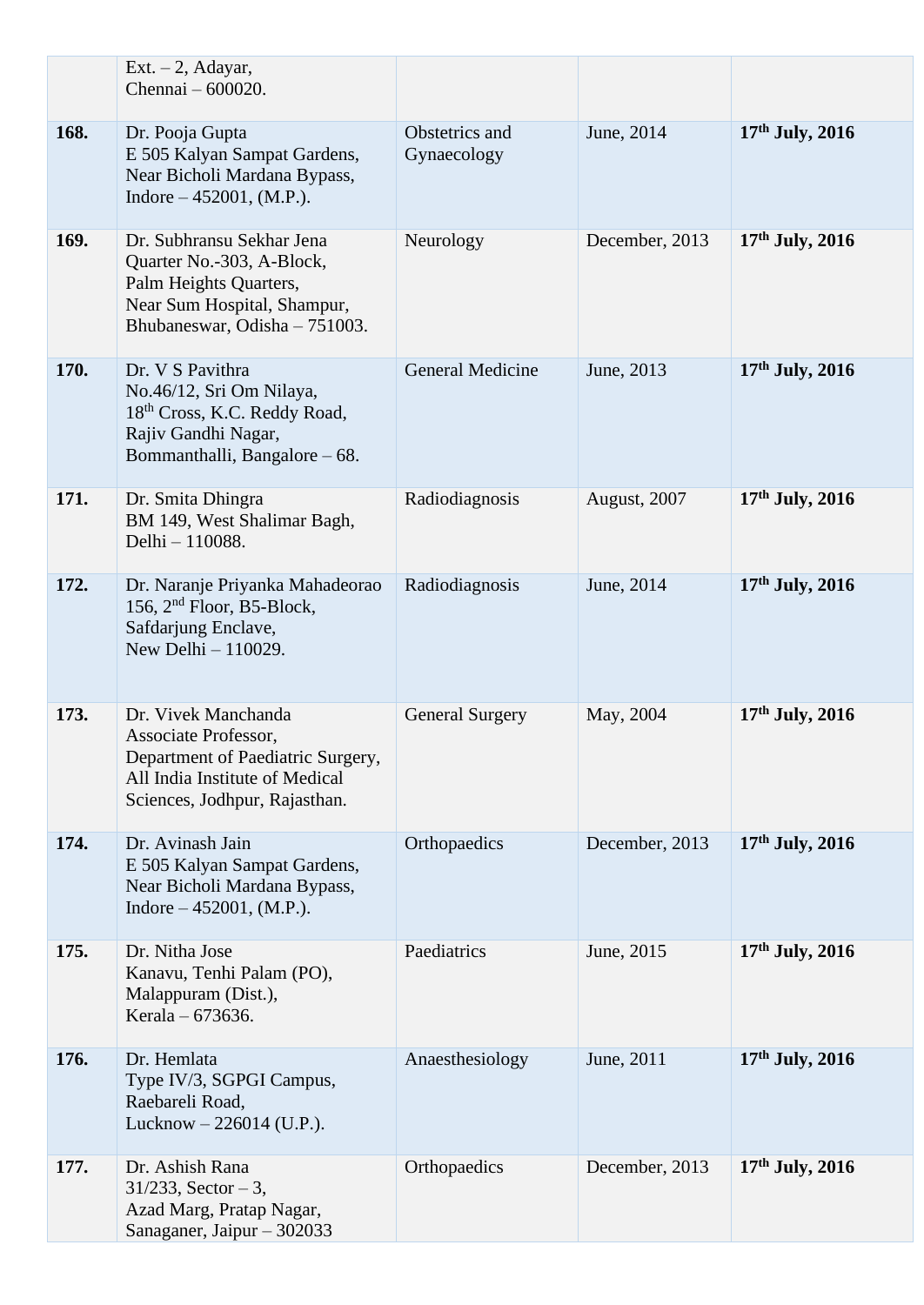|      | $Ext. - 2$ , Adayar,<br>Chennai - 600020.                                                                                                           |                               |                |                   |
|------|-----------------------------------------------------------------------------------------------------------------------------------------------------|-------------------------------|----------------|-------------------|
| 168. | Dr. Pooja Gupta<br>E 505 Kalyan Sampat Gardens,<br>Near Bicholi Mardana Bypass,<br>Indore $-452001$ , (M.P.).                                       | Obstetrics and<br>Gynaecology | June, 2014     | $17th$ July, 2016 |
| 169. | Dr. Subhransu Sekhar Jena<br>Quarter No.-303, A-Block,<br>Palm Heights Quarters,<br>Near Sum Hospital, Shampur,<br>Bhubaneswar, Odisha - 751003.    | Neurology                     | December, 2013 | $17th$ July, 2016 |
| 170. | Dr. V S Pavithra<br>No.46/12, Sri Om Nilaya,<br>18th Cross, K.C. Reddy Road,<br>Rajiv Gandhi Nagar,<br>Bommanthalli, Bangalore – 68.                | <b>General Medicine</b>       | June, 2013     | 17th July, 2016   |
| 171. | Dr. Smita Dhingra<br>BM 149, West Shalimar Bagh,<br>Delhi - 110088.                                                                                 | Radiodiagnosis                | August, 2007   | $17th$ July, 2016 |
| 172. | Dr. Naranje Priyanka Mahadeorao<br>156, $2nd$ Floor, B5-Block,<br>Safdarjung Enclave,<br>New Delhi $-110029$ .                                      | Radiodiagnosis                | June, 2014     | 17th July, 2016   |
| 173. | Dr. Vivek Manchanda<br>Associate Professor,<br>Department of Paediatric Surgery,<br>All India Institute of Medical<br>Sciences, Jodhpur, Rajasthan. | <b>General Surgery</b>        | May, 2004      | $17th$ July, 2016 |
| 174. | Dr. Avinash Jain<br>E 505 Kalyan Sampat Gardens,<br>Near Bicholi Mardana Bypass,<br>Indore $-452001$ , (M.P.).                                      | Orthopaedics                  | December, 2013 | $17th$ July, 2016 |
| 175. | Dr. Nitha Jose<br>Kanavu, Tenhi Palam (PO),<br>Malappuram (Dist.),<br>Kerala – 673636.                                                              | Paediatrics                   | June, 2015     | $17th$ July, 2016 |
| 176. | Dr. Hemlata<br>Type IV/3, SGPGI Campus,<br>Raebareli Road,<br>Lucknow - 226014 (U.P.).                                                              | Anaesthesiology               | June, 2011     | $17th$ July, 2016 |
| 177. | Dr. Ashish Rana<br>$31/233$ , Sector - 3,<br>Azad Marg, Pratap Nagar,<br>Sanaganer, Jaipur - 302033                                                 | Orthopaedics                  | December, 2013 | $17th$ July, 2016 |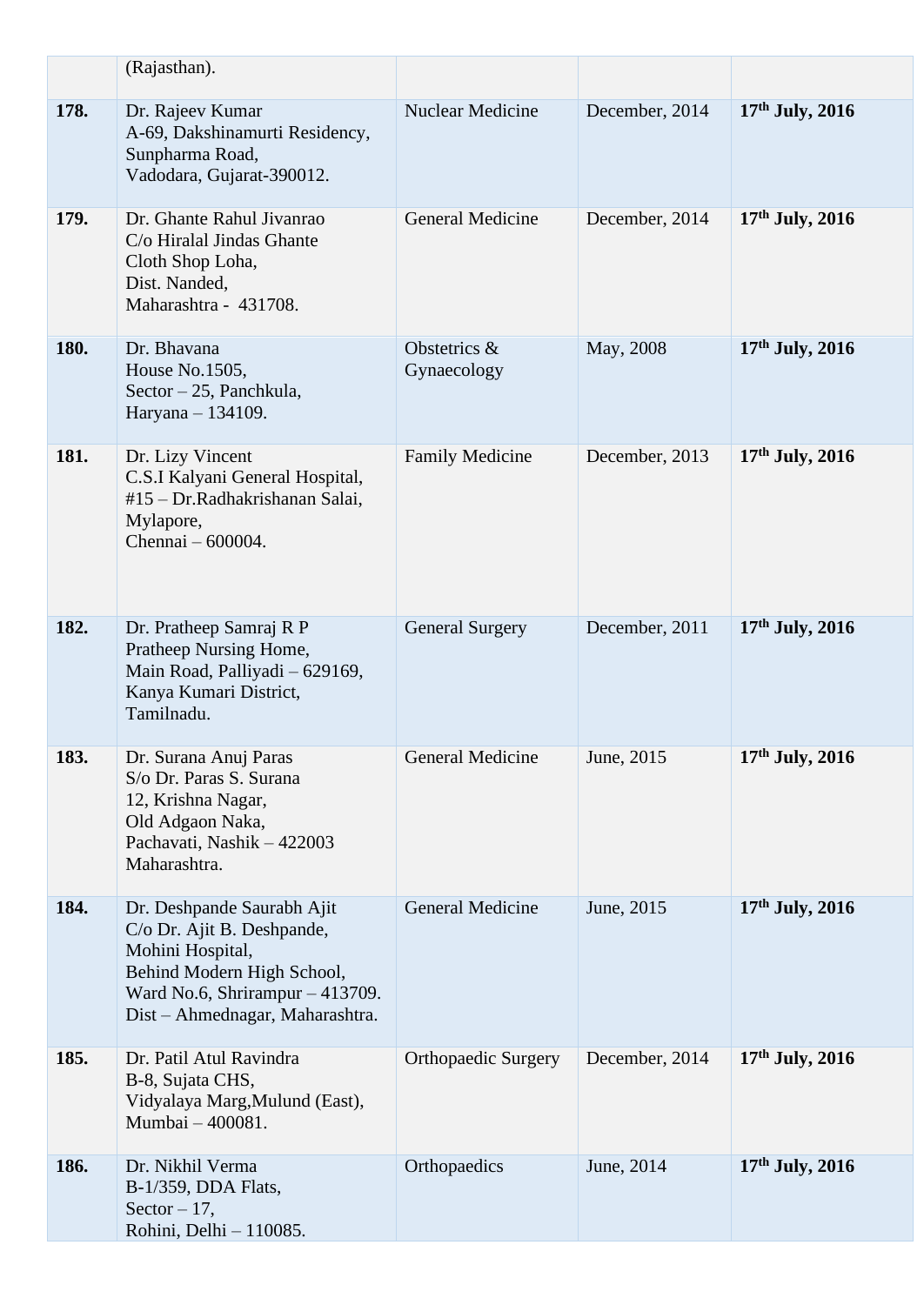|      | (Rajasthan).                                                                                                                                                                     |                             |                |                   |
|------|----------------------------------------------------------------------------------------------------------------------------------------------------------------------------------|-----------------------------|----------------|-------------------|
| 178. | Dr. Rajeev Kumar<br>A-69, Dakshinamurti Residency,<br>Sunpharma Road,<br>Vadodara, Gujarat-390012.                                                                               | <b>Nuclear Medicine</b>     | December, 2014 | $17th$ July, 2016 |
| 179. | Dr. Ghante Rahul Jivanrao<br>C/o Hiralal Jindas Ghante<br>Cloth Shop Loha,<br>Dist. Nanded,<br>Maharashtra - 431708.                                                             | <b>General Medicine</b>     | December, 2014 | $17th$ July, 2016 |
| 180. | Dr. Bhavana<br>House No.1505,<br>Sector – 25, Panchkula,<br>Haryana - 134109.                                                                                                    | Obstetrics &<br>Gynaecology | May, 2008      | 17th July, 2016   |
| 181. | Dr. Lizy Vincent<br>C.S.I Kalyani General Hospital,<br>#15 - Dr.Radhakrishanan Salai,<br>Mylapore,<br>Chennai – 600004.                                                          | <b>Family Medicine</b>      | December, 2013 | $17th$ July, 2016 |
| 182. | Dr. Pratheep Samraj R P<br>Pratheep Nursing Home,<br>Main Road, Palliyadi - 629169,<br>Kanya Kumari District,<br>Tamilnadu.                                                      | <b>General Surgery</b>      | December, 2011 | 17th July, 2016   |
| 183. | Dr. Surana Anuj Paras<br>S/o Dr. Paras S. Surana<br>12, Krishna Nagar,<br>Old Adgaon Naka,<br>Pachavati, Nashik - 422003<br>Maharashtra.                                         | <b>General Medicine</b>     | June, 2015     | 17th July, 2016   |
| 184. | Dr. Deshpande Saurabh Ajit<br>C/o Dr. Ajit B. Deshpande,<br>Mohini Hospital,<br>Behind Modern High School,<br>Ward No.6, Shrirampur - 413709.<br>Dist – Ahmednagar, Maharashtra. | General Medicine            | June, 2015     | $17th$ July, 2016 |
| 185. | Dr. Patil Atul Ravindra<br>B-8, Sujata CHS,<br>Vidyalaya Marg, Mulund (East),<br>Mumbai - 400081.                                                                                | <b>Orthopaedic Surgery</b>  | December, 2014 | $17th$ July, 2016 |
| 186. | Dr. Nikhil Verma<br>B-1/359, DDA Flats,<br>Sector $-17$ ,<br>Rohini, Delhi - 110085.                                                                                             | Orthopaedics                | June, 2014     | $17th$ July, 2016 |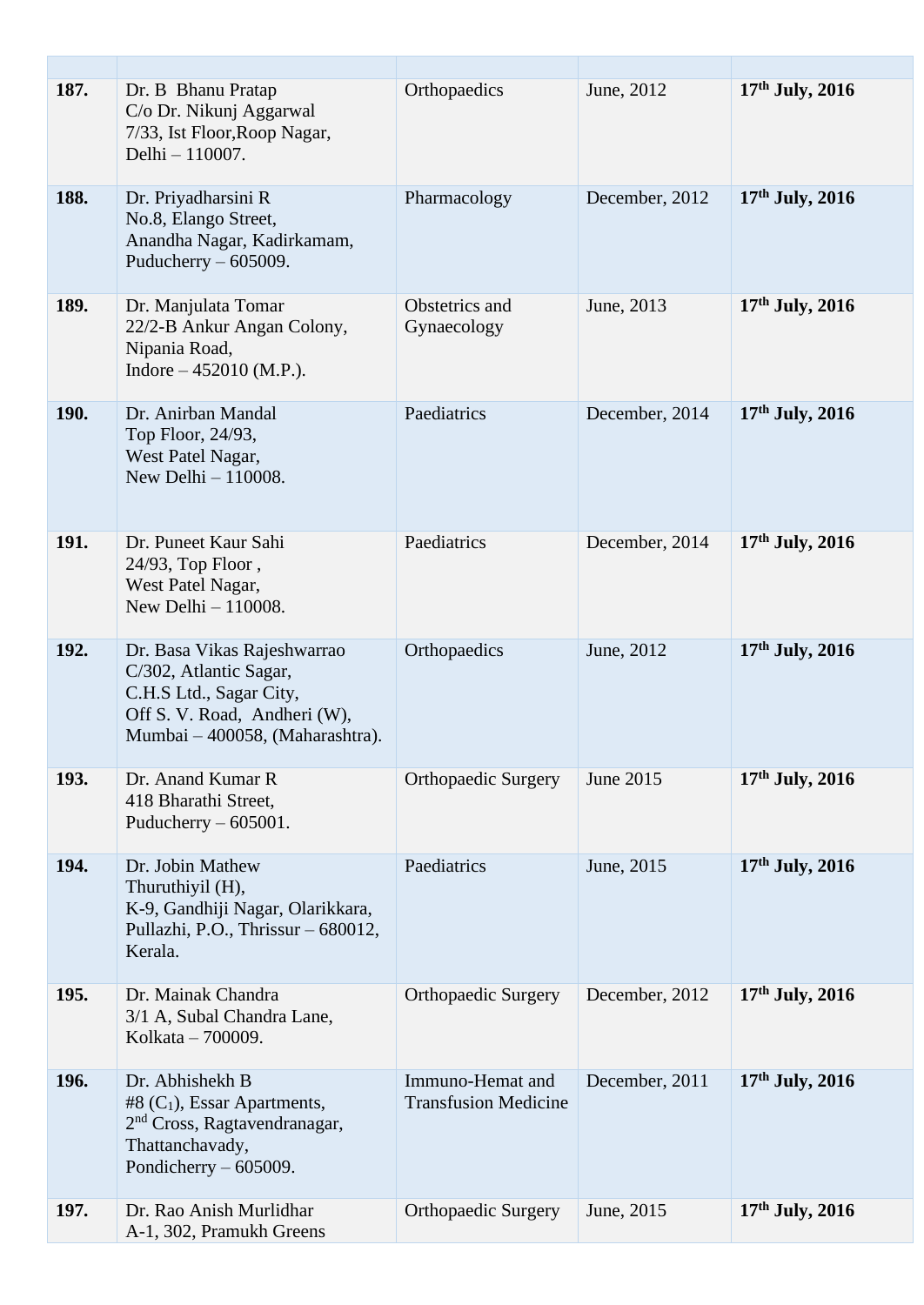| 187.        | Dr. B Bhanu Pratap<br>C/o Dr. Nikunj Aggarwal<br>7/33, Ist Floor, Roop Nagar,<br>Delhi - 110007.                                                    | Orthopaedics                                    | June, 2012     | $17th$ July, 2016 |
|-------------|-----------------------------------------------------------------------------------------------------------------------------------------------------|-------------------------------------------------|----------------|-------------------|
| 188.        | Dr. Priyadharsini R<br>No.8, Elango Street,<br>Anandha Nagar, Kadirkamam,<br>Puducherry $-605009$ .                                                 | Pharmacology                                    | December, 2012 | $17th$ July, 2016 |
| 189.        | Dr. Manjulata Tomar<br>22/2-B Ankur Angan Colony,<br>Nipania Road,<br>Indore $-452010$ (M.P.).                                                      | Obstetrics and<br>Gynaecology                   | June, 2013     | $17th$ July, 2016 |
| <b>190.</b> | Dr. Anirban Mandal<br>Top Floor, 24/93,<br>West Patel Nagar,<br>New Delhi - 110008.                                                                 | Paediatrics                                     | December, 2014 | $17th$ July, 2016 |
| 191.        | Dr. Puneet Kaur Sahi<br>24/93, Top Floor,<br>West Patel Nagar,<br>New Delhi $-110008$ .                                                             | Paediatrics                                     | December, 2014 | $17th$ July, 2016 |
| 192.        | Dr. Basa Vikas Rajeshwarrao<br>C/302, Atlantic Sagar,<br>C.H.S Ltd., Sagar City,<br>Off S. V. Road, Andheri (W),<br>Mumbai – 400058, (Maharashtra). | Orthopaedics                                    | June, 2012     | $17th$ July, 2016 |
| 193.        | Dr. Anand Kumar R<br>418 Bharathi Street,<br>Puducherry $-605001$ .                                                                                 | <b>Orthopaedic Surgery</b>                      | June 2015      | $17th$ July, 2016 |
| 194.        | Dr. Jobin Mathew<br>Thuruthiyil (H),<br>K-9, Gandhiji Nagar, Olarikkara,<br>Pullazhi, P.O., Thrissur - 680012,<br>Kerala.                           | Paediatrics                                     | June, 2015     | $17th$ July, 2016 |
| 195.        | Dr. Mainak Chandra<br>3/1 A, Subal Chandra Lane,<br>Kolkata – 700009.                                                                               | <b>Orthopaedic Surgery</b>                      | December, 2012 | $17th$ July, 2016 |
| 196.        | Dr. Abhishekh B<br>#8 $(C_1)$ , Essar Apartments,<br>2 <sup>nd</sup> Cross, Ragtavendranagar,<br>Thattanchavady,<br>Pondicherry $-605009$ .         | Immuno-Hemat and<br><b>Transfusion Medicine</b> | December, 2011 | $17th$ July, 2016 |
| 197.        | Dr. Rao Anish Murlidhar<br>A-1, 302, Pramukh Greens                                                                                                 | <b>Orthopaedic Surgery</b>                      | June, 2015     | $17th$ July, 2016 |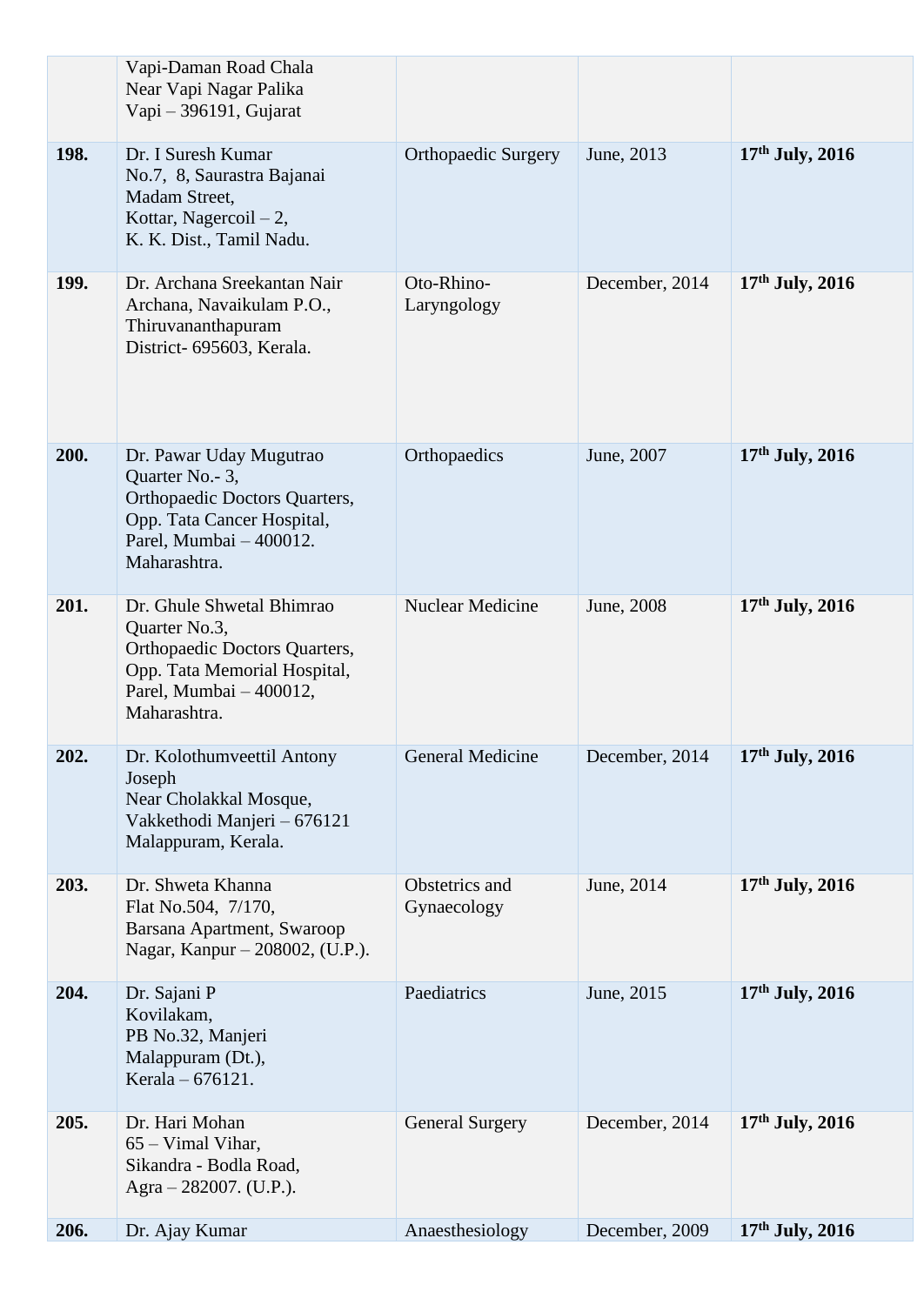|      | Vapi-Daman Road Chala<br>Near Vapi Nagar Palika<br>Vapi - 396191, Gujarat                                                                              |                               |                |                   |
|------|--------------------------------------------------------------------------------------------------------------------------------------------------------|-------------------------------|----------------|-------------------|
| 198. | Dr. I Suresh Kumar<br>No.7, 8, Saurastra Bajanai<br>Madam Street,<br>Kottar, Nagercoil $-2$ ,<br>K. K. Dist., Tamil Nadu.                              | <b>Orthopaedic Surgery</b>    | June, 2013     | $17th$ July, 2016 |
| 199. | Dr. Archana Sreekantan Nair<br>Archana, Navaikulam P.O.,<br>Thiruvananthapuram<br>District- 695603, Kerala.                                            | Oto-Rhino-<br>Laryngology     | December, 2014 | $17th$ July, 2016 |
| 200. | Dr. Pawar Uday Mugutrao<br>Quarter No. - 3,<br>Orthopaedic Doctors Quarters,<br>Opp. Tata Cancer Hospital,<br>Parel, Mumbai - 400012.<br>Maharashtra.  | Orthopaedics                  | June, 2007     | $17th$ July, 2016 |
| 201. | Dr. Ghule Shwetal Bhimrao<br>Quarter No.3,<br>Orthopaedic Doctors Quarters,<br>Opp. Tata Memorial Hospital,<br>Parel, Mumbai - 400012,<br>Maharashtra. | <b>Nuclear Medicine</b>       | June, 2008     | 17th July, 2016   |
| 202. | Dr. Kolothumveettil Antony<br>Joseph<br>Near Cholakkal Mosque,<br>Vakkethodi Manjeri - 676121<br>Malappuram, Kerala.                                   | General Medicine              | December, 2014 | $17th$ July, 2016 |
| 203. | Dr. Shweta Khanna<br>Flat No.504, 7/170,<br>Barsana Apartment, Swaroop<br>Nagar, Kanpur – 208002, (U.P.).                                              | Obstetrics and<br>Gynaecology | June, 2014     | $17th$ July, 2016 |
| 204. | Dr. Sajani P<br>Kovilakam,<br>PB No.32, Manjeri<br>Malappuram (Dt.),<br>Kerala - 676121.                                                               | Paediatrics                   | June, 2015     | $17th$ July, 2016 |
| 205. | Dr. Hari Mohan<br>$65 - Vimal Vihar,$<br>Sikandra - Bodla Road,<br>Agra $-282007$ . (U.P.).                                                            | <b>General Surgery</b>        | December, 2014 | $17th$ July, 2016 |
| 206. | Dr. Ajay Kumar                                                                                                                                         | Anaesthesiology               | December, 2009 | $17th$ July, 2016 |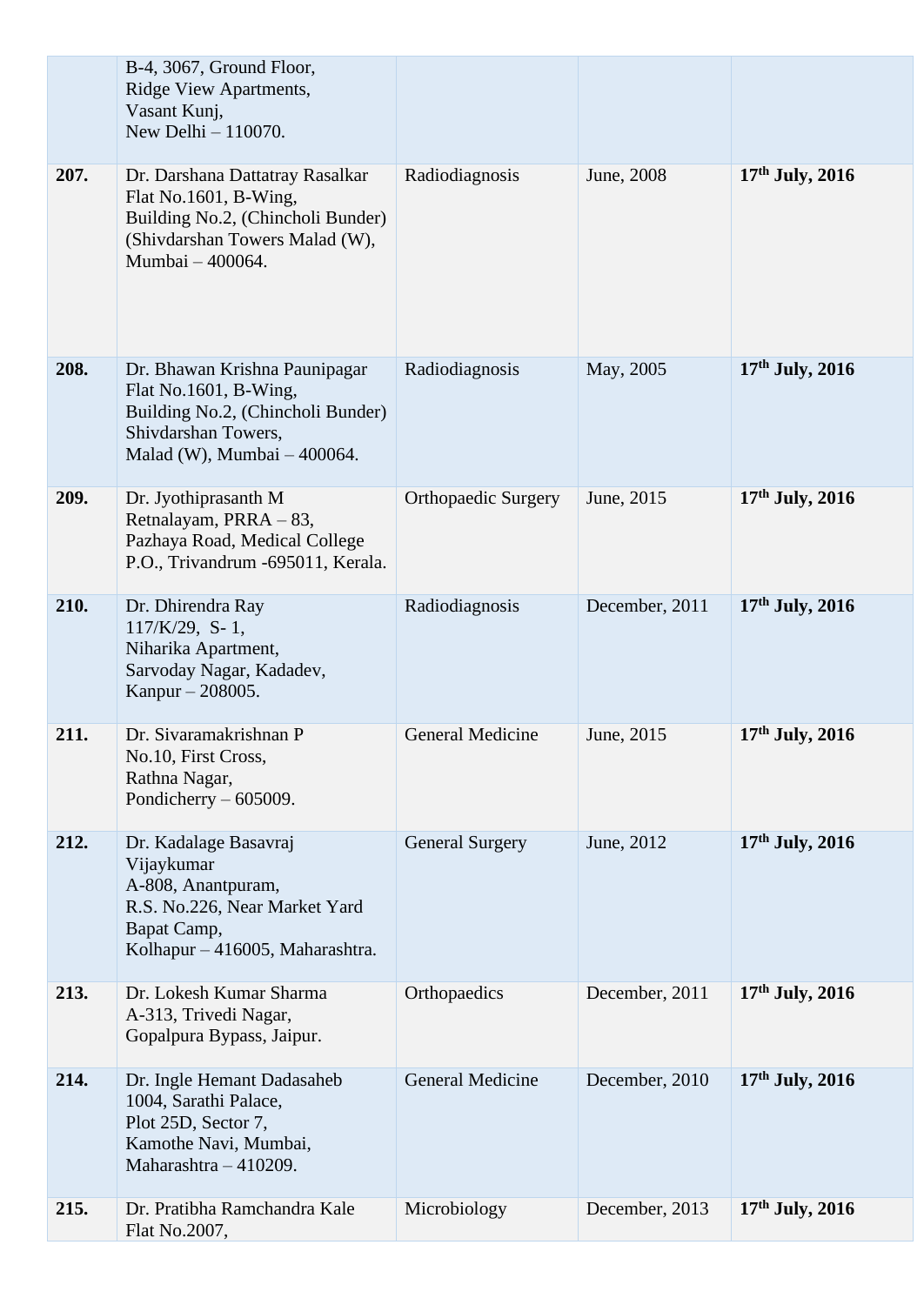|      | B-4, 3067, Ground Floor,<br>Ridge View Apartments,<br>Vasant Kunj,<br>New Delhi - 110070.                                                           |                            |                |                   |
|------|-----------------------------------------------------------------------------------------------------------------------------------------------------|----------------------------|----------------|-------------------|
| 207. | Dr. Darshana Dattatray Rasalkar<br>Flat No.1601, B-Wing,<br>Building No.2, (Chincholi Bunder)<br>(Shivdarshan Towers Malad (W),<br>Mumbai - 400064. | Radiodiagnosis             | June, 2008     | $17th$ July, 2016 |
| 208. | Dr. Bhawan Krishna Paunipagar<br>Flat No.1601, B-Wing,<br>Building No.2, (Chincholi Bunder)<br>Shivdarshan Towers,<br>Malad (W), Mumbai - 400064.   | Radiodiagnosis             | May, 2005      | $17th$ July, 2016 |
| 209. | Dr. Jyothiprasanth M<br>Retnalayam, PRRA - 83,<br>Pazhaya Road, Medical College<br>P.O., Trivandrum -695011, Kerala.                                | <b>Orthopaedic Surgery</b> | June, 2015     | $17th$ July, 2016 |
| 210. | Dr. Dhirendra Ray<br>$117/K/29$ , S-1,<br>Niharika Apartment,<br>Sarvoday Nagar, Kadadev,<br>Kanpur - 208005.                                       | Radiodiagnosis             | December, 2011 | $17th$ July, 2016 |
| 211. | Dr. Sivaramakrishnan P<br>No.10, First Cross,<br>Rathna Nagar,<br>Pondicherry $-605009$ .                                                           | <b>General Medicine</b>    | June, 2015     | 17th July, 2016   |
| 212. | Dr. Kadalage Basavraj<br>Vijaykumar<br>A-808, Anantpuram,<br>R.S. No.226, Near Market Yard<br>Bapat Camp,<br>Kolhapur - 416005, Maharashtra.        | <b>General Surgery</b>     | June, 2012     | $17th$ July, 2016 |
| 213. | Dr. Lokesh Kumar Sharma<br>A-313, Trivedi Nagar,<br>Gopalpura Bypass, Jaipur.                                                                       | Orthopaedics               | December, 2011 | $17th$ July, 2016 |
| 214. | Dr. Ingle Hemant Dadasaheb<br>1004, Sarathi Palace,<br>Plot 25D, Sector 7,<br>Kamothe Navi, Mumbai,<br>Maharashtra - 410209.                        | <b>General Medicine</b>    | December, 2010 | $17th$ July, 2016 |
| 215. | Dr. Pratibha Ramchandra Kale<br>Flat No.2007,                                                                                                       | Microbiology               | December, 2013 | $17th$ July, 2016 |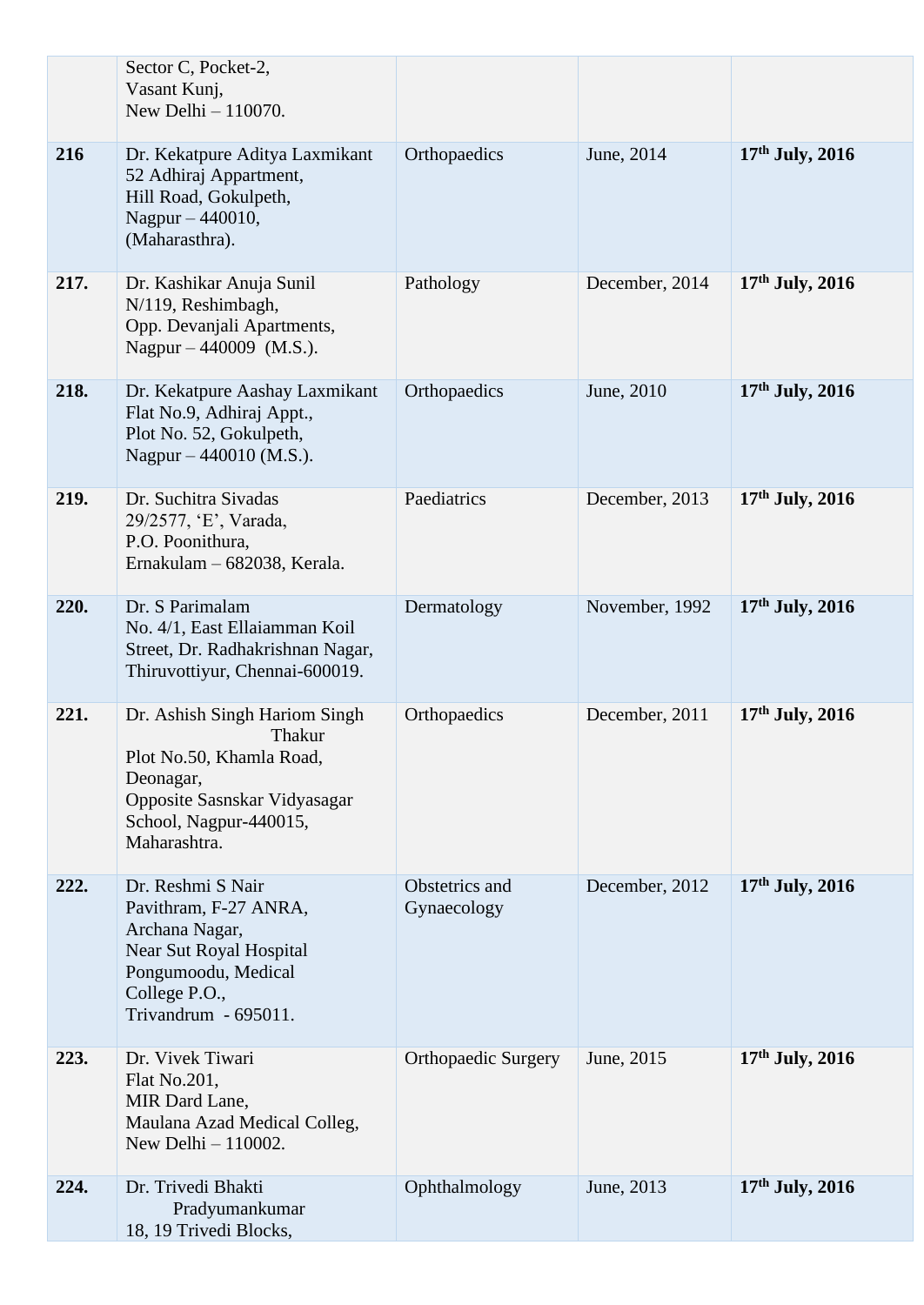|      | Sector C, Pocket-2,<br>Vasant Kunj,<br>New Delhi - 110070.                                                                                                 |                               |                |                   |
|------|------------------------------------------------------------------------------------------------------------------------------------------------------------|-------------------------------|----------------|-------------------|
| 216  | Dr. Kekatpure Aditya Laxmikant<br>52 Adhiraj Appartment,<br>Hill Road, Gokulpeth,<br>Nagpur - 440010,<br>(Maharasthra).                                    | Orthopaedics                  | June, 2014     | $17th$ July, 2016 |
| 217. | Dr. Kashikar Anuja Sunil<br>N/119, Reshimbagh,<br>Opp. Devanjali Apartments,<br>Nagpur $-440009$ (M.S.).                                                   | Pathology                     | December, 2014 | $17th$ July, 2016 |
| 218. | Dr. Kekatpure Aashay Laxmikant<br>Flat No.9, Adhiraj Appt.,<br>Plot No. 52, Gokulpeth,<br>Nagpur $-440010$ (M.S.).                                         | Orthopaedics                  | June, 2010     | $17th$ July, 2016 |
| 219. | Dr. Suchitra Sivadas<br>29/2577, 'E', Varada,<br>P.O. Poonithura,<br>Ernakulam - 682038, Kerala.                                                           | Paediatrics                   | December, 2013 | $17th$ July, 2016 |
| 220. | Dr. S Parimalam<br>No. 4/1, East Ellaiamman Koil<br>Street, Dr. Radhakrishnan Nagar,<br>Thiruvottiyur, Chennai-600019.                                     | Dermatology                   | November, 1992 | $17th$ July, 2016 |
| 221. | Dr. Ashish Singh Hariom Singh<br>Thakur<br>Plot No.50, Khamla Road,<br>Deonagar,<br>Opposite Sasnskar Vidyasagar<br>School, Nagpur-440015,<br>Maharashtra. | Orthopaedics                  | December, 2011 | $17th$ July, 2016 |
| 222. | Dr. Reshmi S Nair<br>Pavithram, F-27 ANRA,<br>Archana Nagar,<br>Near Sut Royal Hospital<br>Pongumoodu, Medical<br>College P.O.,<br>Trivandrum - 695011.    | Obstetrics and<br>Gynaecology | December, 2012 | $17th$ July, 2016 |
| 223. | Dr. Vivek Tiwari<br>Flat No.201,<br>MIR Dard Lane,<br>Maulana Azad Medical Colleg,<br>New Delhi $-110002$ .                                                | <b>Orthopaedic Surgery</b>    | June, 2015     | $17th$ July, 2016 |
| 224. | Dr. Trivedi Bhakti<br>Pradyumankumar<br>18, 19 Trivedi Blocks,                                                                                             | Ophthalmology                 | June, 2013     | $17th$ July, 2016 |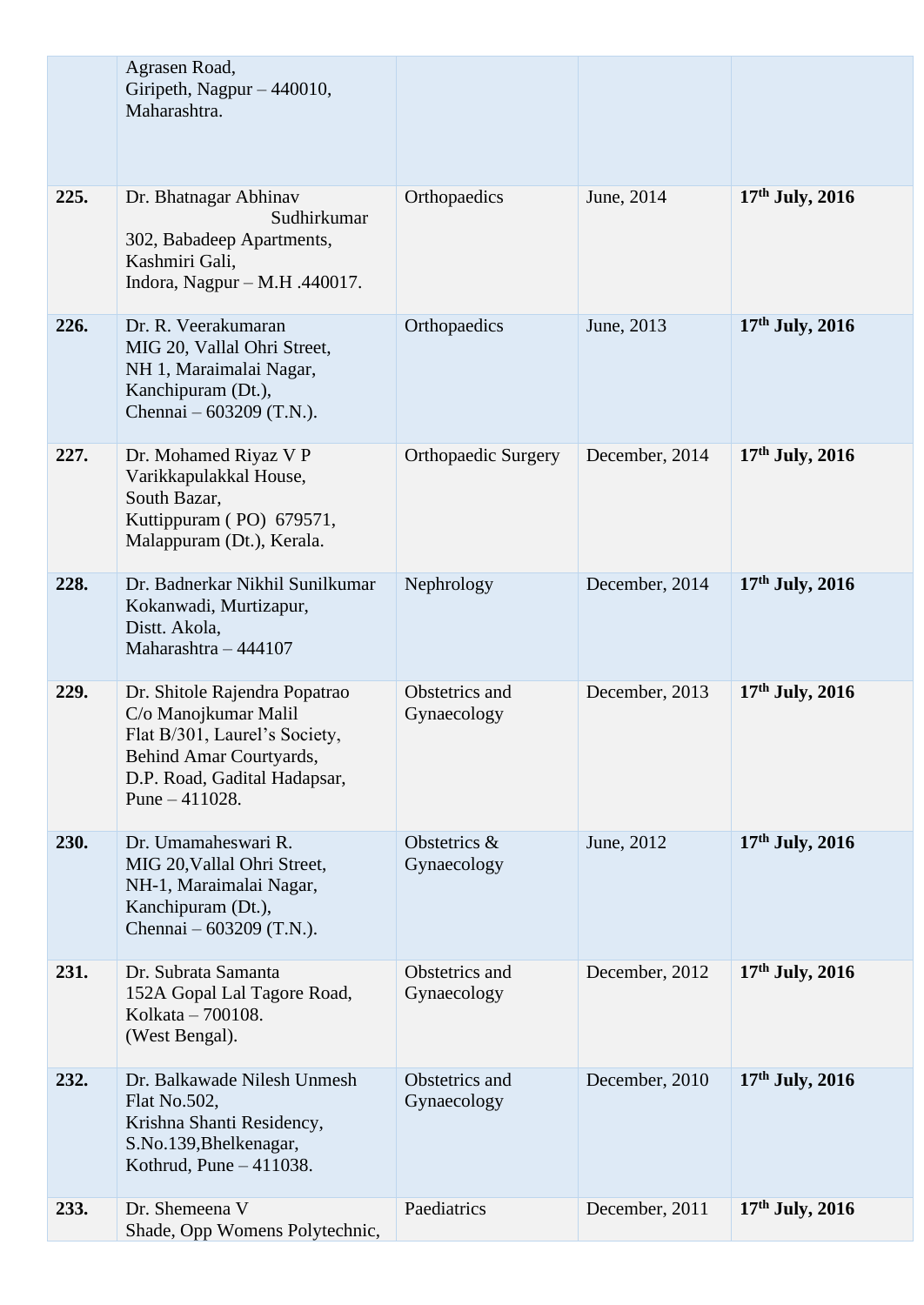|      | Agrasen Road,<br>Giripeth, Nagpur - 440010,<br>Maharashtra.                                                                                                           |                               |                |                   |
|------|-----------------------------------------------------------------------------------------------------------------------------------------------------------------------|-------------------------------|----------------|-------------------|
| 225. | Dr. Bhatnagar Abhinav<br>Sudhirkumar<br>302, Babadeep Apartments,<br>Kashmiri Gali,<br>Indora, Nagpur – M.H. $.440017$ .                                              | Orthopaedics                  | June, 2014     | $17th$ July, 2016 |
| 226. | Dr. R. Veerakumaran<br>MIG 20, Vallal Ohri Street,<br>NH 1, Maraimalai Nagar,<br>Kanchipuram (Dt.),<br>Chennai – 603209 (T.N.).                                       | Orthopaedics                  | June, 2013     | $17th$ July, 2016 |
| 227. | Dr. Mohamed Riyaz V P<br>Varikkapulakkal House,<br>South Bazar,<br>Kuttippuram (PO) 679571,<br>Malappuram (Dt.), Kerala.                                              | <b>Orthopaedic Surgery</b>    | December, 2014 | $17th$ July, 2016 |
| 228. | Dr. Badnerkar Nikhil Sunilkumar<br>Kokanwadi, Murtizapur,<br>Distt. Akola,<br>Maharashtra - 444107                                                                    | Nephrology                    | December, 2014 | $17th$ July, 2016 |
| 229. | Dr. Shitole Rajendra Popatrao<br>C/o Manojkumar Malil<br>Flat B/301, Laurel's Society,<br>Behind Amar Courtyards,<br>D.P. Road, Gadital Hadapsar,<br>Pune $-411028$ . | Obstetrics and<br>Gynaecology | December, 2013 | $17th$ July, 2016 |
| 230. | Dr. Umamaheswari R.<br>MIG 20, Vallal Ohri Street,<br>NH-1, Maraimalai Nagar,<br>Kanchipuram (Dt.),<br>Chennai – 603209 (T.N.).                                       | Obstetrics &<br>Gynaecology   | June, 2012     | $17th$ July, 2016 |
| 231. | Dr. Subrata Samanta<br>152A Gopal Lal Tagore Road,<br>Kolkata - 700108.<br>(West Bengal).                                                                             | Obstetrics and<br>Gynaecology | December, 2012 | $17th$ July, 2016 |
| 232. | Dr. Balkawade Nilesh Unmesh<br>Flat No.502,<br>Krishna Shanti Residency,<br>S.No.139, Bhelkenagar,<br>Kothrud, Pune - 411038.                                         | Obstetrics and<br>Gynaecology | December, 2010 | $17th$ July, 2016 |
| 233. | Dr. Shemeena V<br>Shade, Opp Womens Polytechnic,                                                                                                                      | Paediatrics                   | December, 2011 | $17th$ July, 2016 |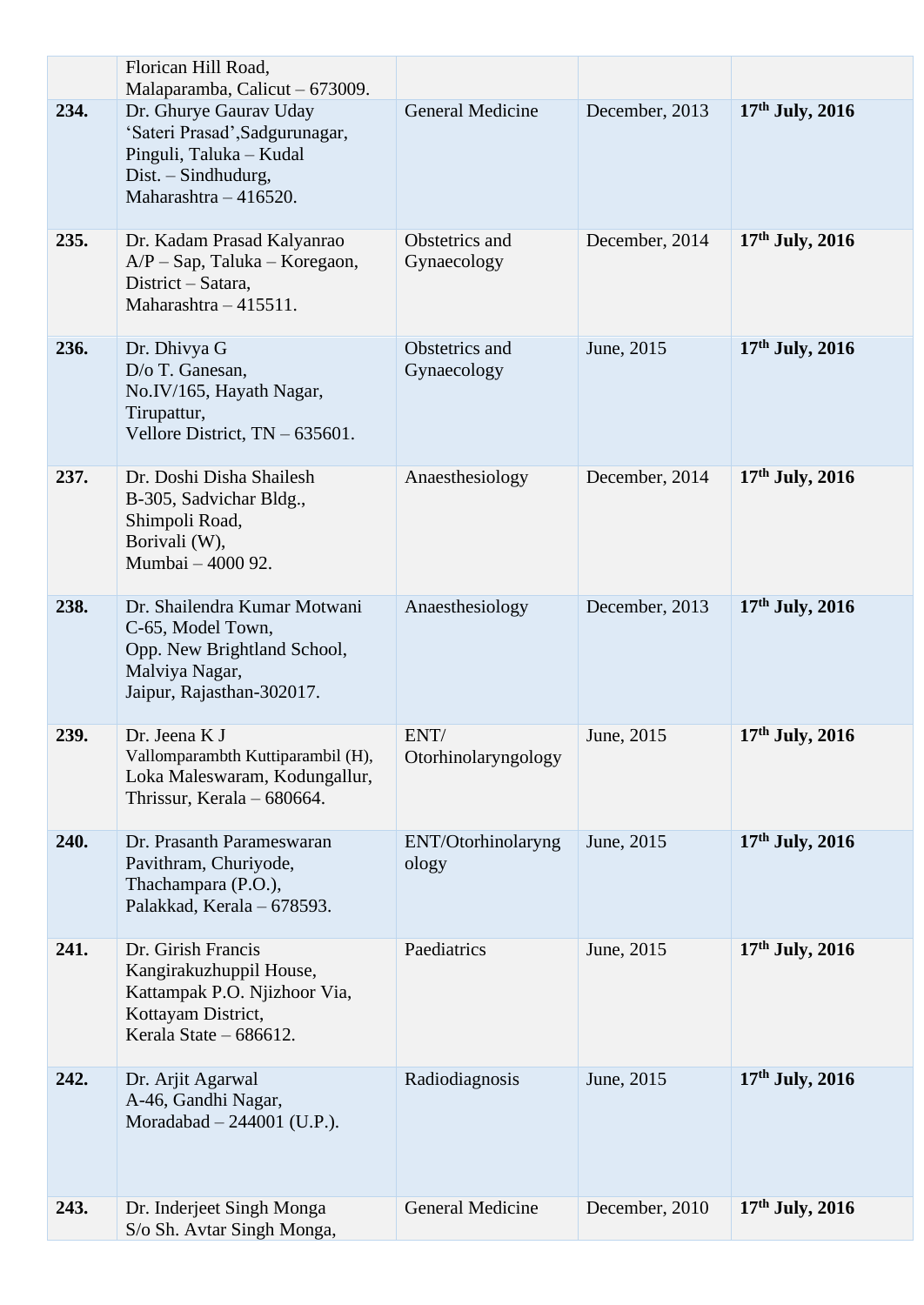|      | Florican Hill Road,                                                                                                                                                   |                               |                |                   |
|------|-----------------------------------------------------------------------------------------------------------------------------------------------------------------------|-------------------------------|----------------|-------------------|
| 234. | Malaparamba, Calicut - 673009.<br>Dr. Ghurye Gaurav Uday<br>'Sateri Prasad', Sadgurunagar,<br>Pinguli, Taluka - Kudal<br>Dist. - Sindhudurg,<br>Maharashtra - 416520. | <b>General Medicine</b>       | December, 2013 | $17th$ July, 2016 |
| 235. | Dr. Kadam Prasad Kalyanrao<br>$A/P$ – Sap, Taluka – Koregaon,<br>District - Satara,<br>Maharashtra $-415511$ .                                                        | Obstetrics and<br>Gynaecology | December, 2014 | $17th$ July, 2016 |
| 236. | Dr. Dhivya G<br>D/o T. Ganesan,<br>No.IV/165, Hayath Nagar,<br>Tirupattur,<br>Vellore District, TN - 635601.                                                          | Obstetrics and<br>Gynaecology | June, 2015     | $17th$ July, 2016 |
| 237. | Dr. Doshi Disha Shailesh<br>B-305, Sadvichar Bldg.,<br>Shimpoli Road,<br>Borivali (W),<br>Mumbai - 4000 92.                                                           | Anaesthesiology               | December, 2014 | 17th July, 2016   |
| 238. | Dr. Shailendra Kumar Motwani<br>C-65, Model Town,<br>Opp. New Brightland School,<br>Malviya Nagar,<br>Jaipur, Rajasthan-302017.                                       | Anaesthesiology               | December, 2013 | $17th$ July, 2016 |
| 239. | Dr. Jeena K J<br>Vallomparambth Kuttiparambil (H),<br>Loka Maleswaram, Kodungallur,<br>Thrissur, Kerala – 680664.                                                     | ENT/<br>Otorhinolaryngology   | June, 2015     | $17th$ July, 2016 |
| 240. | Dr. Prasanth Parameswaran<br>Pavithram, Churiyode,<br>Thachampara (P.O.),<br>Palakkad, Kerala - 678593.                                                               | ENT/Otorhinolaryng<br>ology   | June, 2015     | $17th$ July, 2016 |
| 241. | Dr. Girish Francis<br>Kangirakuzhuppil House,<br>Kattampak P.O. Njizhoor Via,<br>Kottayam District,<br>Kerala State - 686612.                                         | Paediatrics                   | June, 2015     | $17th$ July, 2016 |
| 242. | Dr. Arjit Agarwal<br>A-46, Gandhi Nagar,<br>Moradabad $- 244001$ (U.P.).                                                                                              | Radiodiagnosis                | June, 2015     | $17th$ July, 2016 |
| 243. | Dr. Inderjeet Singh Monga<br>S/o Sh. Avtar Singh Monga,                                                                                                               | <b>General Medicine</b>       | December, 2010 | $17th$ July, 2016 |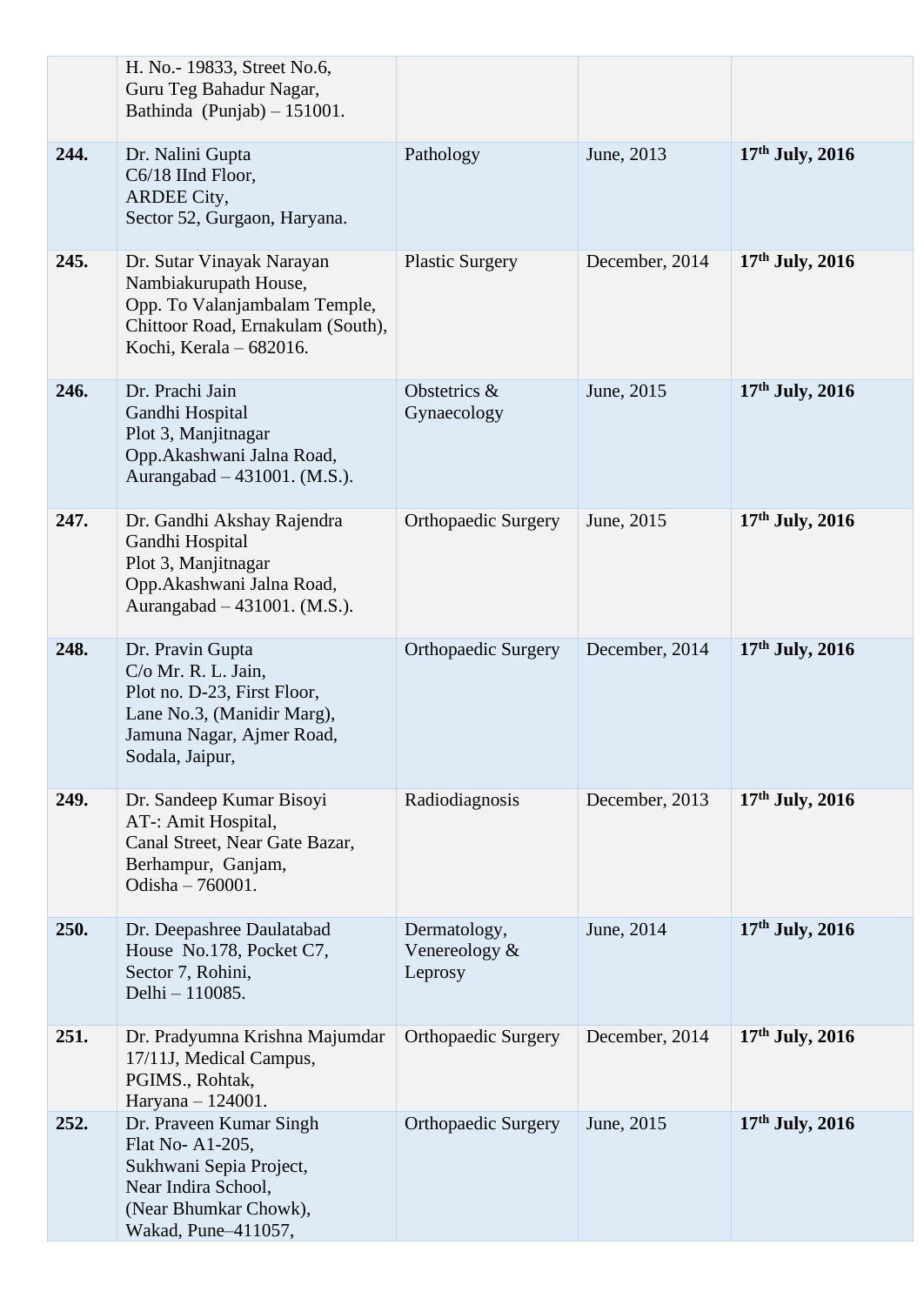|      | H. No. - 19833, Street No.6,<br>Guru Teg Bahadur Nagar,<br>Bathinda (Punjab) $-151001$ .                                                             |                                          |                |                   |
|------|------------------------------------------------------------------------------------------------------------------------------------------------------|------------------------------------------|----------------|-------------------|
| 244. | Dr. Nalini Gupta<br>C6/18 IInd Floor,<br><b>ARDEE City,</b><br>Sector 52, Gurgaon, Haryana.                                                          | Pathology                                | June, 2013     | $17th$ July, 2016 |
| 245. | Dr. Sutar Vinayak Narayan<br>Nambiakurupath House,<br>Opp. To Valanjambalam Temple,<br>Chittoor Road, Ernakulam (South),<br>Kochi, Kerala - 682016.  | <b>Plastic Surgery</b>                   | December, 2014 | $17th$ July, 2016 |
| 246. | Dr. Prachi Jain<br>Gandhi Hospital<br>Plot 3, Manjitnagar<br>Opp.Akashwani Jalna Road,<br>Aurangabad – 431001. (M.S.).                               | Obstetrics &<br>Gynaecology              | June, 2015     | 17th July, 2016   |
| 247. | Dr. Gandhi Akshay Rajendra<br>Gandhi Hospital<br>Plot 3, Manjitnagar<br>Opp.Akashwani Jalna Road,<br>Aurangabad – 431001. (M.S.).                    | <b>Orthopaedic Surgery</b>               | June, 2015     | $17th$ July, 2016 |
| 248. | Dr. Pravin Gupta<br>C/o Mr. R. L. Jain,<br>Plot no. D-23, First Floor,<br>Lane No.3, (Manidir Marg),<br>Jamuna Nagar, Ajmer Road,<br>Sodala, Jaipur, | <b>Orthopaedic Surgery</b>               | December, 2014 | $17th$ July, 2016 |
| 249. | Dr. Sandeep Kumar Bisoyi<br>AT-: Amit Hospital,<br>Canal Street, Near Gate Bazar,<br>Berhampur, Ganjam,<br>Odisha - 760001.                          | Radiodiagnosis                           | December, 2013 | $17th$ July, 2016 |
| 250. | Dr. Deepashree Daulatabad<br>House No.178, Pocket C7,<br>Sector 7, Rohini,<br>Delhi - 110085.                                                        | Dermatology,<br>Venereology &<br>Leprosy | June, 2014     | 17th July, 2016   |
| 251. | Dr. Pradyumna Krishna Majumdar<br>17/11J, Medical Campus,<br>PGIMS., Rohtak,<br>Haryana - 124001.                                                    | <b>Orthopaedic Surgery</b>               | December, 2014 | $17th$ July, 2016 |
| 252. | Dr. Praveen Kumar Singh<br>Flat No-A1-205,<br>Sukhwani Sepia Project,<br>Near Indira School,<br>(Near Bhumkar Chowk),<br>Wakad, Pune-411057,         | <b>Orthopaedic Surgery</b>               | June, 2015     | $17th$ July, 2016 |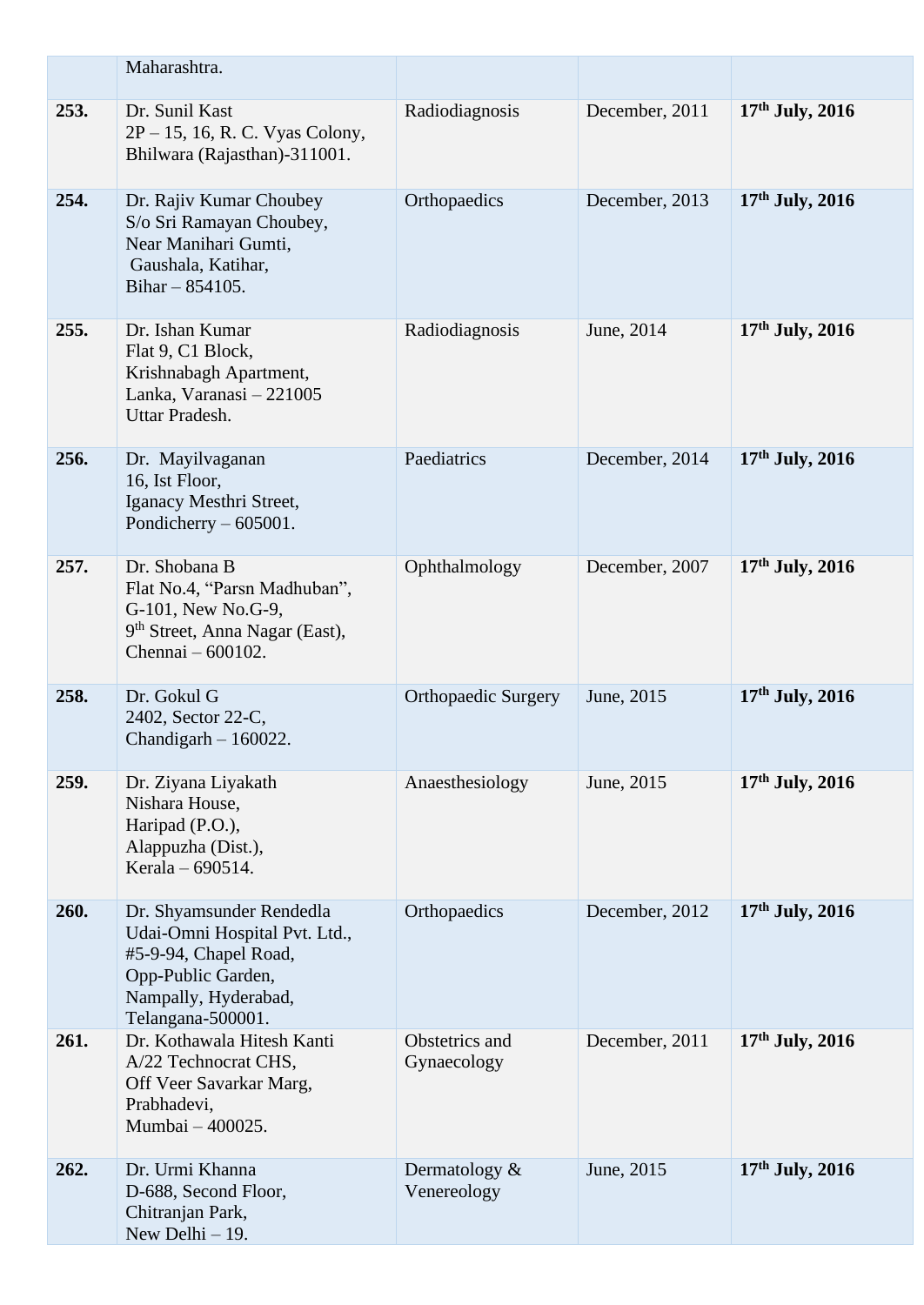|      | Maharashtra.                                                                                                                                          |                                 |                |                   |
|------|-------------------------------------------------------------------------------------------------------------------------------------------------------|---------------------------------|----------------|-------------------|
| 253. | Dr. Sunil Kast<br>2P – 15, 16, R. C. Vyas Colony,<br>Bhilwara (Rajasthan)-311001.                                                                     | Radiodiagnosis                  | December, 2011 | $17th$ July, 2016 |
| 254. | Dr. Rajiv Kumar Choubey<br>S/o Sri Ramayan Choubey,<br>Near Manihari Gumti,<br>Gaushala, Katihar,<br>Bihar $-854105$ .                                | Orthopaedics                    | December, 2013 | $17th$ July, 2016 |
| 255. | Dr. Ishan Kumar<br>Flat 9, C1 Block,<br>Krishnabagh Apartment,<br>Lanka, Varanasi - 221005<br>Uttar Pradesh.                                          | Radiodiagnosis                  | June, 2014     | $17th$ July, 2016 |
| 256. | Dr. Mayilvaganan<br>16, Ist Floor,<br>Iganacy Mesthri Street,<br>Pondicherry $-605001$ .                                                              | Paediatrics                     | December, 2014 | $17th$ July, 2016 |
| 257. | Dr. Shobana B<br>Flat No.4, "Parsn Madhuban",<br>G-101, New No.G-9,<br>9 <sup>th</sup> Street, Anna Nagar (East),<br>Chennai – 600102.                | Ophthalmology                   | December, 2007 | $17th$ July, 2016 |
| 258. | Dr. Gokul G<br>2402, Sector 22-C,<br>Chandigarh $-160022$ .                                                                                           | <b>Orthopaedic Surgery</b>      | June, 2015     | $17th$ July, 2016 |
| 259. | Dr. Ziyana Liyakath<br>Nishara House,<br>Haripad (P.O.),<br>Alappuzha (Dist.),<br>Kerala – $690514$ .                                                 | Anaesthesiology                 | June, 2015     | $17th$ July, 2016 |
| 260. | Dr. Shyamsunder Rendedla<br>Udai-Omni Hospital Pvt. Ltd.,<br>#5-9-94, Chapel Road,<br>Opp-Public Garden,<br>Nampally, Hyderabad,<br>Telangana-500001. | Orthopaedics                    | December, 2012 | 17th July, 2016   |
| 261. | Dr. Kothawala Hitesh Kanti<br>A/22 Technocrat CHS,<br>Off Veer Savarkar Marg,<br>Prabhadevi,<br>Mumbai - 400025.                                      | Obstetrics and<br>Gynaecology   | December, 2011 | $17th$ July, 2016 |
| 262. | Dr. Urmi Khanna<br>D-688, Second Floor,<br>Chitranjan Park,<br>New Delhi $-19$ .                                                                      | Dermatology $\&$<br>Venereology | June, 2015     | $17th$ July, 2016 |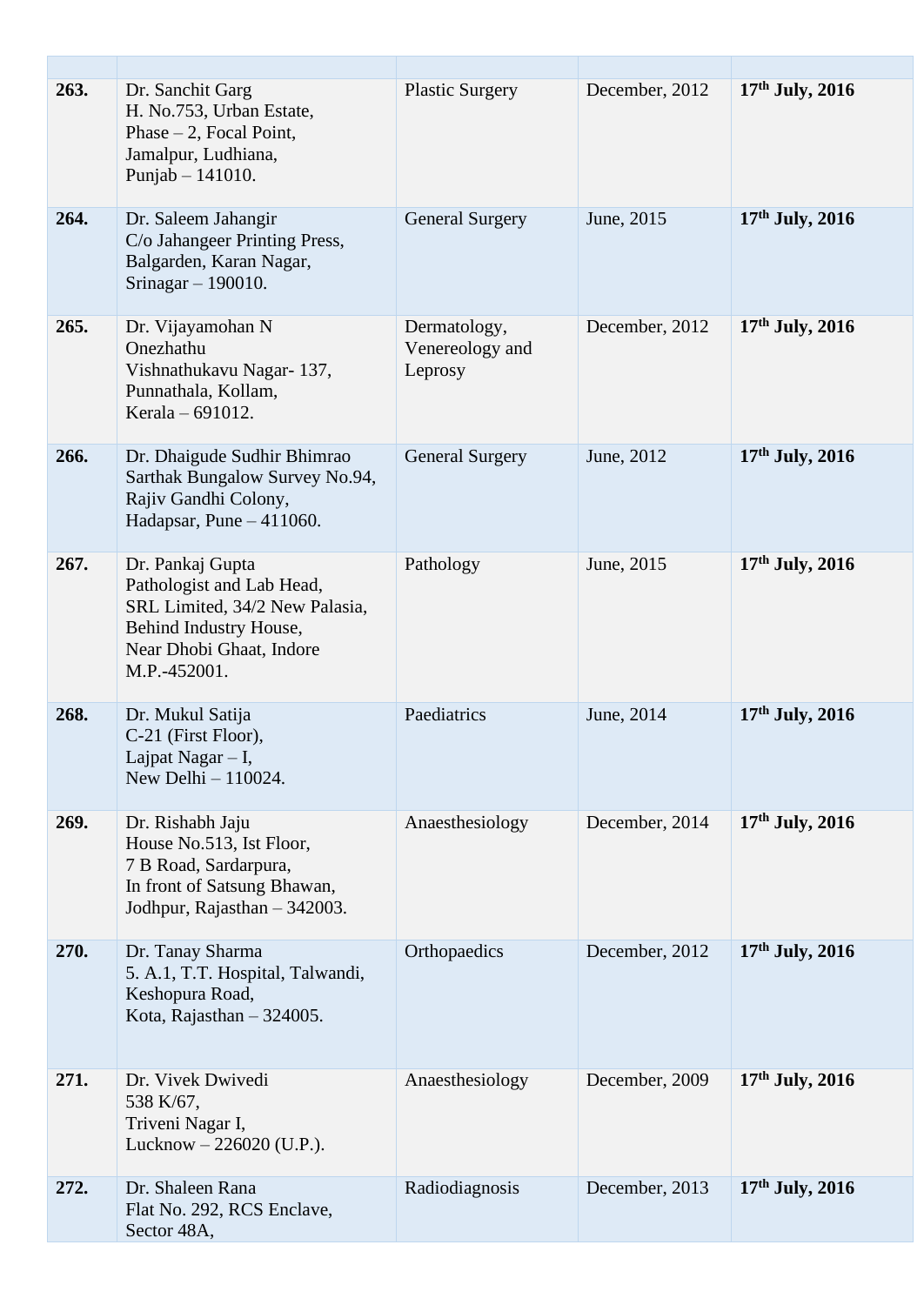| 263. | Dr. Sanchit Garg<br>H. No.753, Urban Estate,<br>Phase $-2$ , Focal Point,<br>Jamalpur, Ludhiana,<br>Punjab $- 141010$ .                               | <b>Plastic Surgery</b>                     | December, 2012 | $17th$ July, 2016 |
|------|-------------------------------------------------------------------------------------------------------------------------------------------------------|--------------------------------------------|----------------|-------------------|
| 264. | Dr. Saleem Jahangir<br>C/o Jahangeer Printing Press,<br>Balgarden, Karan Nagar,<br>Srinagar $-190010$ .                                               | <b>General Surgery</b>                     | June, 2015     | $17th$ July, 2016 |
| 265. | Dr. Vijayamohan N<br>Onezhathu<br>Vishnathukavu Nagar-137,<br>Punnathala, Kollam,<br>Kerala - 691012.                                                 | Dermatology,<br>Venereology and<br>Leprosy | December, 2012 | $17th$ July, 2016 |
| 266. | Dr. Dhaigude Sudhir Bhimrao<br>Sarthak Bungalow Survey No.94,<br>Rajiv Gandhi Colony,<br>Hadapsar, Pune $-411060$ .                                   | <b>General Surgery</b>                     | June, 2012     | 17th July, 2016   |
| 267. | Dr. Pankaj Gupta<br>Pathologist and Lab Head,<br>SRL Limited, 34/2 New Palasia,<br>Behind Industry House,<br>Near Dhobi Ghaat, Indore<br>M.P.-452001. | Pathology                                  | June, 2015     | 17th July, 2016   |
| 268. | Dr. Mukul Satija<br>C-21 (First Floor),<br>Lajpat Nagar $- I$ ,<br>New Delhi $-110024$ .                                                              | Paediatrics                                | June, 2014     | $17th$ July, 2016 |
| 269. | Dr. Rishabh Jaju<br>House No.513, Ist Floor,<br>7 B Road, Sardarpura,<br>In front of Satsung Bhawan,<br>Jodhpur, Rajasthan - 342003.                  | Anaesthesiology                            | December, 2014 | $17th$ July, 2016 |
| 270. | Dr. Tanay Sharma<br>5. A.1, T.T. Hospital, Talwandi,<br>Keshopura Road,<br>Kota, Rajasthan $-324005$ .                                                | Orthopaedics                               | December, 2012 | $17th$ July, 2016 |
| 271. | Dr. Vivek Dwivedi<br>538 K/67,<br>Triveni Nagar I,<br>Lucknow $-226020$ (U.P.).                                                                       | Anaesthesiology                            | December, 2009 | 17th July, 2016   |
| 272. | Dr. Shaleen Rana<br>Flat No. 292, RCS Enclave,<br>Sector 48A,                                                                                         | Radiodiagnosis                             | December, 2013 | $17th$ July, 2016 |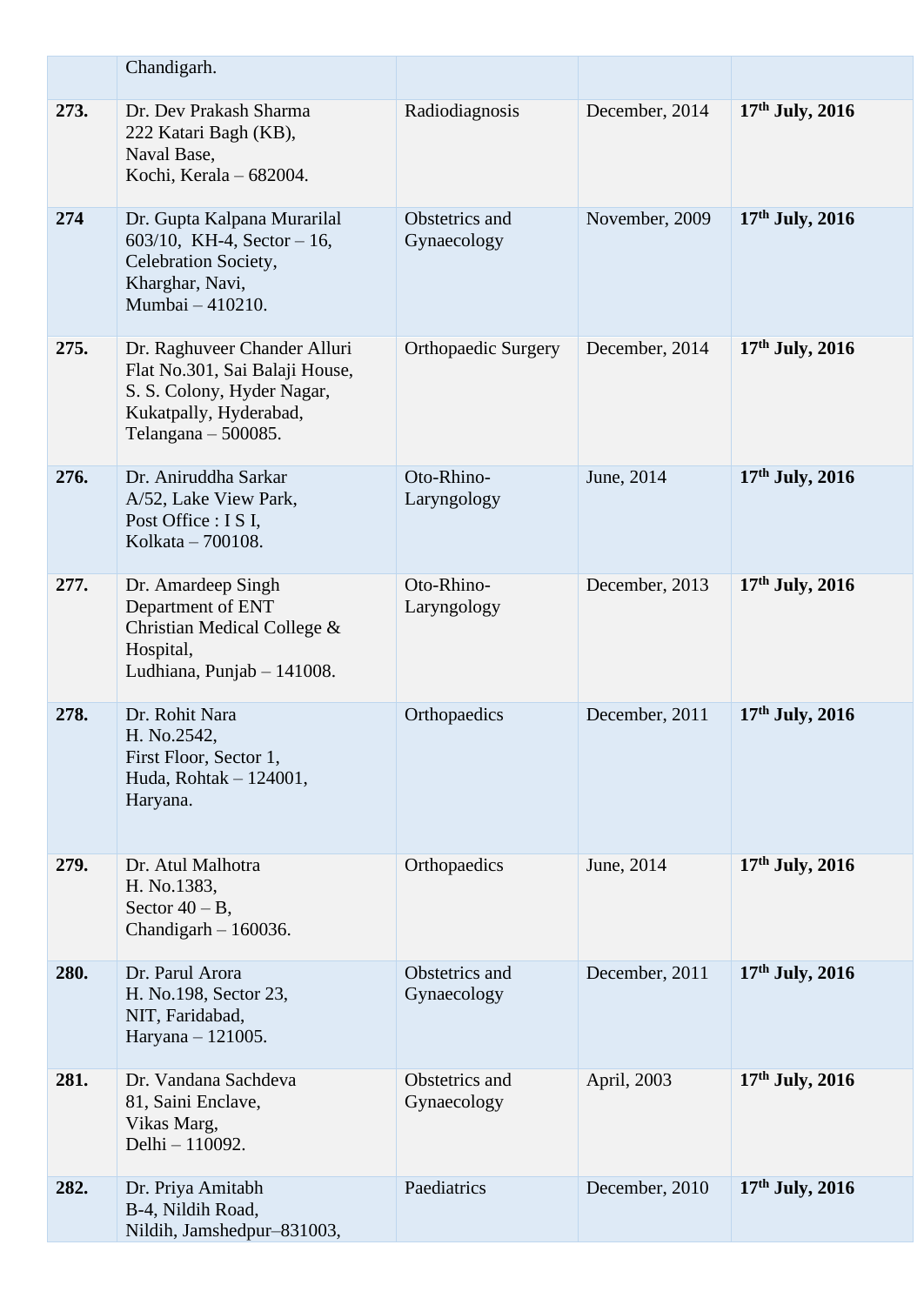|      | Chandigarh.                                                                                                                                     |                               |                |                   |
|------|-------------------------------------------------------------------------------------------------------------------------------------------------|-------------------------------|----------------|-------------------|
| 273. | Dr. Dev Prakash Sharma<br>222 Katari Bagh (KB),<br>Naval Base,<br>Kochi, Kerala - 682004.                                                       | Radiodiagnosis                | December, 2014 | $17th$ July, 2016 |
| 274  | Dr. Gupta Kalpana Murarilal<br>603/10, KH-4, Sector $-16$ ,<br>Celebration Society,<br>Kharghar, Navi,<br>Mumbai - 410210.                      | Obstetrics and<br>Gynaecology | November, 2009 | $17th$ July, 2016 |
| 275. | Dr. Raghuveer Chander Alluri<br>Flat No.301, Sai Balaji House,<br>S. S. Colony, Hyder Nagar,<br>Kukatpally, Hyderabad,<br>Telangana $-500085$ . | <b>Orthopaedic Surgery</b>    | December, 2014 | $17th$ July, 2016 |
| 276. | Dr. Aniruddha Sarkar<br>A/52, Lake View Park,<br>Post Office : I S I,<br>Kolkata – 700108.                                                      | Oto-Rhino-<br>Laryngology     | June, 2014     | $17th$ July, 2016 |
| 277. | Dr. Amardeep Singh<br>Department of ENT<br>Christian Medical College &<br>Hospital,<br>Ludhiana, Punjab - 141008.                               | Oto-Rhino-<br>Laryngology     | December, 2013 | 17th July, 2016   |
| 278. | Dr. Rohit Nara<br>H. No.2542,<br>First Floor, Sector 1,<br>Huda, Rohtak - 124001,<br>Haryana.                                                   | Orthopaedics                  | December, 2011 | 17th July, 2016   |
| 279. | Dr. Atul Malhotra<br>H. No.1383,<br>Sector $40 - B$ ,<br>Chandigarh $-160036$ .                                                                 | Orthopaedics                  | June, 2014     | $17th$ July, 2016 |
| 280. | Dr. Parul Arora<br>H. No.198, Sector 23,<br>NIT, Faridabad,<br>Haryana - 121005.                                                                | Obstetrics and<br>Gynaecology | December, 2011 | $17th$ July, 2016 |
| 281. | Dr. Vandana Sachdeva<br>81, Saini Enclave,<br>Vikas Marg,<br>Delhi - 110092.                                                                    | Obstetrics and<br>Gynaecology | April, 2003    | $17th$ July, 2016 |
| 282. | Dr. Priya Amitabh<br>B-4, Nildih Road,<br>Nildih, Jamshedpur-831003,                                                                            | Paediatrics                   | December, 2010 | $17th$ July, 2016 |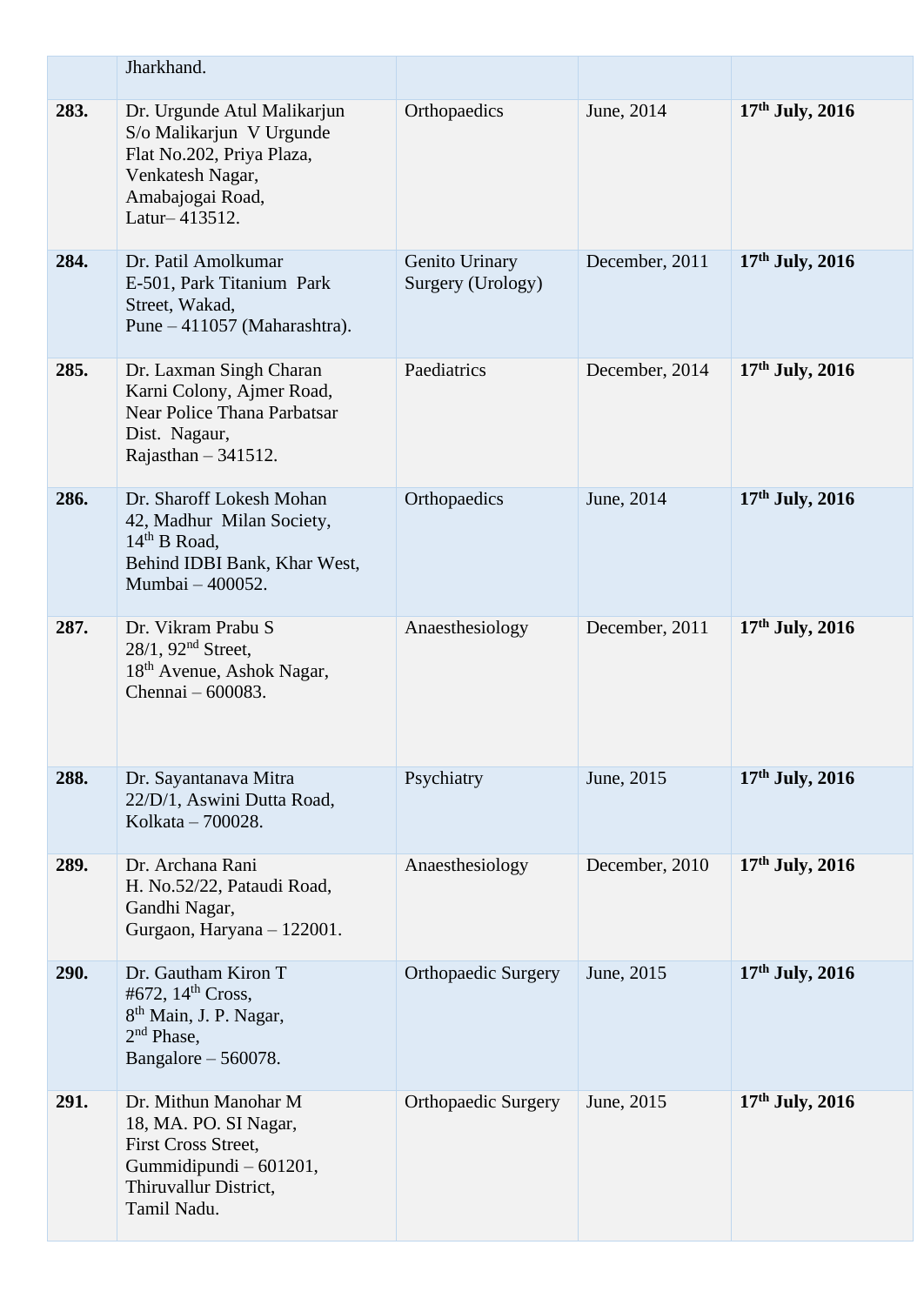|      | Jharkhand.                                                                                                                                    |                                     |                |                   |
|------|-----------------------------------------------------------------------------------------------------------------------------------------------|-------------------------------------|----------------|-------------------|
| 283. | Dr. Urgunde Atul Malikarjun<br>S/o Malikarjun V Urgunde<br>Flat No.202, Priya Plaza,<br>Venkatesh Nagar,<br>Amabajogai Road,<br>Latur-413512. | Orthopaedics                        | June, 2014     | $17th$ July, 2016 |
| 284. | Dr. Patil Amolkumar<br>E-501, Park Titanium Park<br>Street, Wakad,<br>Pune $-411057$ (Maharashtra).                                           | Genito Urinary<br>Surgery (Urology) | December, 2011 | $17th$ July, 2016 |
| 285. | Dr. Laxman Singh Charan<br>Karni Colony, Ajmer Road,<br>Near Police Thana Parbatsar<br>Dist. Nagaur,<br>Rajasthan $-341512$ .                 | Paediatrics                         | December, 2014 | $17th$ July, 2016 |
| 286. | Dr. Sharoff Lokesh Mohan<br>42, Madhur Milan Society,<br>$14th$ B Road,<br>Behind IDBI Bank, Khar West,<br>Mumbai - 400052.                   | Orthopaedics                        | June, 2014     | $17th$ July, 2016 |
| 287. | Dr. Vikram Prabu S<br>$28/1$ , $92nd$ Street,<br>18 <sup>th</sup> Avenue, Ashok Nagar,<br>Chennai – 600083.                                   | Anaesthesiology                     | December, 2011 | $17th$ July, 2016 |
| 288. | Dr. Sayantanava Mitra<br>22/D/1, Aswini Dutta Road,<br>Kolkata - 700028.                                                                      | Psychiatry                          | June, 2015     | $17th$ July, 2016 |
| 289. | Dr. Archana Rani<br>H. No.52/22, Pataudi Road,<br>Gandhi Nagar,<br>Gurgaon, Haryana - 122001.                                                 | Anaesthesiology                     | December, 2010 | $17th$ July, 2016 |
| 290. | Dr. Gautham Kiron T<br>#672, $14^{\text{th}}$ Cross,<br>8 <sup>th</sup> Main, J. P. Nagar,<br>2 <sup>nd</sup> Phase,<br>Bangalore $-560078$ . | <b>Orthopaedic Surgery</b>          | June, 2015     | $17th$ July, 2016 |
| 291. | Dr. Mithun Manohar M<br>18, MA. PO. SI Nagar,<br>First Cross Street,<br>Gummidipundi - 601201,<br>Thiruvallur District,<br>Tamil Nadu.        | <b>Orthopaedic Surgery</b>          | June, 2015     | $17th$ July, 2016 |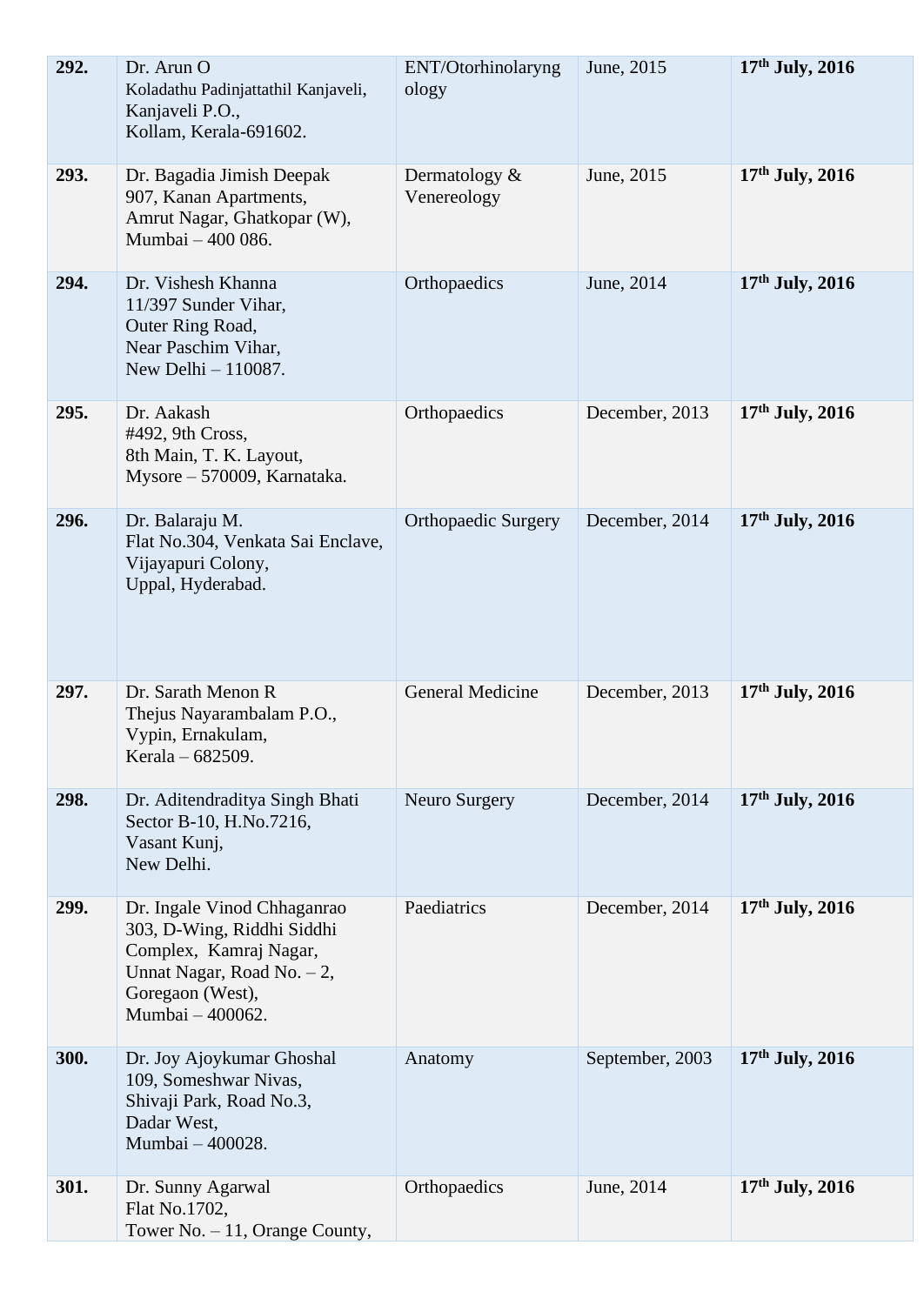| 292. | Dr. Arun O<br>Koladathu Padinjattathil Kanjaveli,<br>Kanjaveli P.O.,<br>Kollam, Kerala-691602.                                                              | ENT/Otorhinolaryng<br>ology     | June, 2015      | $17th$ July, 2016 |
|------|-------------------------------------------------------------------------------------------------------------------------------------------------------------|---------------------------------|-----------------|-------------------|
| 293. | Dr. Bagadia Jimish Deepak<br>907, Kanan Apartments,<br>Amrut Nagar, Ghatkopar (W),<br>Mumbai - 400 086.                                                     | Dermatology $\&$<br>Venereology | June, 2015      | 17th July, 2016   |
| 294. | Dr. Vishesh Khanna<br>11/397 Sunder Vihar,<br>Outer Ring Road,<br>Near Paschim Vihar,<br>New Delhi - 110087.                                                | Orthopaedics                    | June, 2014      | $17th$ July, 2016 |
| 295. | Dr. Aakash<br>#492, 9th Cross,<br>8th Main, T. K. Layout,<br>Mysore - 570009, Karnataka.                                                                    | Orthopaedics                    | December, 2013  | $17th$ July, 2016 |
| 296. | Dr. Balaraju M.<br>Flat No.304, Venkata Sai Enclave,<br>Vijayapuri Colony,<br>Uppal, Hyderabad.                                                             | <b>Orthopaedic Surgery</b>      | December, 2014  | $17th$ July, 2016 |
| 297. | Dr. Sarath Menon R<br>Thejus Nayarambalam P.O.,<br>Vypin, Ernakulam,<br>Kerala – 682509.                                                                    | <b>General Medicine</b>         | December, 2013  | $17th$ July, 2016 |
| 298. | Dr. Aditendraditya Singh Bhati<br>Sector B-10, H.No.7216,<br>Vasant Kunj,<br>New Delhi.                                                                     | Neuro Surgery                   | December, 2014  | $17th$ July, 2016 |
| 299. | Dr. Ingale Vinod Chhaganrao<br>303, D-Wing, Riddhi Siddhi<br>Complex, Kamraj Nagar,<br>Unnat Nagar, Road No. $-2$ ,<br>Goregaon (West),<br>Mumbai - 400062. | Paediatrics                     | December, 2014  | $17th$ July, 2016 |
| 300. | Dr. Joy Ajoykumar Ghoshal<br>109, Someshwar Nivas,<br>Shivaji Park, Road No.3,<br>Dadar West,<br>Mumbai - 400028.                                           | Anatomy                         | September, 2003 | $17th$ July, 2016 |
| 301. | Dr. Sunny Agarwal<br>Flat No.1702,<br>Tower No. - 11, Orange County,                                                                                        | Orthopaedics                    | June, 2014      | $17th$ July, 2016 |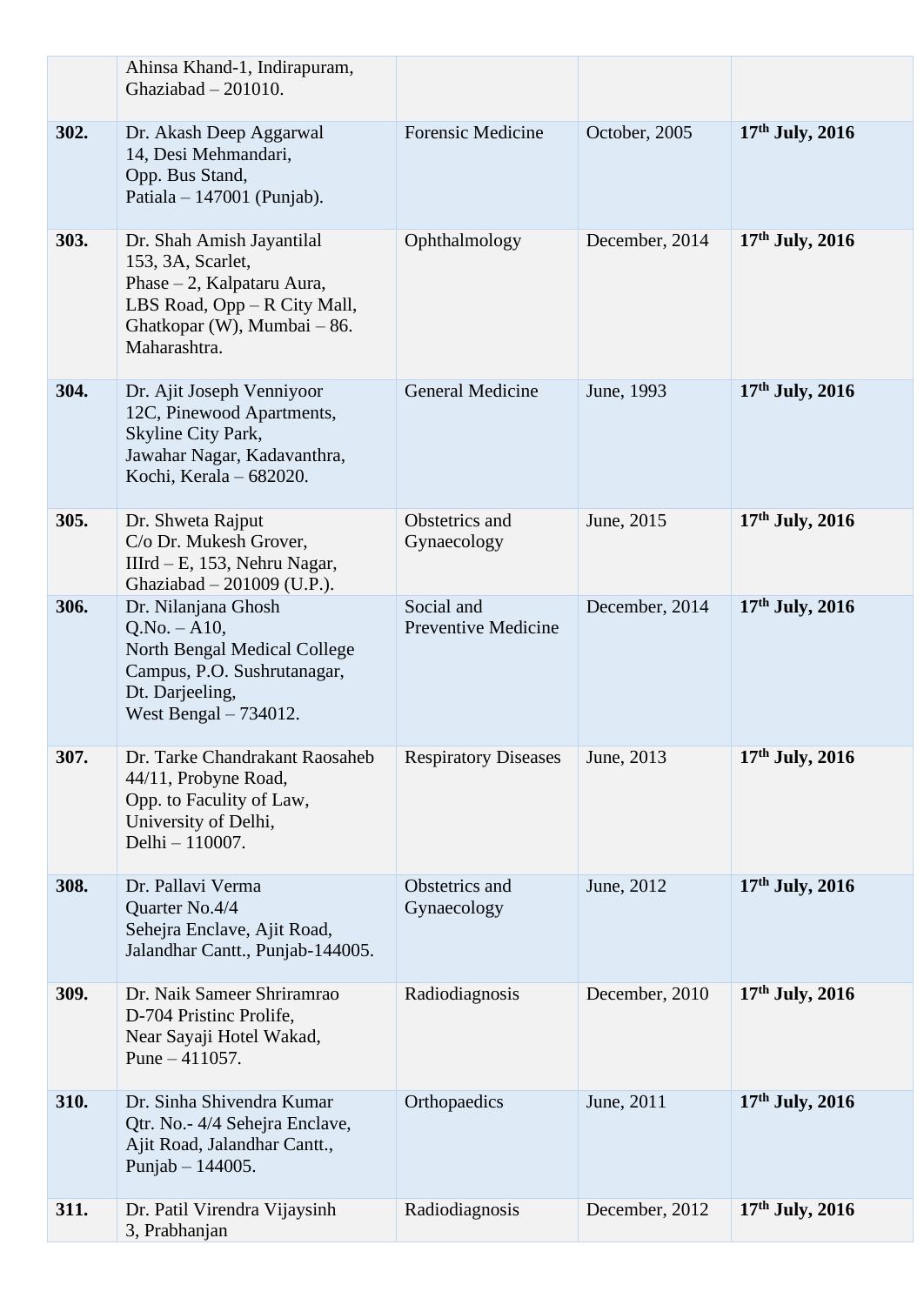|      | Ahinsa Khand-1, Indirapuram,<br>Ghaziabad $-201010$ .                                                                                                       |                                          |                |                   |
|------|-------------------------------------------------------------------------------------------------------------------------------------------------------------|------------------------------------------|----------------|-------------------|
| 302. | Dr. Akash Deep Aggarwal<br>14, Desi Mehmandari,<br>Opp. Bus Stand,<br>Patiala $-147001$ (Punjab).                                                           | <b>Forensic Medicine</b>                 | October, 2005  | $17th$ July, 2016 |
| 303. | Dr. Shah Amish Jayantilal<br>153, 3A, Scarlet,<br>Phase – 2, Kalpataru Aura,<br>LBS Road, Opp – R City Mall,<br>Ghatkopar (W), Mumbai - 86.<br>Maharashtra. | Ophthalmology                            | December, 2014 | $17th$ July, 2016 |
| 304. | Dr. Ajit Joseph Venniyoor<br>12C, Pinewood Apartments,<br>Skyline City Park,<br>Jawahar Nagar, Kadavanthra,<br>Kochi, Kerala - 682020.                      | <b>General Medicine</b>                  | June, 1993     | $17th$ July, 2016 |
| 305. | Dr. Shweta Rajput<br>C/o Dr. Mukesh Grover,<br>IIIrd $- E$ , 153, Nehru Nagar,<br>Ghaziabad - 201009 (U.P.).                                                | Obstetrics and<br>Gynaecology            | June, 2015     | $17th$ July, 2016 |
| 306. | Dr. Nilanjana Ghosh<br>$Q.No. - A10,$<br>North Bengal Medical College<br>Campus, P.O. Sushrutanagar,<br>Dt. Darjeeling,<br>West Bengal $-734012$ .          | Social and<br><b>Preventive Medicine</b> | December, 2014 | $17th$ July, 2016 |
| 307. | Dr. Tarke Chandrakant Raosaheb<br>44/11, Probyne Road,<br>Opp. to Faculity of Law,<br>University of Delhi,<br>Delhi - 110007.                               | <b>Respiratory Diseases</b>              | June, 2013     | $17th$ July, 2016 |
| 308. | Dr. Pallavi Verma<br>Quarter No.4/4<br>Sehejra Enclave, Ajit Road,<br>Jalandhar Cantt., Punjab-144005.                                                      | Obstetrics and<br>Gynaecology            | June, 2012     | $17th$ July, 2016 |
| 309. | Dr. Naik Sameer Shriramrao<br>D-704 Pristinc Prolife,<br>Near Sayaji Hotel Wakad,<br>Pune $-411057$ .                                                       | Radiodiagnosis                           | December, 2010 | $17th$ July, 2016 |
| 310. | Dr. Sinha Shivendra Kumar<br>Qtr. No.- 4/4 Sehejra Enclave,<br>Ajit Road, Jalandhar Cantt.,<br>Punjab $- 144005$ .                                          | Orthopaedics                             | June, 2011     | $17th$ July, 2016 |
| 311. | Dr. Patil Virendra Vijaysinh<br>3, Prabhanjan                                                                                                               | Radiodiagnosis                           | December, 2012 | $17th$ July, 2016 |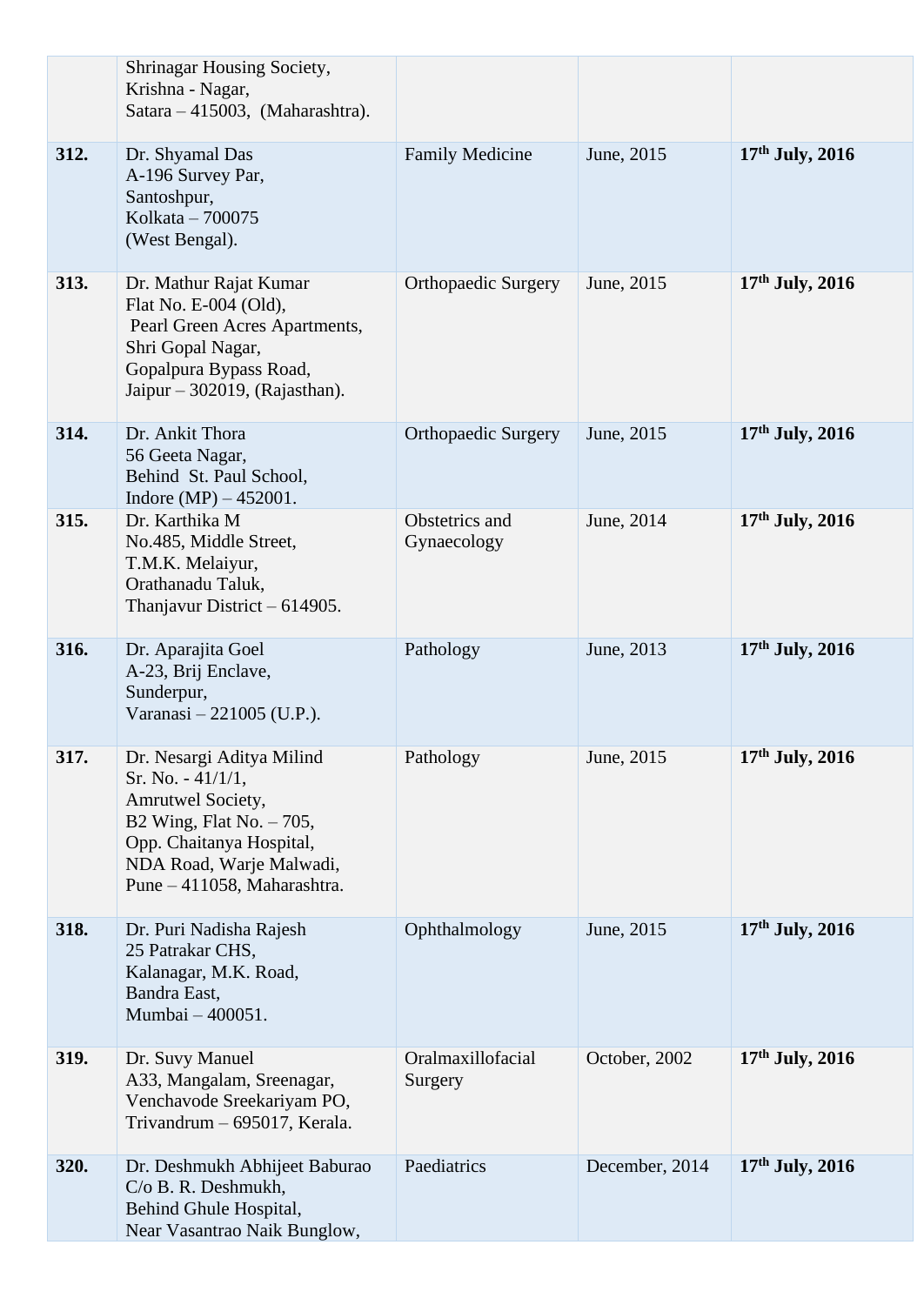|      | Shrinagar Housing Society,<br>Krishna - Nagar,<br>Satara - 415003, (Maharashtra).                                                                                                          |                               |                |                   |
|------|--------------------------------------------------------------------------------------------------------------------------------------------------------------------------------------------|-------------------------------|----------------|-------------------|
| 312. | Dr. Shyamal Das<br>A-196 Survey Par,<br>Santoshpur,<br>Kolkata - 700075<br>(West Bengal).                                                                                                  | <b>Family Medicine</b>        | June, 2015     | $17th$ July, 2016 |
| 313. | Dr. Mathur Rajat Kumar<br>Flat No. E-004 (Old),<br>Pearl Green Acres Apartments,<br>Shri Gopal Nagar,<br>Gopalpura Bypass Road,<br>Jaipur – 302019, (Rajasthan).                           | <b>Orthopaedic Surgery</b>    | June, 2015     | $17th$ July, 2016 |
| 314. | Dr. Ankit Thora<br>56 Geeta Nagar,<br>Behind St. Paul School,<br>Indore $(MP) - 452001$ .                                                                                                  | <b>Orthopaedic Surgery</b>    | June, 2015     | $17th$ July, 2016 |
| 315. | Dr. Karthika M<br>No.485, Middle Street,<br>T.M.K. Melaiyur,<br>Orathanadu Taluk,<br>Thanjavur District $-614905$ .                                                                        | Obstetrics and<br>Gynaecology | June, 2014     | $17th$ July, 2016 |
| 316. | Dr. Aparajita Goel<br>A-23, Brij Enclave,<br>Sunderpur,<br>Varanasi - 221005 (U.P.).                                                                                                       | Pathology                     | June, 2013     | $17th$ July, 2016 |
| 317. | Dr. Nesargi Aditya Milind<br>Sr. No. $-41/1/1$ ,<br>Amrutwel Society,<br>B2 Wing, Flat No. $-705$ ,<br>Opp. Chaitanya Hospital,<br>NDA Road, Warje Malwadi,<br>Pune - 411058, Maharashtra. | Pathology                     | June, 2015     | 17th July, 2016   |
| 318. | Dr. Puri Nadisha Rajesh<br>25 Patrakar CHS,<br>Kalanagar, M.K. Road,<br>Bandra East,<br>Mumbai - 400051.                                                                                   | Ophthalmology                 | June, 2015     | $17th$ July, 2016 |
| 319. | Dr. Suvy Manuel<br>A33, Mangalam, Sreenagar,<br>Venchavode Sreekariyam PO,<br>Trivandrum - 695017, Kerala.                                                                                 | Oralmaxillofacial<br>Surgery  | October, 2002  | 17th July, 2016   |
| 320. | Dr. Deshmukh Abhijeet Baburao<br>C/o B. R. Deshmukh,<br>Behind Ghule Hospital,<br>Near Vasantrao Naik Bunglow,                                                                             | Paediatrics                   | December, 2014 | $17th$ July, 2016 |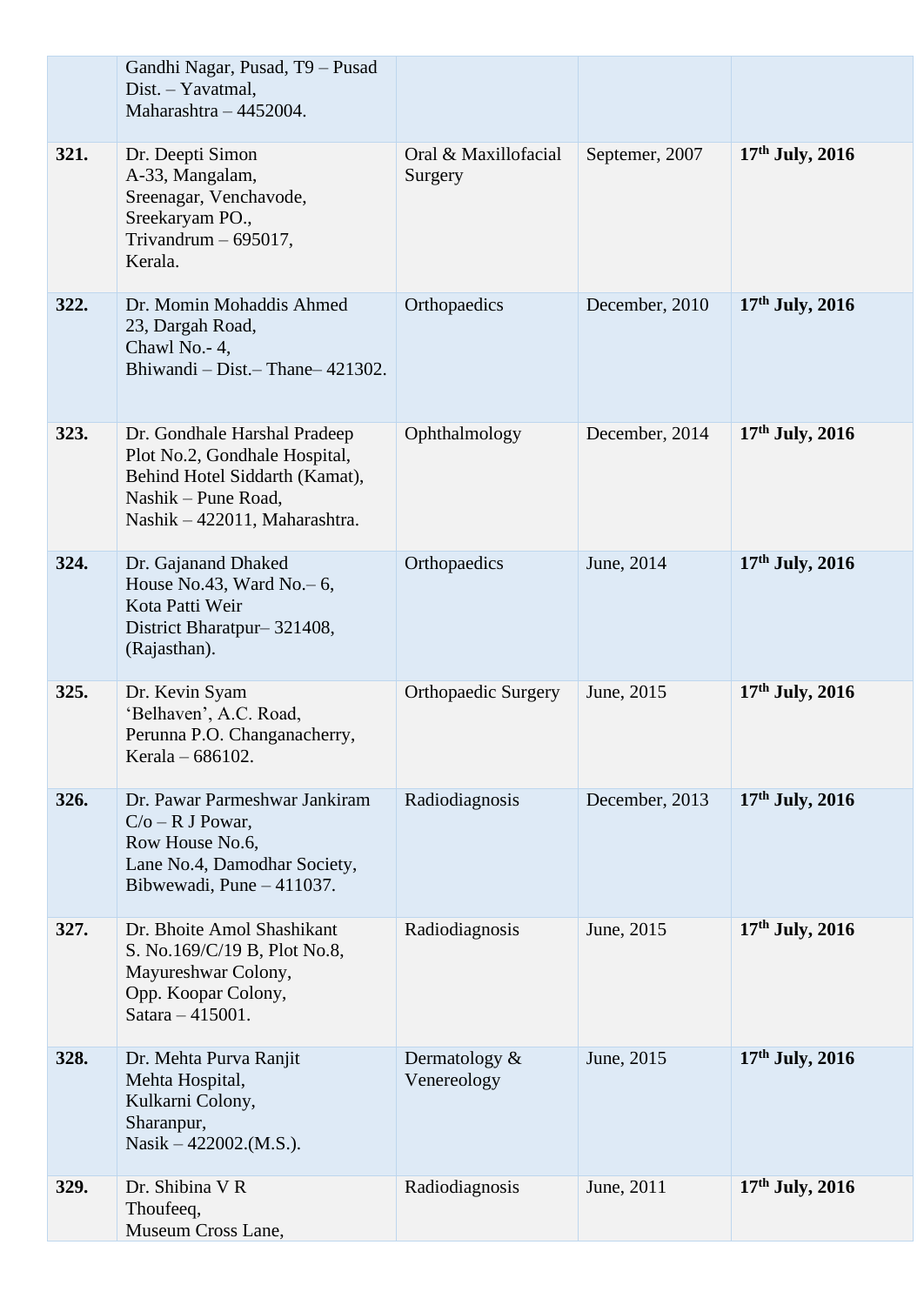|      | Gandhi Nagar, Pusad, T9 - Pusad<br>Dist. - Yavatmal,<br>Maharashtra - 4452004.                                                                          |                                 |                |                   |
|------|---------------------------------------------------------------------------------------------------------------------------------------------------------|---------------------------------|----------------|-------------------|
| 321. | Dr. Deepti Simon<br>A-33, Mangalam,<br>Sreenagar, Venchavode,<br>Sreekaryam PO.,<br>Trivandrum $-695017$ ,<br>Kerala.                                   | Oral & Maxillofacial<br>Surgery | Septemer, 2007 | $17th$ July, 2016 |
| 322. | Dr. Momin Mohaddis Ahmed<br>23, Dargah Road,<br>Chawl No. - 4,<br>Bhiwandi – Dist. – Thane – 421302.                                                    | Orthopaedics                    | December, 2010 | $17th$ July, 2016 |
| 323. | Dr. Gondhale Harshal Pradeep<br>Plot No.2, Gondhale Hospital,<br>Behind Hotel Siddarth (Kamat),<br>Nashik – Pune Road,<br>Nashik - 422011, Maharashtra. | Ophthalmology                   | December, 2014 | $17th$ July, 2016 |
| 324. | Dr. Gajanand Dhaked<br>House No.43, Ward No. $-6$ ,<br>Kota Patti Weir<br>District Bharatpur-321408,<br>(Rajasthan).                                    | Orthopaedics                    | June, 2014     | $17th$ July, 2016 |
| 325. | Dr. Kevin Syam<br>'Belhaven', A.C. Road,<br>Perunna P.O. Changanacherry,<br>Kerala - 686102.                                                            | <b>Orthopaedic Surgery</b>      | June, 2015     | $17th$ July, 2016 |
| 326. | Dr. Pawar Parmeshwar Jankiram<br>$C/O - R$ J Powar,<br>Row House No.6,<br>Lane No.4, Damodhar Society,<br>Bibwewadi, Pune - 411037.                     | Radiodiagnosis                  | December, 2013 | $17th$ July, 2016 |
| 327. | Dr. Bhoite Amol Shashikant<br>S. No.169/C/19 B, Plot No.8,<br>Mayureshwar Colony,<br>Opp. Koopar Colony,<br>Satara - 415001.                            | Radiodiagnosis                  | June, 2015     | $17th$ July, 2016 |
| 328. | Dr. Mehta Purva Ranjit<br>Mehta Hospital,<br>Kulkarni Colony,<br>Sharanpur,<br>Nasik $-422002$ .(M.S.).                                                 | Dermatology $\&$<br>Venereology | June, 2015     | $17th$ July, 2016 |
| 329. | Dr. Shibina V R<br>Thoufeeq,<br>Museum Cross Lane,                                                                                                      | Radiodiagnosis                  | June, 2011     | $17th$ July, 2016 |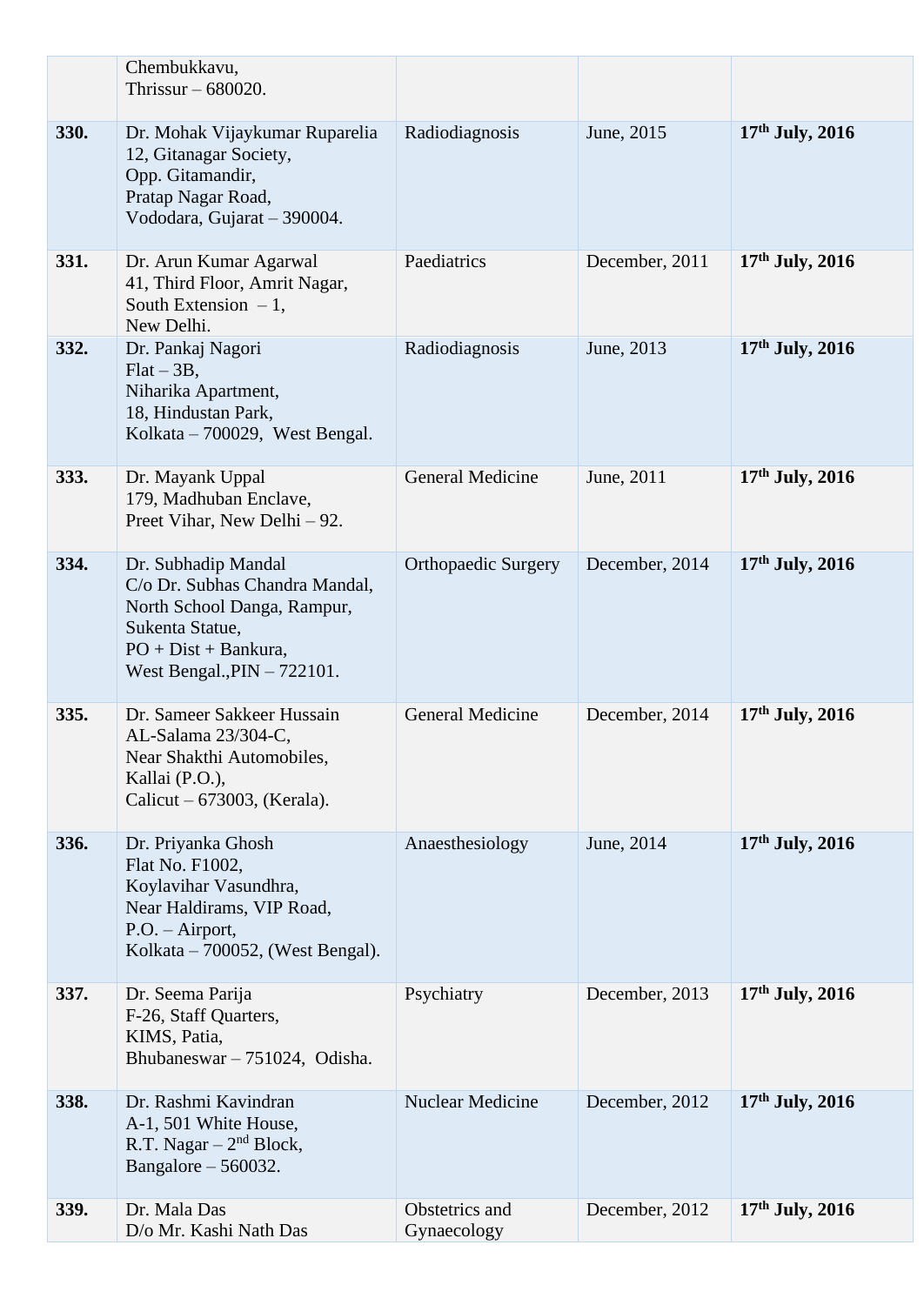|      | Chembukkavu,<br>Thrissur $-680020$ .                                                                                                                                |                               |                |                   |
|------|---------------------------------------------------------------------------------------------------------------------------------------------------------------------|-------------------------------|----------------|-------------------|
| 330. | Dr. Mohak Vijaykumar Ruparelia<br>12, Gitanagar Society,<br>Opp. Gitamandir,<br>Pratap Nagar Road,<br>Vododara, Gujarat - 390004.                                   | Radiodiagnosis                | June, 2015     | $17th$ July, 2016 |
| 331. | Dr. Arun Kumar Agarwal<br>41, Third Floor, Amrit Nagar,<br>South Extension $-1$ ,<br>New Delhi.                                                                     | Paediatrics                   | December, 2011 | $17th$ July, 2016 |
| 332. | Dr. Pankaj Nagori<br>$Flat - 3B$ ,<br>Niharika Apartment,<br>18, Hindustan Park,<br>Kolkata – 700029, West Bengal.                                                  | Radiodiagnosis                | June, 2013     | $17th$ July, 2016 |
| 333. | Dr. Mayank Uppal<br>179, Madhuban Enclave,<br>Preet Vihar, New Delhi - 92.                                                                                          | <b>General Medicine</b>       | June, 2011     | $17th$ July, 2016 |
| 334. | Dr. Subhadip Mandal<br>C/o Dr. Subhas Chandra Mandal,<br>North School Danga, Rampur,<br>Sukenta Statue,<br>$PO + Dist + Bankura,$<br>West Bengal., $PIN - 722101$ . | <b>Orthopaedic Surgery</b>    | December, 2014 | $17th$ July, 2016 |
| 335. | Dr. Sameer Sakkeer Hussain<br>AL-Salama 23/304-C,<br>Near Shakthi Automobiles,<br>Kallai (P.O.),<br>Calicut – $673003$ , (Kerala).                                  | <b>General Medicine</b>       | December, 2014 | $17th$ July, 2016 |
| 336. | Dr. Priyanka Ghosh<br>Flat No. F1002,<br>Koylavihar Vasundhra,<br>Near Haldirams, VIP Road,<br>$P.O. - Airport,$<br>Kolkata – 700052, (West Bengal).                | Anaesthesiology               | June, 2014     | $17th$ July, 2016 |
| 337. | Dr. Seema Parija<br>F-26, Staff Quarters,<br>KIMS, Patia,<br>Bhubaneswar - 751024, Odisha.                                                                          | Psychiatry                    | December, 2013 | $17th$ July, 2016 |
| 338. | Dr. Rashmi Kavindran<br>A-1, 501 White House,<br>R.T. Nagar $-2nd$ Block,<br>Bangalore $-560032$ .                                                                  | <b>Nuclear Medicine</b>       | December, 2012 | $17th$ July, 2016 |
| 339. | Dr. Mala Das<br>D/o Mr. Kashi Nath Das                                                                                                                              | Obstetrics and<br>Gynaecology | December, 2012 | 17th July, 2016   |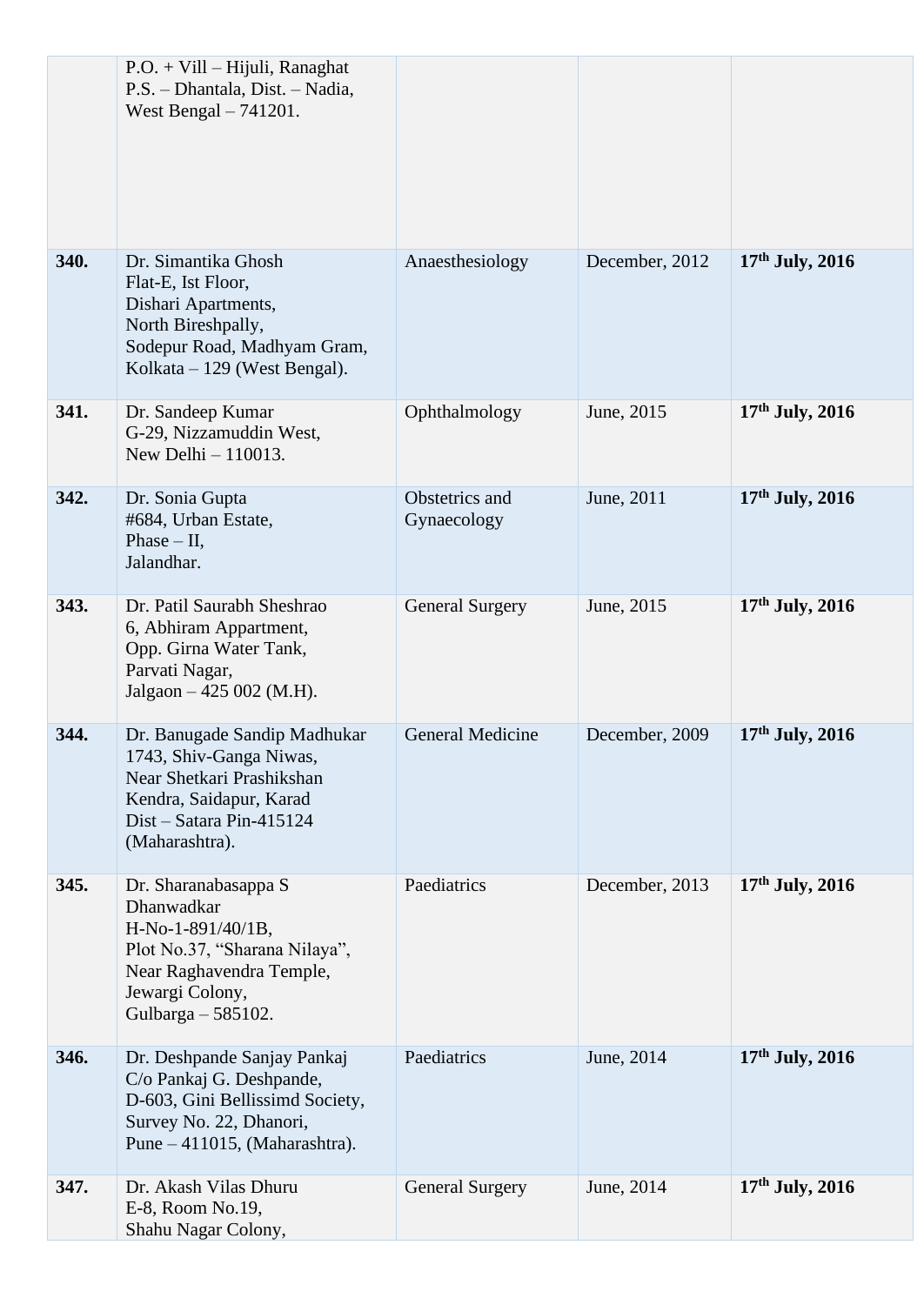|      | $P.O. + Vill - Hijuli$ , Ranaghat<br>P.S. - Dhantala, Dist. - Nadia,<br>West Bengal $-741201$ .                                                                  |                               |                |                   |
|------|------------------------------------------------------------------------------------------------------------------------------------------------------------------|-------------------------------|----------------|-------------------|
| 340. | Dr. Simantika Ghosh<br>Flat-E, Ist Floor,<br>Dishari Apartments,<br>North Bireshpally,<br>Sodepur Road, Madhyam Gram,<br>Kolkata $-129$ (West Bengal).           | Anaesthesiology               | December, 2012 | $17th$ July, 2016 |
| 341. | Dr. Sandeep Kumar<br>G-29, Nizzamuddin West,<br>New Delhi $-110013$ .                                                                                            | Ophthalmology                 | June, 2015     | $17th$ July, 2016 |
| 342. | Dr. Sonia Gupta<br>#684, Urban Estate,<br>Phase $-$ II,<br>Jalandhar.                                                                                            | Obstetrics and<br>Gynaecology | June, 2011     | 17th July, 2016   |
| 343. | Dr. Patil Saurabh Sheshrao<br>6, Abhiram Appartment,<br>Opp. Girna Water Tank,<br>Parvati Nagar,<br>Jalgaon $-425002$ (M.H).                                     | <b>General Surgery</b>        | June, 2015     | $17th$ July, 2016 |
| 344. | Dr. Banugade Sandip Madhukar<br>1743, Shiv-Ganga Niwas,<br>Near Shetkari Prashikshan<br>Kendra, Saidapur, Karad<br>Dist - Satara Pin-415124<br>(Maharashtra).    | <b>General Medicine</b>       | December, 2009 | $17th$ July, 2016 |
| 345. | Dr. Sharanabasappa S<br>Dhanwadkar<br>$H-No-1-891/40/1B$ ,<br>Plot No.37, "Sharana Nilaya",<br>Near Raghavendra Temple,<br>Jewargi Colony,<br>Gulbarga - 585102. | Paediatrics                   | December, 2013 | $17th$ July, 2016 |
| 346. | Dr. Deshpande Sanjay Pankaj<br>C/o Pankaj G. Deshpande,<br>D-603, Gini Bellissimd Society,<br>Survey No. 22, Dhanori,<br>Pune $-411015$ , (Maharashtra).         | Paediatrics                   | June, 2014     | $17th$ July, 2016 |
| 347. | Dr. Akash Vilas Dhuru<br>E-8, Room No.19,<br>Shahu Nagar Colony,                                                                                                 | <b>General Surgery</b>        | June, 2014     | $17th$ July, 2016 |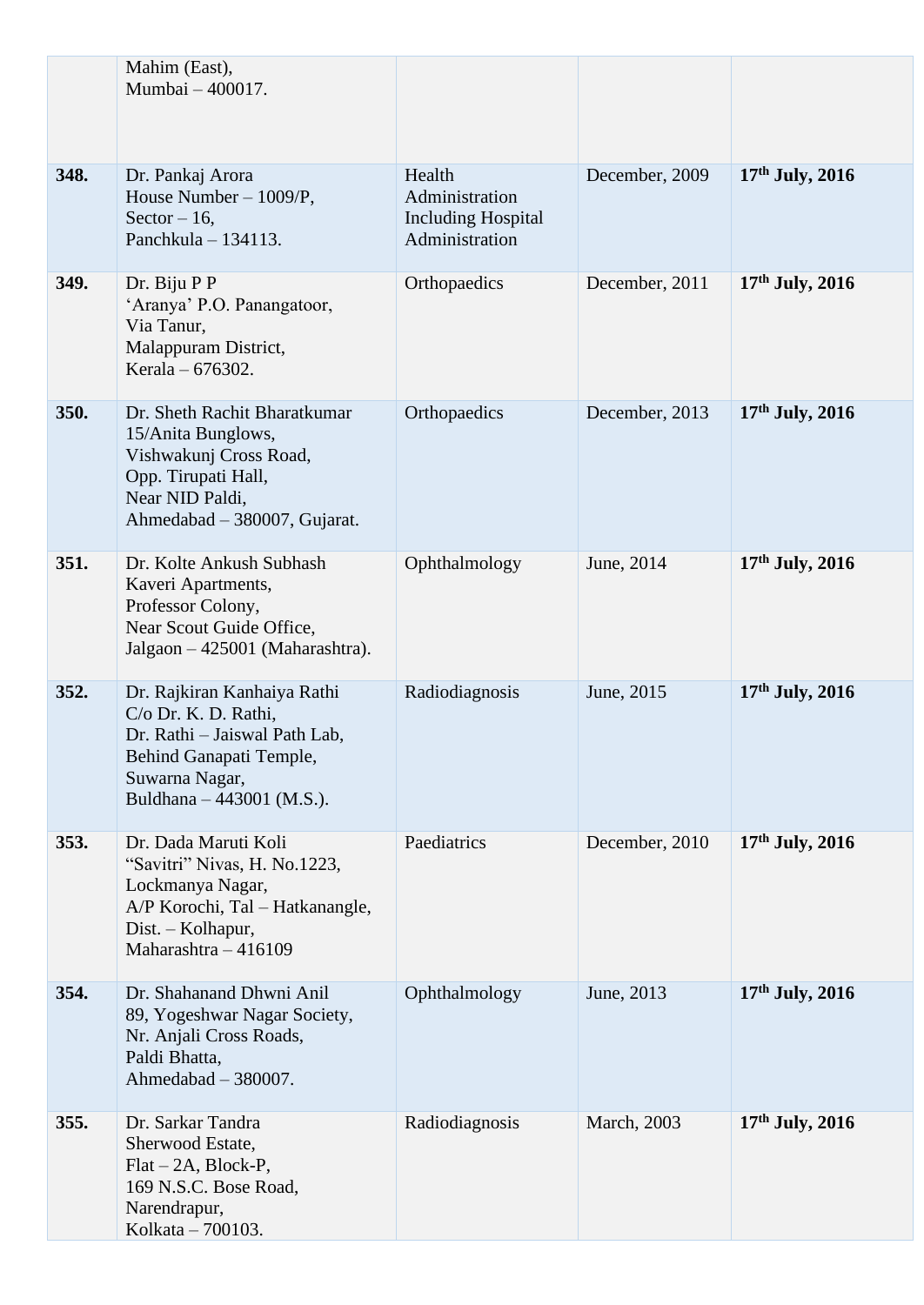|      | Mahim (East),<br>Mumbai - 400017.                                                                                                                              |                                                                         |                     |                   |
|------|----------------------------------------------------------------------------------------------------------------------------------------------------------------|-------------------------------------------------------------------------|---------------------|-------------------|
| 348. | Dr. Pankaj Arora<br>House Number - 1009/P,<br>Sector $-16$ ,<br>Panchkula $-134113$ .                                                                          | Health<br>Administration<br><b>Including Hospital</b><br>Administration | December, 2009      | $17th$ July, 2016 |
| 349. | Dr. Biju P P<br>'Aranya' P.O. Panangatoor,<br>Via Tanur,<br>Malappuram District,<br>Kerala – 676302.                                                           | Orthopaedics                                                            | December, 2011      | $17th$ July, 2016 |
| 350. | Dr. Sheth Rachit Bharatkumar<br>15/Anita Bunglows,<br>Vishwakunj Cross Road,<br>Opp. Tirupati Hall,<br>Near NID Paldi,<br>Ahmedabad - 380007, Gujarat.         | Orthopaedics                                                            | December, 2013      | $17th$ July, 2016 |
| 351. | Dr. Kolte Ankush Subhash<br>Kaveri Apartments,<br>Professor Colony,<br>Near Scout Guide Office,<br>Jalgaon – 425001 (Maharashtra).                             | Ophthalmology                                                           | June, 2014          | $17th$ July, 2016 |
| 352. | Dr. Rajkiran Kanhaiya Rathi<br>C/o Dr. K. D. Rathi,<br>Dr. Rathi - Jaiswal Path Lab,<br>Behind Ganapati Temple,<br>Suwarna Nagar,<br>Buldhana – 443001 (M.S.). | Radiodiagnosis                                                          | June, 2015          | $17th$ July, 2016 |
| 353. | Dr. Dada Maruti Koli<br>"Savitri" Nivas, H. No.1223,<br>Lockmanya Nagar,<br>A/P Korochi, Tal - Hatkanangle,<br>Dist. - Kolhapur,<br>Maharashtra - 416109       | Paediatrics                                                             | December, 2010      | $17th$ July, 2016 |
| 354. | Dr. Shahanand Dhwni Anil<br>89, Yogeshwar Nagar Society,<br>Nr. Anjali Cross Roads,<br>Paldi Bhatta,<br>Ahmedabad - 380007.                                    | Ophthalmology                                                           | June, 2013          | $17th$ July, 2016 |
| 355. | Dr. Sarkar Tandra<br>Sherwood Estate,<br>$Flat-2A$ , Block-P,<br>169 N.S.C. Bose Road,<br>Narendrapur,<br>Kolkata - 700103.                                    | Radiodiagnosis                                                          | <b>March</b> , 2003 | $17th$ July, 2016 |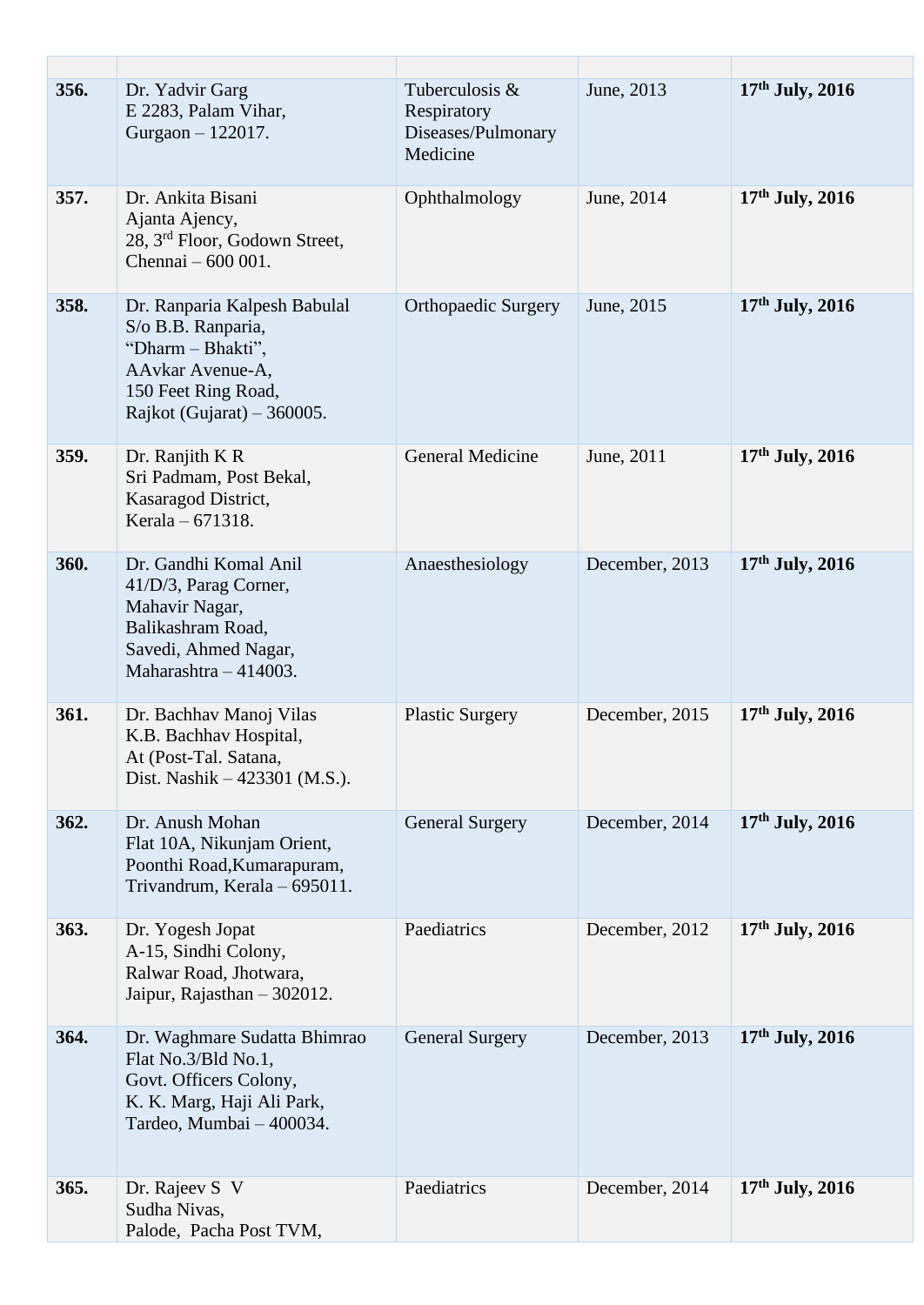| 356. | Dr. Yadvir Garg<br>E 2283, Palam Vihar,<br>Gurgaon - 122017.                                                                                       | Tuberculosis &<br>Respiratory<br>Diseases/Pulmonary<br>Medicine | June, 2013     | 17th July, 2016   |
|------|----------------------------------------------------------------------------------------------------------------------------------------------------|-----------------------------------------------------------------|----------------|-------------------|
| 357. | Dr. Ankita Bisani<br>Ajanta Ajency,<br>28, 3 <sup>rd</sup> Floor, Godown Street,<br>Chennai - 600 001.                                             | Ophthalmology                                                   | June, 2014     | $17th$ July, 2016 |
| 358. | Dr. Ranparia Kalpesh Babulal<br>S/o B.B. Ranparia,<br>"Dharm - Bhakti",<br>AAvkar Avenue-A,<br>150 Feet Ring Road,<br>Rajkot (Gujarat) $-360005$ . | <b>Orthopaedic Surgery</b>                                      | June, 2015     | $17th$ July, 2016 |
| 359. | Dr. Ranjith K R<br>Sri Padmam, Post Bekal,<br>Kasaragod District,<br>Kerala – 671318.                                                              | <b>General Medicine</b>                                         | June, 2011     | $17th$ July, 2016 |
| 360. | Dr. Gandhi Komal Anil<br>41/D/3, Parag Corner,<br>Mahavir Nagar,<br>Balikashram Road,<br>Savedi, Ahmed Nagar,<br>Maharashtra $-414003$ .           | Anaesthesiology                                                 | December, 2013 | $17th$ July, 2016 |
| 361. | Dr. Bachhav Manoj Vilas<br>K.B. Bachhav Hospital,<br>At (Post-Tal. Satana,<br>Dist. Nashik $-423301$ (M.S.).                                       | <b>Plastic Surgery</b>                                          | December, 2015 | 17th July, 2016   |
| 362. | Dr. Anush Mohan<br>Flat 10A, Nikunjam Orient,<br>Poonthi Road, Kumarapuram,<br>Trivandrum, Kerala - 695011.                                        | <b>General Surgery</b>                                          | December, 2014 | $17th$ July, 2016 |
| 363. | Dr. Yogesh Jopat<br>A-15, Sindhi Colony,<br>Ralwar Road, Jhotwara,<br>Jaipur, Rajasthan - 302012.                                                  | Paediatrics                                                     | December, 2012 | $17th$ July, 2016 |
| 364. | Dr. Waghmare Sudatta Bhimrao<br>Flat No.3/Bld No.1,<br>Govt. Officers Colony,<br>K. K. Marg, Haji Ali Park,<br>Tardeo, Mumbai - 400034.            | <b>General Surgery</b>                                          | December, 2013 | $17th$ July, 2016 |
| 365. | Dr. Rajeev S V<br>Sudha Nivas,<br>Palode, Pacha Post TVM,                                                                                          | Paediatrics                                                     | December, 2014 | $17th$ July, 2016 |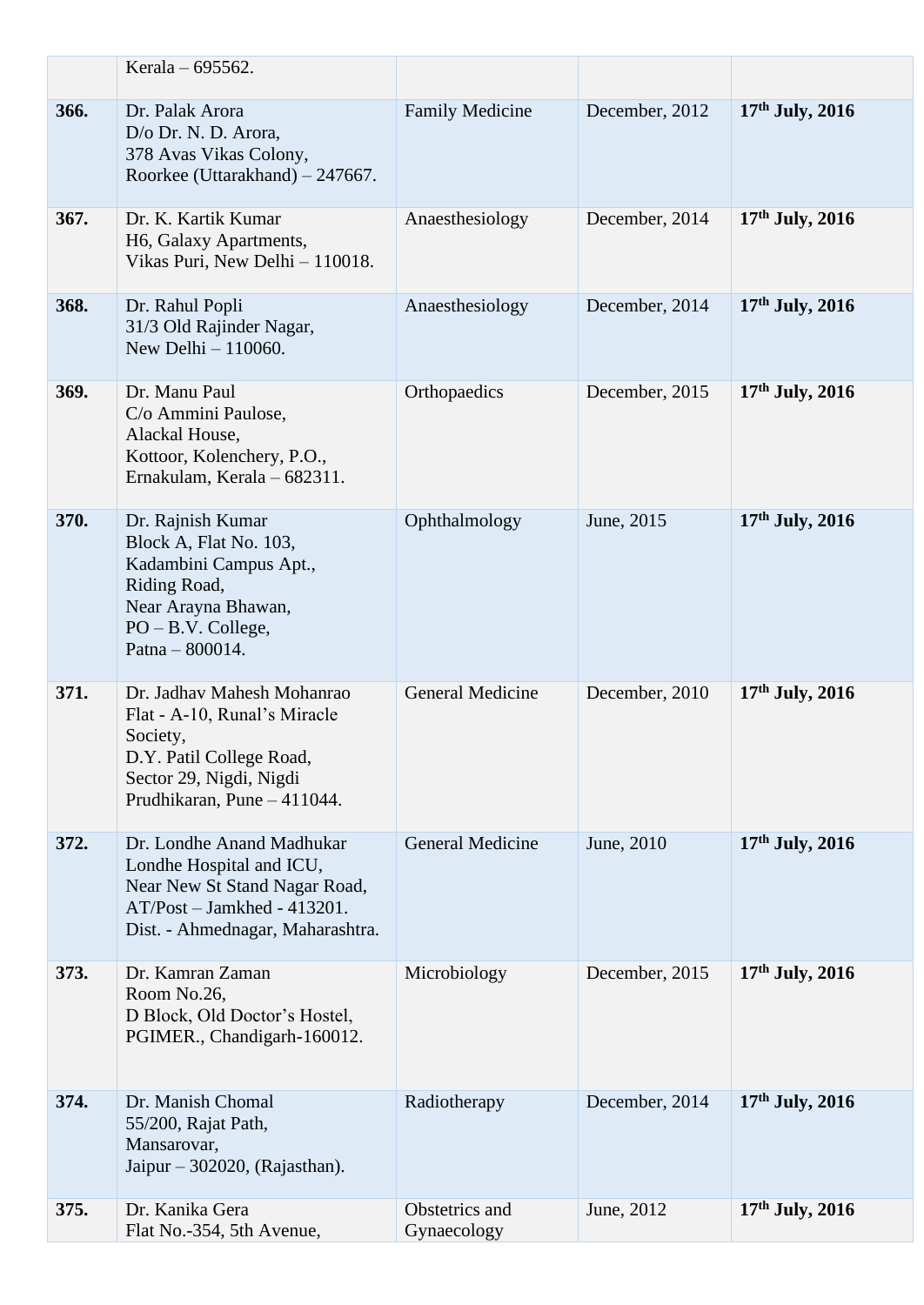|      | Kerala – 695562.                                                                                                                                             |                               |                |                   |
|------|--------------------------------------------------------------------------------------------------------------------------------------------------------------|-------------------------------|----------------|-------------------|
| 366. | Dr. Palak Arora<br>D/o Dr. N. D. Arora,<br>378 Avas Vikas Colony,<br>Roorkee (Uttarakhand) - 247667.                                                         | <b>Family Medicine</b>        | December, 2012 | $17th$ July, 2016 |
| 367. | Dr. K. Kartik Kumar<br>H6, Galaxy Apartments,<br>Vikas Puri, New Delhi - 110018.                                                                             | Anaesthesiology               | December, 2014 | $17th$ July, 2016 |
| 368. | Dr. Rahul Popli<br>31/3 Old Rajinder Nagar,<br>New Delhi - 110060.                                                                                           | Anaesthesiology               | December, 2014 | 17th July, 2016   |
| 369. | Dr. Manu Paul<br>C/o Ammini Paulose,<br>Alackal House,<br>Kottoor, Kolenchery, P.O.,<br>Ernakulam, Kerala - 682311.                                          | Orthopaedics                  | December, 2015 | $17th$ July, 2016 |
| 370. | Dr. Rajnish Kumar<br>Block A, Flat No. 103,<br>Kadambini Campus Apt.,<br>Riding Road,<br>Near Arayna Bhawan,<br>$PO - B.V. College,$<br>Patna $-800014$ .    | Ophthalmology                 | June, 2015     | $17th$ July, 2016 |
| 371. | Dr. Jadhav Mahesh Mohanrao<br>Flat - A-10, Runal's Miracle<br>Society,<br>D.Y. Patil College Road,<br>Sector 29, Nigdi, Nigdi<br>Prudhikaran, Pune - 411044. | <b>General Medicine</b>       | December, 2010 | $17th$ July, 2016 |
| 372. | Dr. Londhe Anand Madhukar<br>Londhe Hospital and ICU,<br>Near New St Stand Nagar Road,<br>AT/Post - Jamkhed - 413201.<br>Dist. - Ahmednagar, Maharashtra.    | <b>General Medicine</b>       | June, 2010     | 17th July, 2016   |
| 373. | Dr. Kamran Zaman<br>Room No.26,<br>D Block, Old Doctor's Hostel,<br>PGIMER., Chandigarh-160012.                                                              | Microbiology                  | December, 2015 | $17th$ July, 2016 |
| 374. | Dr. Manish Chomal<br>55/200, Rajat Path,<br>Mansarovar,<br>Jaipur $-302020$ , (Rajasthan).                                                                   | Radiotherapy                  | December, 2014 | $17th$ July, 2016 |
| 375. | Dr. Kanika Gera<br>Flat No.-354, 5th Avenue,                                                                                                                 | Obstetrics and<br>Gynaecology | June, 2012     | $17th$ July, 2016 |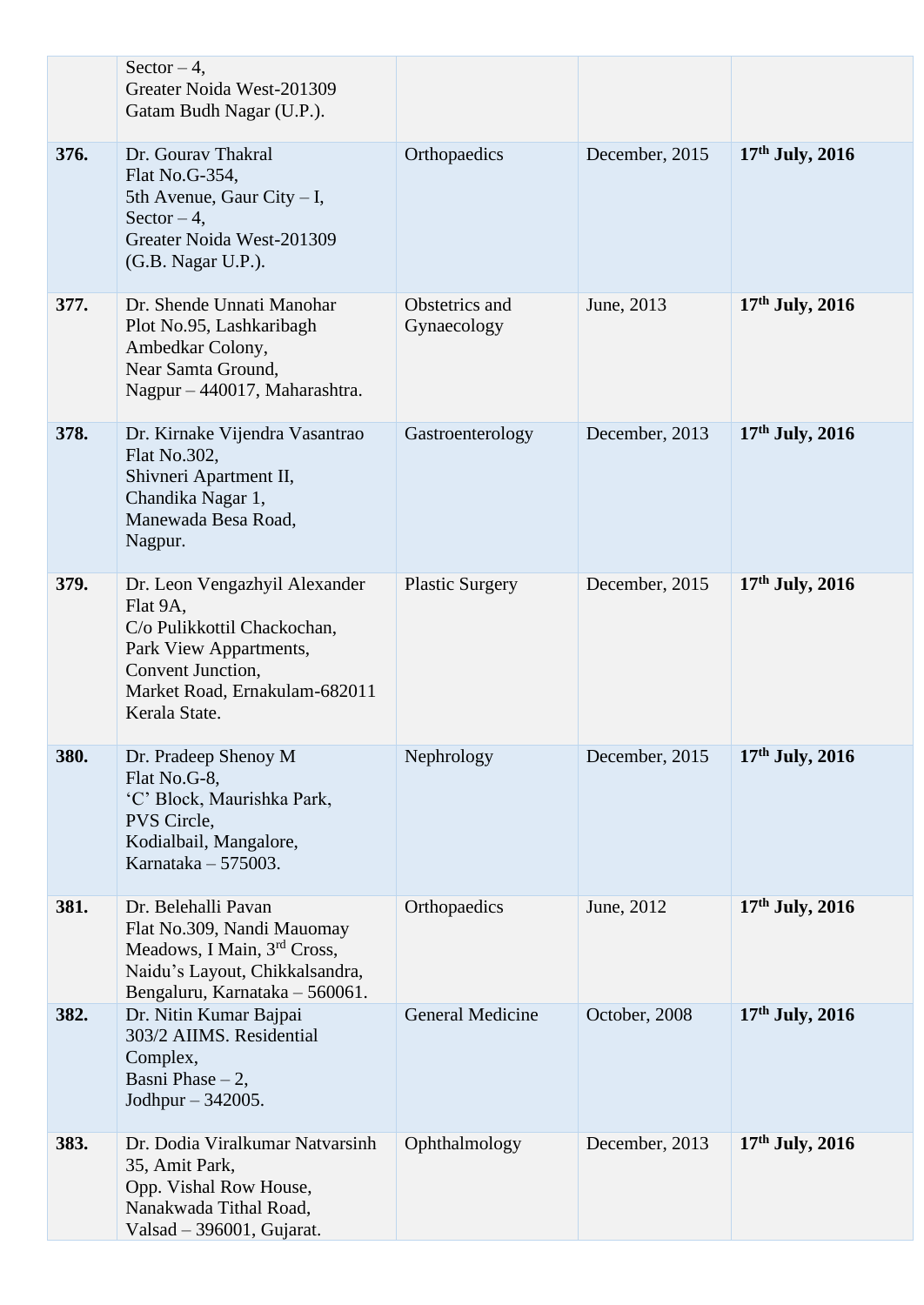|      | Sector $-4$ ,<br>Greater Noida West-201309<br>Gatam Budh Nagar (U.P.).                                                                                                    |                               |                |                   |
|------|---------------------------------------------------------------------------------------------------------------------------------------------------------------------------|-------------------------------|----------------|-------------------|
| 376. | Dr. Gourav Thakral<br>Flat No.G-354,<br>5th Avenue, Gaur City $- I$ ,<br>Sector $-4$ ,<br>Greater Noida West-201309<br>(G.B. Nagar U.P.).                                 | Orthopaedics                  | December, 2015 | $17th$ July, 2016 |
| 377. | Dr. Shende Unnati Manohar<br>Plot No.95, Lashkaribagh<br>Ambedkar Colony,<br>Near Samta Ground,<br>Nagpur - 440017, Maharashtra.                                          | Obstetrics and<br>Gynaecology | June, 2013     | 17th July, 2016   |
| 378. | Dr. Kirnake Vijendra Vasantrao<br>Flat No.302,<br>Shivneri Apartment II,<br>Chandika Nagar 1,<br>Manewada Besa Road,<br>Nagpur.                                           | Gastroenterology              | December, 2013 | $17th$ July, 2016 |
| 379. | Dr. Leon Vengazhyil Alexander<br>Flat 9A,<br>C/o Pulikkottil Chackochan,<br>Park View Appartments,<br>Convent Junction,<br>Market Road, Ernakulam-682011<br>Kerala State. | <b>Plastic Surgery</b>        | December, 2015 | $17th$ July, 2016 |
| 380. | Dr. Pradeep Shenoy M<br>Flat No.G-8,<br>'C' Block, Maurishka Park,<br>PVS Circle,<br>Kodialbail, Mangalore,<br>Karnataka $-575003$ .                                      | Nephrology                    | December, 2015 | $17th$ July, 2016 |
| 381. | Dr. Belehalli Pavan<br>Flat No.309, Nandi Mauomay<br>Meadows, I Main, 3rd Cross,<br>Naidu's Layout, Chikkalsandra,<br>Bengaluru, Karnataka - 560061.                      | Orthopaedics                  | June, 2012     | $17th$ July, 2016 |
| 382. | Dr. Nitin Kumar Bajpai<br>303/2 AIIMS. Residential<br>Complex,<br>Basni Phase $-2$ ,<br>Jodhpur - 342005.                                                                 | <b>General Medicine</b>       | October, 2008  | $17th$ July, 2016 |
| 383. | Dr. Dodia Viralkumar Natvarsinh<br>35, Amit Park,<br>Opp. Vishal Row House,<br>Nanakwada Tithal Road,<br>Valsad $-$ 396001, Gujarat.                                      | Ophthalmology                 | December, 2013 | 17th July, 2016   |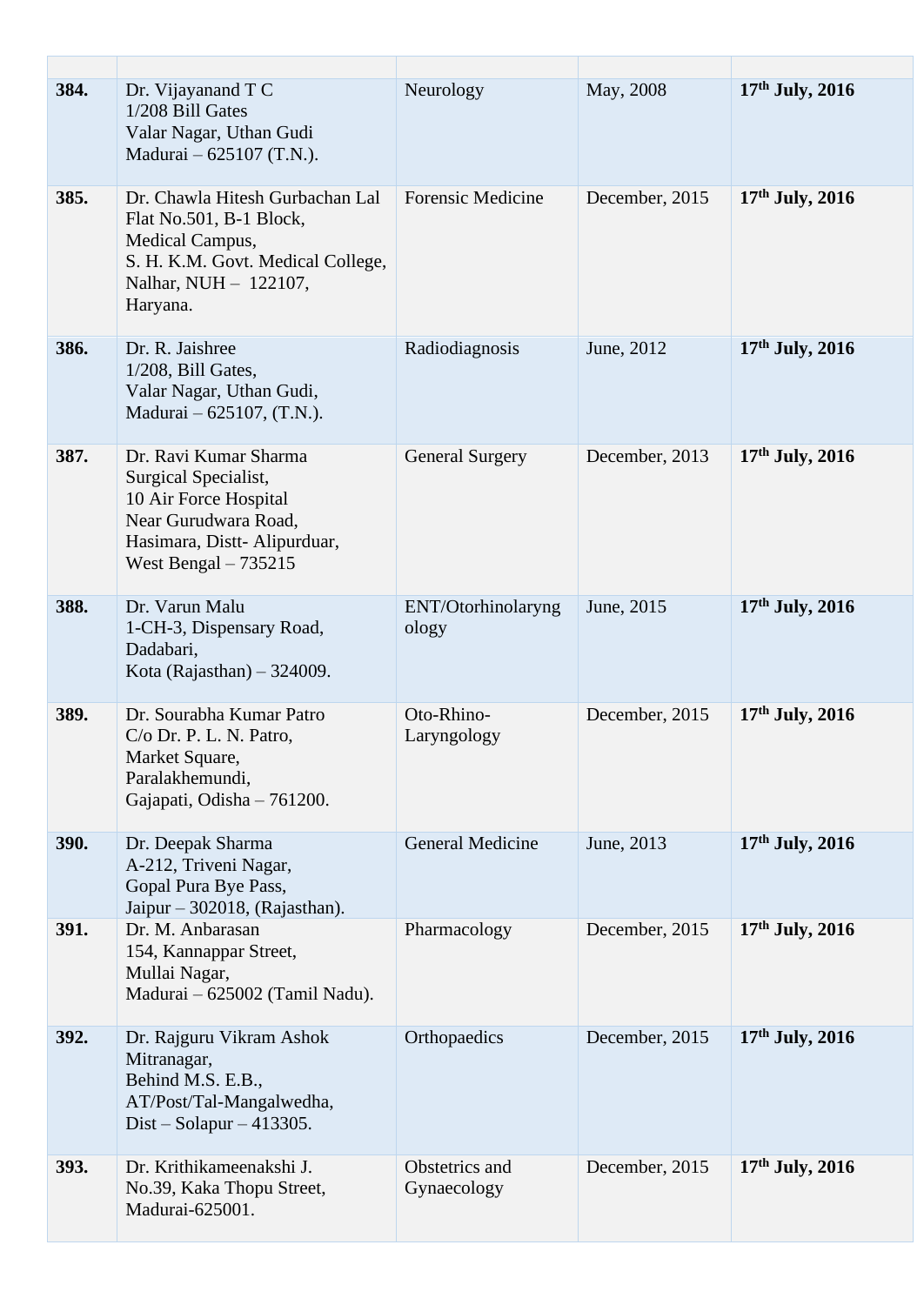| 384. | Dr. Vijayanand T C<br>1/208 Bill Gates<br>Valar Nagar, Uthan Gudi<br>Madurai – 625107 (T.N.).                                                           | Neurology                     | May, 2008      | $17th$ July, 2016 |
|------|---------------------------------------------------------------------------------------------------------------------------------------------------------|-------------------------------|----------------|-------------------|
| 385. | Dr. Chawla Hitesh Gurbachan Lal<br>Flat No.501, B-1 Block,<br>Medical Campus,<br>S. H. K.M. Govt. Medical College,<br>Nalhar, NUH - 122107,<br>Haryana. | <b>Forensic Medicine</b>      | December, 2015 | $17th$ July, 2016 |
| 386. | Dr. R. Jaishree<br>1/208, Bill Gates,<br>Valar Nagar, Uthan Gudi,<br>Madurai – 625107, (T.N.).                                                          | Radiodiagnosis                | June, 2012     | $17th$ July, 2016 |
| 387. | Dr. Ravi Kumar Sharma<br>Surgical Specialist,<br>10 Air Force Hospital<br>Near Gurudwara Road,<br>Hasimara, Distt-Alipurduar,<br>West Bengal $-735215$  | <b>General Surgery</b>        | December, 2013 | $17th$ July, 2016 |
| 388. | Dr. Varun Malu<br>1-CH-3, Dispensary Road,<br>Dadabari,<br>Kota (Rajasthan) $-324009$ .                                                                 | ENT/Otorhinolaryng<br>ology   | June, 2015     | $17th$ July, 2016 |
| 389. | Dr. Sourabha Kumar Patro<br>$C/O$ Dr. P. L. N. Patro,<br>Market Square,<br>Paralakhemundi,<br>Gajapati, Odisha - 761200.                                | Oto-Rhino-<br>Laryngology     | December, 2015 | $17th$ July, 2016 |
| 390. | Dr. Deepak Sharma<br>A-212, Triveni Nagar,<br>Gopal Pura Bye Pass,<br>Jaipur – 302018, (Rajasthan).                                                     | <b>General Medicine</b>       | June, 2013     | $17th$ July, 2016 |
| 391. | Dr. M. Anbarasan<br>154, Kannappar Street,<br>Mullai Nagar,<br>Madurai - 625002 (Tamil Nadu).                                                           | Pharmacology                  | December, 2015 | $17th$ July, 2016 |
| 392. | Dr. Rajguru Vikram Ashok<br>Mitranagar,<br>Behind M.S. E.B.,<br>AT/Post/Tal-Mangalwedha,<br>Dist – Solapur – 413305.                                    | Orthopaedics                  | December, 2015 | $17th$ July, 2016 |
| 393. | Dr. Krithikameenakshi J.<br>No.39, Kaka Thopu Street,<br>Madurai-625001.                                                                                | Obstetrics and<br>Gynaecology | December, 2015 | $17th$ July, 2016 |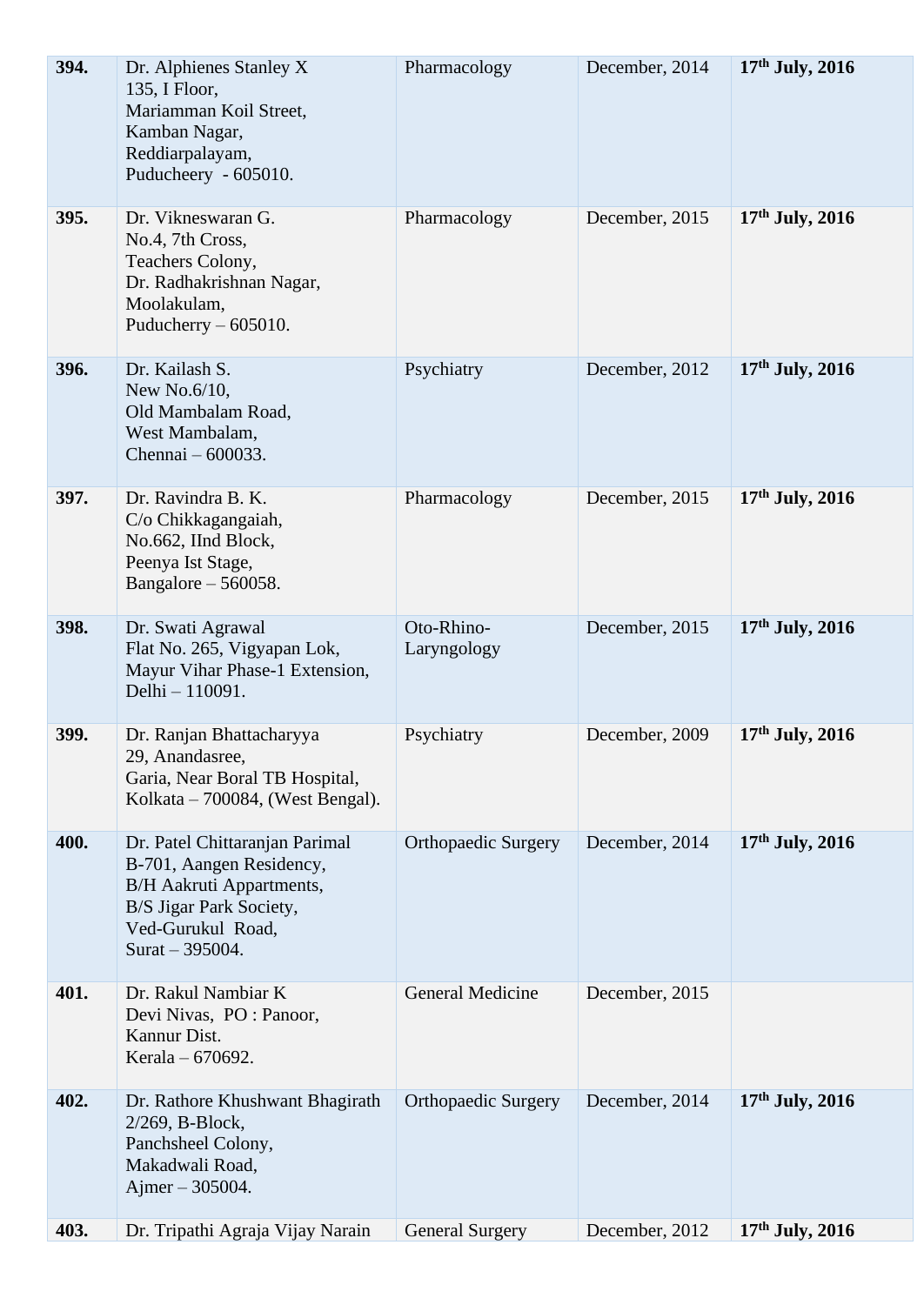| 394. | Dr. Alphienes Stanley X<br>135, I Floor,<br>Mariamman Koil Street,<br>Kamban Nagar,<br>Reddiarpalayam,<br>Puducheery - 605010.                                     | Pharmacology               | December, 2014 | $17th$ July, 2016 |
|------|--------------------------------------------------------------------------------------------------------------------------------------------------------------------|----------------------------|----------------|-------------------|
| 395. | Dr. Vikneswaran G.<br>No.4, 7th Cross,<br>Teachers Colony,<br>Dr. Radhakrishnan Nagar,<br>Moolakulam,<br>Puducherry $-605010$ .                                    | Pharmacology               | December, 2015 | $17th$ July, 2016 |
| 396. | Dr. Kailash S.<br>New No. $6/10$ ,<br>Old Mambalam Road,<br>West Mambalam,<br>Chennai – 600033.                                                                    | Psychiatry                 | December, 2012 | $17th$ July, 2016 |
| 397. | Dr. Ravindra B. K.<br>C/o Chikkagangaiah,<br>No.662, IInd Block,<br>Peenya Ist Stage,<br>Bangalore $-560058$ .                                                     | Pharmacology               | December, 2015 | $17th$ July, 2016 |
| 398. | Dr. Swati Agrawal<br>Flat No. 265, Vigyapan Lok,<br>Mayur Vihar Phase-1 Extension,<br>Delhi - 110091.                                                              | Oto-Rhino-<br>Laryngology  | December, 2015 | $17th$ July, 2016 |
| 399. | Dr. Ranjan Bhattacharyya<br>29, Anandasree,<br>Garia, Near Boral TB Hospital,<br>Kolkata – 700084, (West Bengal).                                                  | Psychiatry                 | December, 2009 | $17th$ July, 2016 |
| 400. | Dr. Patel Chittaranjan Parimal<br>B-701, Aangen Residency,<br><b>B/H</b> Aakruti Appartments,<br>B/S Jigar Park Society,<br>Ved-Gurukul Road,<br>Surat $-395004$ . | <b>Orthopaedic Surgery</b> | December, 2014 | $17th$ July, 2016 |
| 401. | Dr. Rakul Nambiar K<br>Devi Nivas, PO : Panoor,<br>Kannur Dist.<br>Kerala – 670692.                                                                                | <b>General Medicine</b>    | December, 2015 |                   |
| 402. | Dr. Rathore Khushwant Bhagirath<br>2/269, B-Block,<br>Panchsheel Colony,<br>Makadwali Road,<br>Ajmer $-305004$ .                                                   | <b>Orthopaedic Surgery</b> | December, 2014 | $17th$ July, 2016 |
| 403. | Dr. Tripathi Agraja Vijay Narain                                                                                                                                   | <b>General Surgery</b>     | December, 2012 | $17th$ July, 2016 |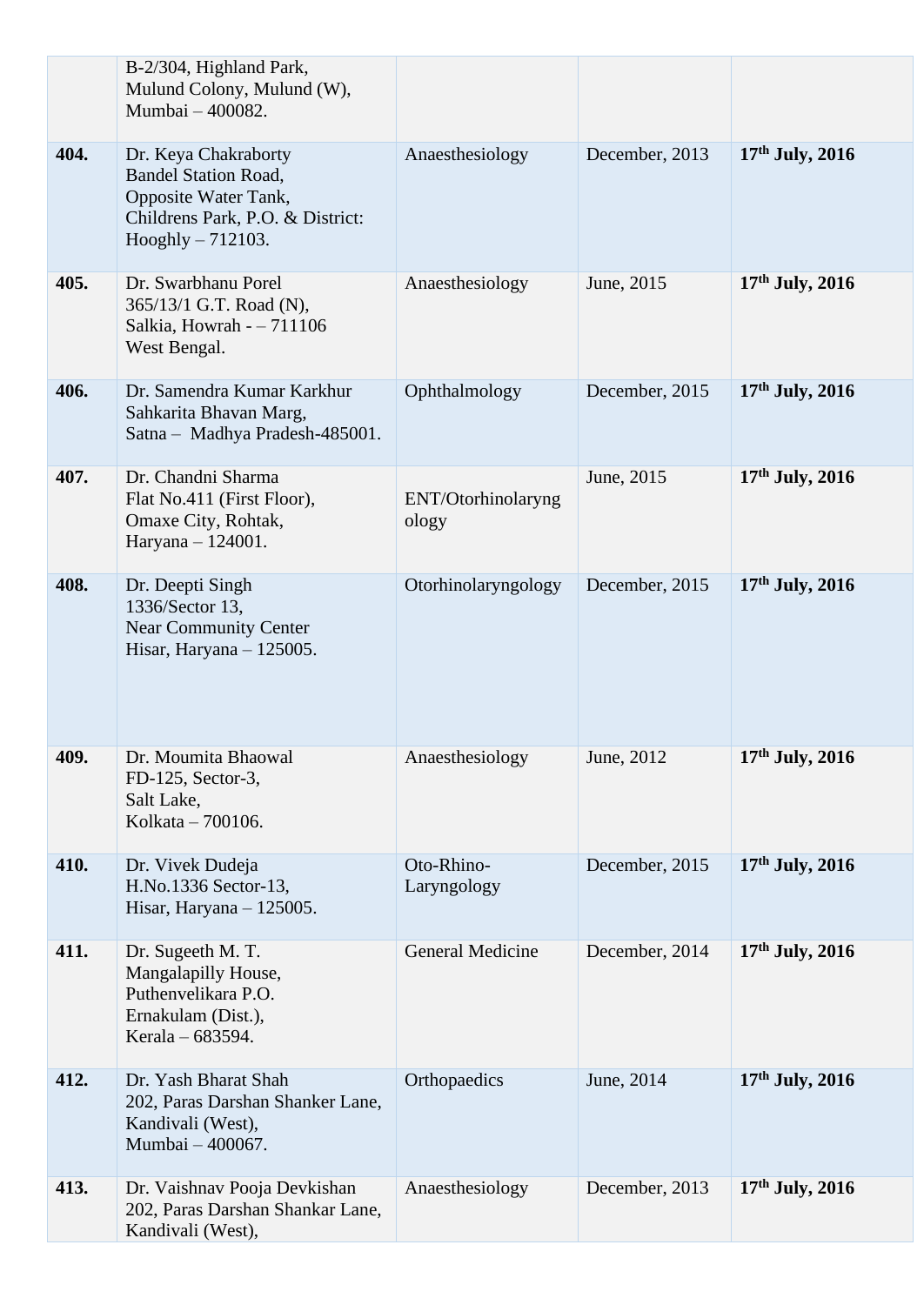|      | B-2/304, Highland Park,<br>Mulund Colony, Mulund (W),<br>Mumbai - 400082.                                                              |                             |                |                   |
|------|----------------------------------------------------------------------------------------------------------------------------------------|-----------------------------|----------------|-------------------|
| 404. | Dr. Keya Chakraborty<br><b>Bandel Station Road,</b><br>Opposite Water Tank,<br>Childrens Park, P.O. & District:<br>$Hooghly - 712103.$ | Anaesthesiology             | December, 2013 | $17th$ July, 2016 |
| 405. | Dr. Swarbhanu Porel<br>365/13/1 G.T. Road (N),<br>Salkia, Howrah - - 711106<br>West Bengal.                                            | Anaesthesiology             | June, 2015     | $17th$ July, 2016 |
| 406. | Dr. Samendra Kumar Karkhur<br>Sahkarita Bhavan Marg,<br>Satna - Madhya Pradesh-485001.                                                 | Ophthalmology               | December, 2015 | $17th$ July, 2016 |
| 407. | Dr. Chandni Sharma<br>Flat No.411 (First Floor),<br>Omaxe City, Rohtak,<br>Haryana - 124001.                                           | ENT/Otorhinolaryng<br>ology | June, 2015     | $17th$ July, 2016 |
| 408. | Dr. Deepti Singh<br>1336/Sector 13,<br><b>Near Community Center</b><br>Hisar, Haryana - 125005.                                        | Otorhinolaryngology         | December, 2015 | $17th$ July, 2016 |
| 409. | Dr. Moumita Bhaowal<br>FD-125, Sector-3,<br>Salt Lake,<br>Kolkata - 700106.                                                            | Anaesthesiology             | June, 2012     | $17th$ July, 2016 |
| 410. | Dr. Vivek Dudeja<br>H.No.1336 Sector-13,<br>Hisar, Haryana $-125005$ .                                                                 | Oto-Rhino-<br>Laryngology   | December, 2015 | 17th July, 2016   |
| 411. | Dr. Sugeeth M. T.<br>Mangalapilly House,<br>Puthenvelikara P.O.<br>Ernakulam (Dist.),<br>Kerala – 683594.                              | General Medicine            | December, 2014 | $17th$ July, 2016 |
| 412. | Dr. Yash Bharat Shah<br>202, Paras Darshan Shanker Lane,<br>Kandivali (West),<br>Mumbai - 400067.                                      | Orthopaedics                | June, 2014     | $17th$ July, 2016 |
| 413. | Dr. Vaishnav Pooja Devkishan<br>202, Paras Darshan Shankar Lane,<br>Kandivali (West),                                                  | Anaesthesiology             | December, 2013 | $17th$ July, 2016 |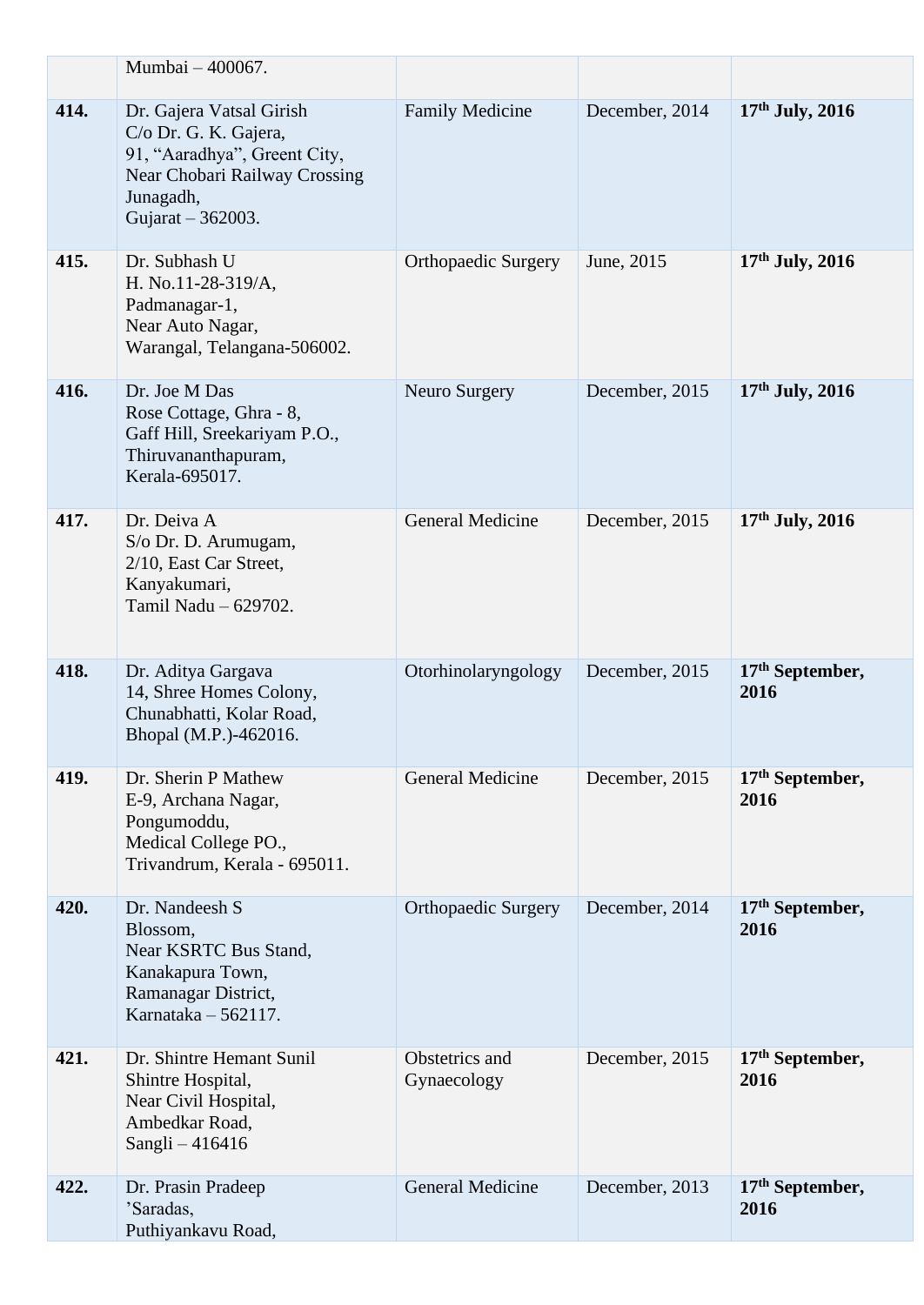|      | Mumbai - 400067.                                                                                                                                     |                               |                |                           |
|------|------------------------------------------------------------------------------------------------------------------------------------------------------|-------------------------------|----------------|---------------------------|
| 414. | Dr. Gajera Vatsal Girish<br>C/o Dr. G. K. Gajera,<br>91, "Aaradhya", Greent City,<br>Near Chobari Railway Crossing<br>Junagadh,<br>Gujarat - 362003. | <b>Family Medicine</b>        | December, 2014 | $17th$ July, 2016         |
| 415. | Dr. Subhash U<br>H. No.11-28-319/A,<br>Padmanagar-1,<br>Near Auto Nagar,<br>Warangal, Telangana-506002.                                              | <b>Orthopaedic Surgery</b>    | June, 2015     | $17th$ July, 2016         |
| 416. | Dr. Joe M Das<br>Rose Cottage, Ghra - 8,<br>Gaff Hill, Sreekariyam P.O.,<br>Thiruvananthapuram,<br>Kerala-695017.                                    | Neuro Surgery                 | December, 2015 | 17th July, 2016           |
| 417. | Dr. Deiva A<br>S/o Dr. D. Arumugam,<br>2/10, East Car Street,<br>Kanyakumari,<br>Tamil Nadu - 629702.                                                | <b>General Medicine</b>       | December, 2015 | $17th$ July, 2016         |
| 418. | Dr. Aditya Gargava<br>14, Shree Homes Colony,<br>Chunabhatti, Kolar Road,<br>Bhopal (M.P.)-462016.                                                   | Otorhinolaryngology           | December, 2015 | $17th$ September,<br>2016 |
| 419. | Dr. Sherin P Mathew<br>E-9, Archana Nagar,<br>Pongumoddu,<br>Medical College PO.,<br>Trivandrum, Kerala - 695011.                                    | <b>General Medicine</b>       | December, 2015 | $17th$ September,<br>2016 |
| 420. | Dr. Nandeesh S<br>Blossom,<br>Near KSRTC Bus Stand,<br>Kanakapura Town,<br>Ramanagar District,<br>Karnataka $-562117$ .                              | <b>Orthopaedic Surgery</b>    | December, 2014 | $17th$ September,<br>2016 |
| 421. | Dr. Shintre Hemant Sunil<br>Shintre Hospital,<br>Near Civil Hospital,<br>Ambedkar Road,<br>Sangli - 416416                                           | Obstetrics and<br>Gynaecology | December, 2015 | $17th$ September,<br>2016 |
| 422. | Dr. Prasin Pradeep<br>'Saradas,<br>Puthiyankavu Road,                                                                                                | <b>General Medicine</b>       | December, 2013 | $17th$ September,<br>2016 |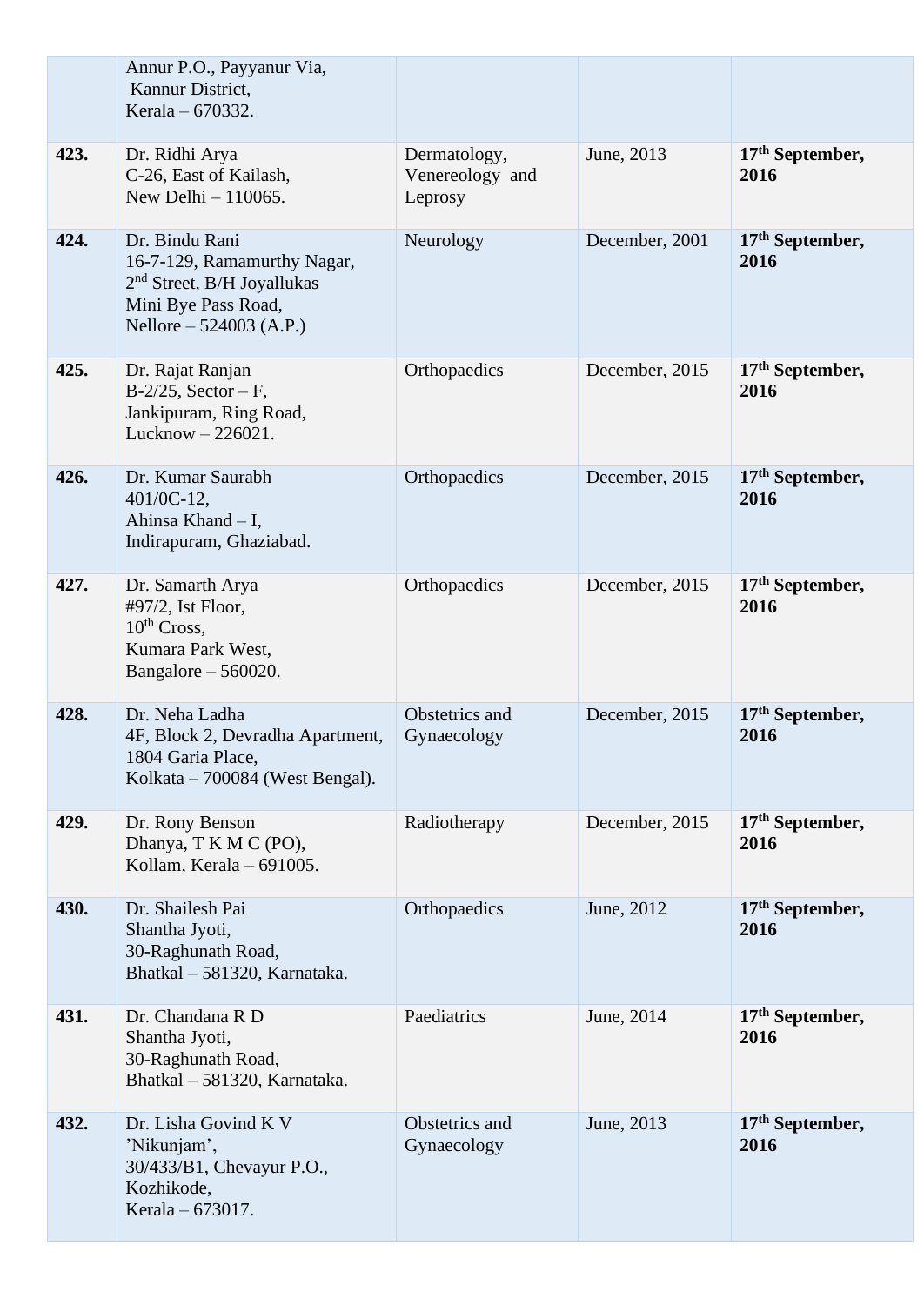|      | Annur P.O., Payyanur Via,<br>Kannur District,<br>Kerala – 670332.                                                               |                                            |                |                                     |
|------|---------------------------------------------------------------------------------------------------------------------------------|--------------------------------------------|----------------|-------------------------------------|
| 423. | Dr. Ridhi Arya<br>C-26, East of Kailash,<br>New Delhi - 110065.                                                                 | Dermatology,<br>Venereology and<br>Leprosy | June, 2013     | $17th$ September,<br>2016           |
| 424. | Dr. Bindu Rani<br>16-7-129, Ramamurthy Nagar,<br>$2nd$ Street, B/H Joyallukas<br>Mini Bye Pass Road,<br>Nellore – 524003 (A.P.) | Neurology                                  | December, 2001 | 17 <sup>th</sup> September,<br>2016 |
| 425. | Dr. Rajat Ranjan<br>$B-2/25$ , Sector – F,<br>Jankipuram, Ring Road,<br>Lucknow $-226021$ .                                     | Orthopaedics                               | December, 2015 | $17th$ September,<br>2016           |
| 426. | Dr. Kumar Saurabh<br>401/0C-12,<br>Ahinsa Khand - I,<br>Indirapuram, Ghaziabad.                                                 | Orthopaedics                               | December, 2015 | $17th$ September,<br>2016           |
| 427. | Dr. Samarth Arya<br>#97/2, Ist Floor,<br>$10th Cross$ ,<br>Kumara Park West,<br>Bangalore $-560020$ .                           | Orthopaedics                               | December, 2015 | 17 <sup>th</sup> September,<br>2016 |
| 428. | Dr. Neha Ladha<br>4F, Block 2, Devradha Apartment,<br>1804 Garia Place,<br>Kolkata – 700084 (West Bengal).                      | Obstetrics and<br>Gynaecology              | December, 2015 | $17th$ September,<br>2016           |
| 429. | Dr. Rony Benson<br>Dhanya, T K M C (PO),<br>Kollam, Kerala - 691005.                                                            | Radiotherapy                               | December, 2015 | $17th$ September,<br>2016           |
| 430. | Dr. Shailesh Pai<br>Shantha Jyoti,<br>30-Raghunath Road,<br>Bhatkal - 581320, Karnataka.                                        | Orthopaedics                               | June, 2012     | 17 <sup>th</sup> September,<br>2016 |
| 431. | Dr. Chandana R D<br>Shantha Jyoti,<br>30-Raghunath Road,<br>Bhatkal - 581320, Karnataka.                                        | Paediatrics                                | June, 2014     | $17th$ September,<br>2016           |
| 432. | Dr. Lisha Govind K V<br>'Nikunjam',<br>30/433/B1, Chevayur P.O.,<br>Kozhikode,<br>Kerala – 673017.                              | Obstetrics and<br>Gynaecology              | June, 2013     | 17 <sup>th</sup> September,<br>2016 |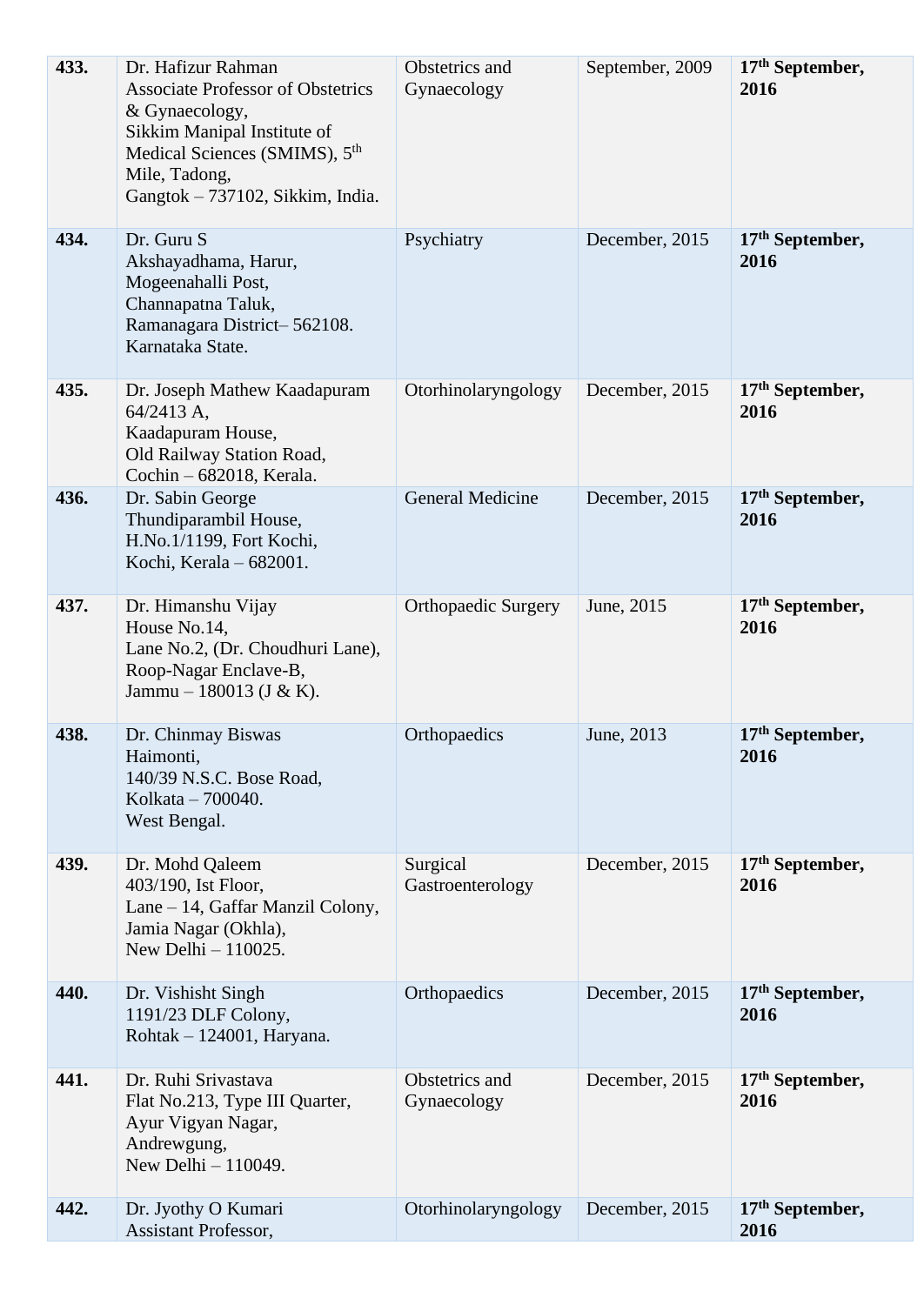| 433. | Dr. Hafizur Rahman<br><b>Associate Professor of Obstetrics</b><br>& Gynaecology,<br>Sikkim Manipal Institute of<br>Medical Sciences (SMIMS), 5 <sup>th</sup><br>Mile, Tadong,<br>Gangtok - 737102, Sikkim, India. | Obstetrics and<br>Gynaecology | September, 2009 | 17th September,<br>2016   |
|------|-------------------------------------------------------------------------------------------------------------------------------------------------------------------------------------------------------------------|-------------------------------|-----------------|---------------------------|
| 434. | Dr. Guru S<br>Akshayadhama, Harur,<br>Mogeenahalli Post,<br>Channapatna Taluk,<br>Ramanagara District-562108.<br>Karnataka State.                                                                                 | Psychiatry                    | December, 2015  | $17th$ September,<br>2016 |
| 435. | Dr. Joseph Mathew Kaadapuram<br>64/2413 A,<br>Kaadapuram House,<br>Old Railway Station Road,<br>Cochin - 682018, Kerala.                                                                                          | Otorhinolaryngology           | December, 2015  | $17th$ September,<br>2016 |
| 436. | Dr. Sabin George<br>Thundiparambil House,<br>H.No.1/1199, Fort Kochi,<br>Kochi, Kerala - 682001.                                                                                                                  | <b>General Medicine</b>       | December, 2015  | $17th$ September,<br>2016 |
| 437. | Dr. Himanshu Vijay<br>House No.14,<br>Lane No.2, (Dr. Choudhuri Lane),<br>Roop-Nagar Enclave-B,<br>Jammu – 180013 (J & K).                                                                                        | <b>Orthopaedic Surgery</b>    | June, 2015      | $17th$ September,<br>2016 |
| 438. | Dr. Chinmay Biswas<br>Haimonti,<br>140/39 N.S.C. Bose Road,<br>Kolkata - 700040.<br>West Bengal.                                                                                                                  | Orthopaedics                  | June, 2013      | $17th$ September,<br>2016 |
| 439. | Dr. Mohd Qaleem<br>403/190, Ist Floor,<br>Lane – 14, Gaffar Manzil Colony,<br>Jamia Nagar (Okhla),<br>New Delhi $-110025$ .                                                                                       | Surgical<br>Gastroenterology  | December, 2015  | $17th$ September,<br>2016 |
| 440. | Dr. Vishisht Singh<br>1191/23 DLF Colony,<br>Rohtak - 124001, Haryana.                                                                                                                                            | Orthopaedics                  | December, 2015  | $17th$ September,<br>2016 |
| 441. | Dr. Ruhi Srivastava<br>Flat No.213, Type III Quarter,<br>Ayur Vigyan Nagar,<br>Andrewgung,<br>New Delhi - 110049.                                                                                                 | Obstetrics and<br>Gynaecology | December, 2015  | $17th$ September,<br>2016 |
| 442. | Dr. Jyothy O Kumari<br>Assistant Professor,                                                                                                                                                                       | Otorhinolaryngology           | December, 2015  | $17th$ September,<br>2016 |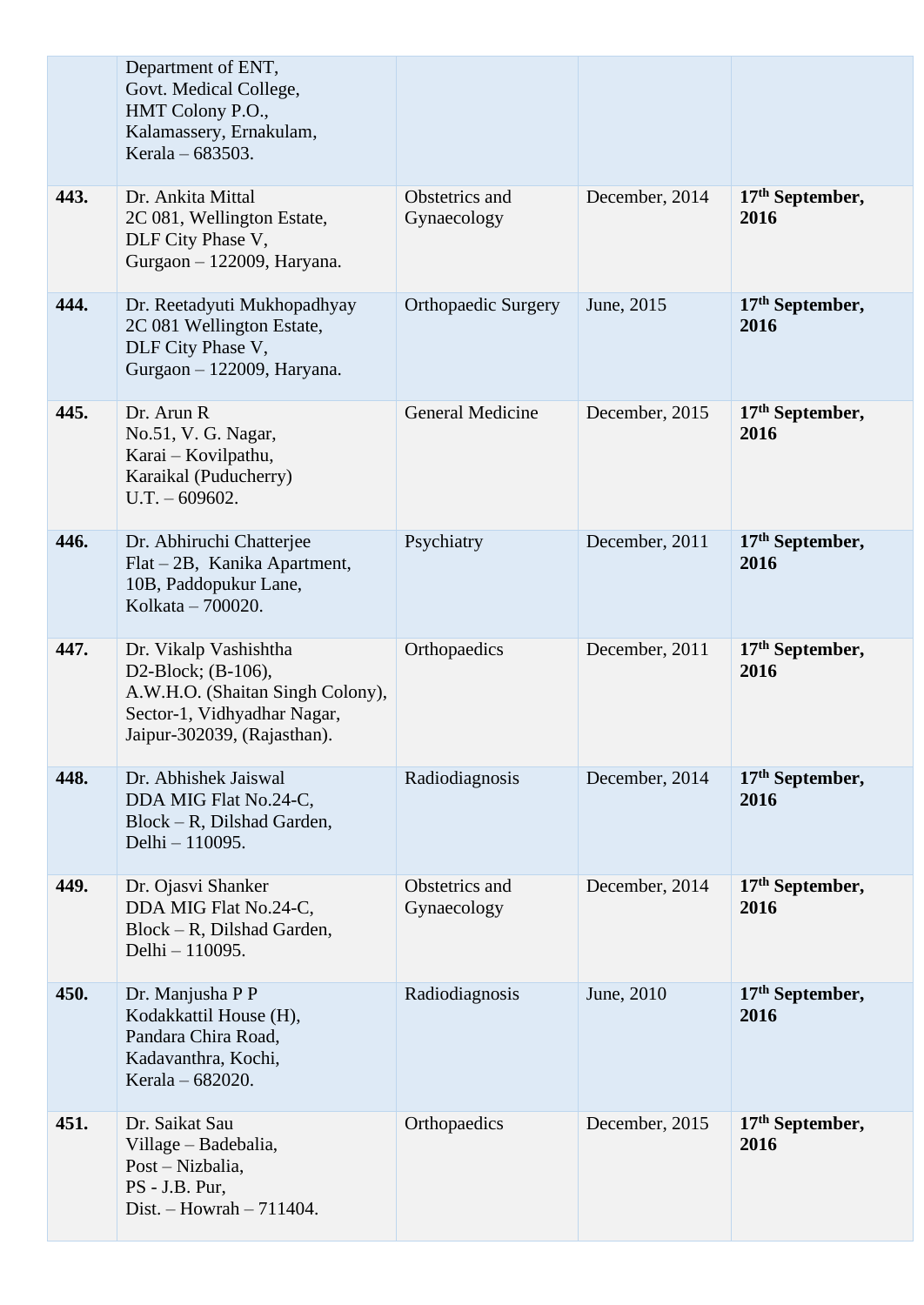|      | Department of ENT,<br>Govt. Medical College,<br>HMT Colony P.O.,<br>Kalamassery, Ernakulam,<br>Kerala – $683503$ .                            |                               |                |                           |
|------|-----------------------------------------------------------------------------------------------------------------------------------------------|-------------------------------|----------------|---------------------------|
| 443. | Dr. Ankita Mittal<br>2C 081, Wellington Estate,<br>DLF City Phase V,<br>Gurgaon - 122009, Haryana.                                            | Obstetrics and<br>Gynaecology | December, 2014 | $17th$ September,<br>2016 |
| 444. | Dr. Reetadyuti Mukhopadhyay<br>2C 081 Wellington Estate,<br>DLF City Phase V,<br>Gurgaon - 122009, Haryana.                                   | <b>Orthopaedic Surgery</b>    | June, 2015     | $17th$ September,<br>2016 |
| 445. | Dr. Arun R<br>No.51, V. G. Nagar,<br>Karai – Kovilpathu,<br>Karaikal (Puducherry)<br>$U.T. - 609602.$                                         | <b>General Medicine</b>       | December, 2015 | $17th$ September,<br>2016 |
| 446. | Dr. Abhiruchi Chatterjee<br>Flat – 2B, Kanika Apartment,<br>10B, Paddopukur Lane,<br>Kolkata - 700020.                                        | Psychiatry                    | December, 2011 | $17th$ September,<br>2016 |
| 447. | Dr. Vikalp Vashishtha<br>D2-Block; (B-106),<br>A.W.H.O. (Shaitan Singh Colony),<br>Sector-1, Vidhyadhar Nagar,<br>Jaipur-302039, (Rajasthan). | Orthopaedics                  | December, 2011 | $17th$ September,<br>2016 |
| 448. | Dr. Abhishek Jaiswal<br>DDA MIG Flat No.24-C,<br>Block – R, Dilshad Garden,<br>Delhi - 110095.                                                | Radiodiagnosis                | December, 2014 | $17th$ September,<br>2016 |
| 449. | Dr. Ojasvi Shanker<br>DDA MIG Flat No.24-C,<br>Block – R, Dilshad Garden,<br>Delhi - 110095.                                                  | Obstetrics and<br>Gynaecology | December, 2014 | $17th$ September,<br>2016 |
| 450. | Dr. Manjusha P P<br>Kodakkattil House (H),<br>Pandara Chira Road,<br>Kadavanthra, Kochi,<br>Kerala - 682020.                                  | Radiodiagnosis                | June, 2010     | $17th$ September,<br>2016 |
| 451. | Dr. Saikat Sau<br>Village - Badebalia,<br>Post – Nizbalia,<br>PS - J.B. Pur,<br>Dist. $-$ Howrah $-711404$ .                                  | Orthopaedics                  | December, 2015 | $17th$ September,<br>2016 |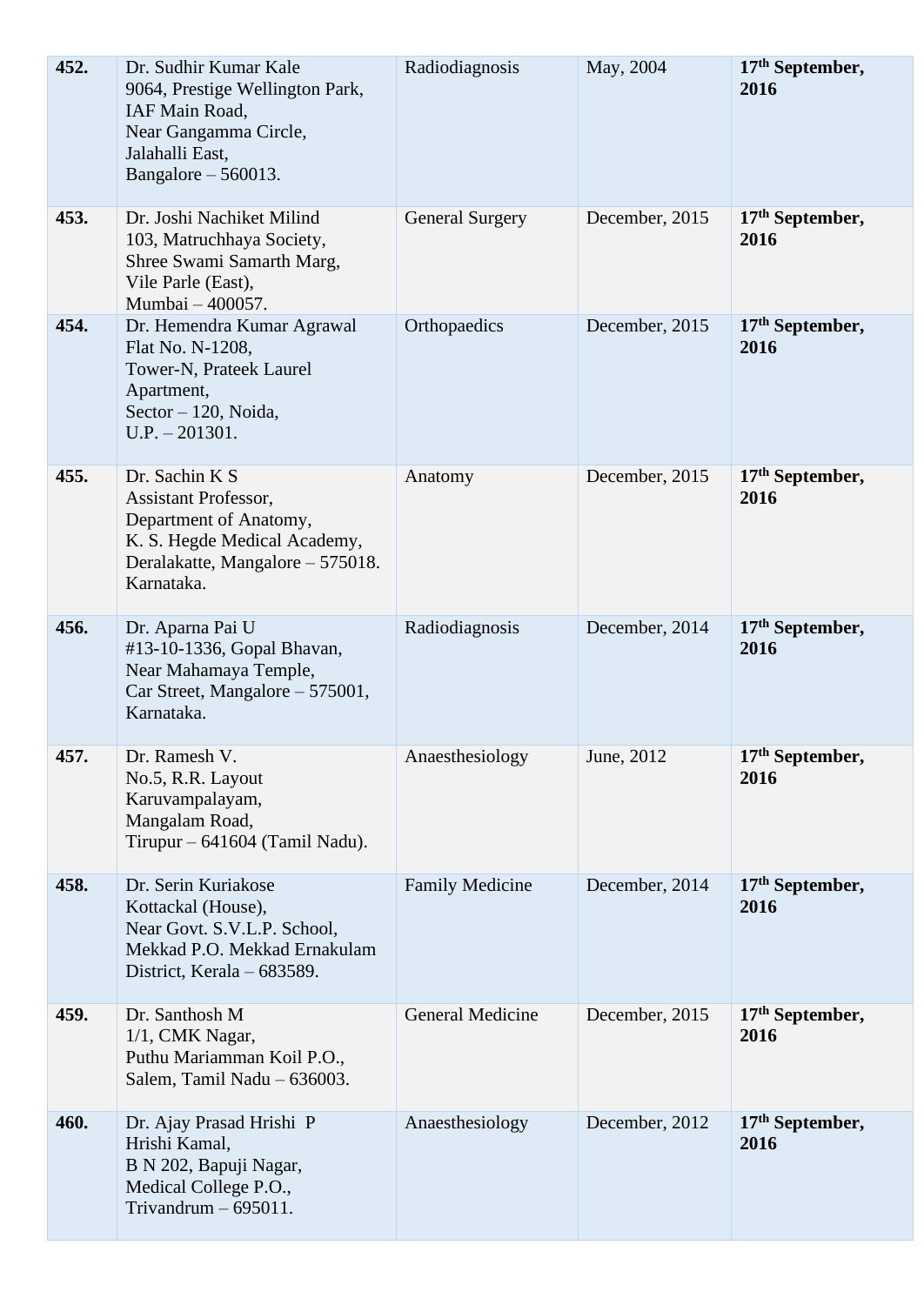| 452. | Dr. Sudhir Kumar Kale<br>9064, Prestige Wellington Park,<br>IAF Main Road,<br>Near Gangamma Circle,<br>Jalahalli East,<br>Bangalore $-560013$ .           | Radiodiagnosis          | May, 2004      | 17th September,<br>2016             |
|------|-----------------------------------------------------------------------------------------------------------------------------------------------------------|-------------------------|----------------|-------------------------------------|
| 453. | Dr. Joshi Nachiket Milind<br>103, Matruchhaya Society,<br>Shree Swami Samarth Marg,<br>Vile Parle (East),<br>Mumbai - 400057.                             | <b>General Surgery</b>  | December, 2015 | 17 <sup>th</sup> September,<br>2016 |
| 454. | Dr. Hemendra Kumar Agrawal<br>Flat No. N-1208,<br>Tower-N, Prateek Laurel<br>Apartment,<br>Sector $-120$ , Noida,<br>$U.P. - 201301.$                     | Orthopaedics            | December, 2015 | $17th$ September,<br>2016           |
| 455. | Dr. Sachin K S<br><b>Assistant Professor,</b><br>Department of Anatomy,<br>K. S. Hegde Medical Academy,<br>Deralakatte, Mangalore – 575018.<br>Karnataka. | Anatomy                 | December, 2015 | $17th$ September,<br>2016           |
| 456. | Dr. Aparna Pai U<br>#13-10-1336, Gopal Bhavan,<br>Near Mahamaya Temple,<br>Car Street, Mangalore – 575001,<br>Karnataka.                                  | Radiodiagnosis          | December, 2014 | 17 <sup>th</sup> September,<br>2016 |
| 457. | Dr. Ramesh V.<br>No.5, R.R. Layout<br>Karuvampalayam,<br>Mangalam Road,<br>Tirupur – 641604 (Tamil Nadu).                                                 | Anaesthesiology         | June, 2012     | 17 <sup>th</sup> September,<br>2016 |
| 458. | Dr. Serin Kuriakose<br>Kottackal (House),<br>Near Govt. S.V.L.P. School,<br>Mekkad P.O. Mekkad Ernakulam<br>District, Kerala – 683589.                    | <b>Family Medicine</b>  | December, 2014 | $17th$ September,<br>2016           |
| 459. | Dr. Santhosh M<br>1/1, CMK Nagar,<br>Puthu Mariamman Koil P.O.,<br>Salem, Tamil Nadu - 636003.                                                            | <b>General Medicine</b> | December, 2015 | $17th$ September,<br>2016           |
| 460. | Dr. Ajay Prasad Hrishi P<br>Hrishi Kamal,<br>B N 202, Bapuji Nagar,<br>Medical College P.O.,<br>Trivandrum $-695011$ .                                    | Anaesthesiology         | December, 2012 | $17th$ September,<br>2016           |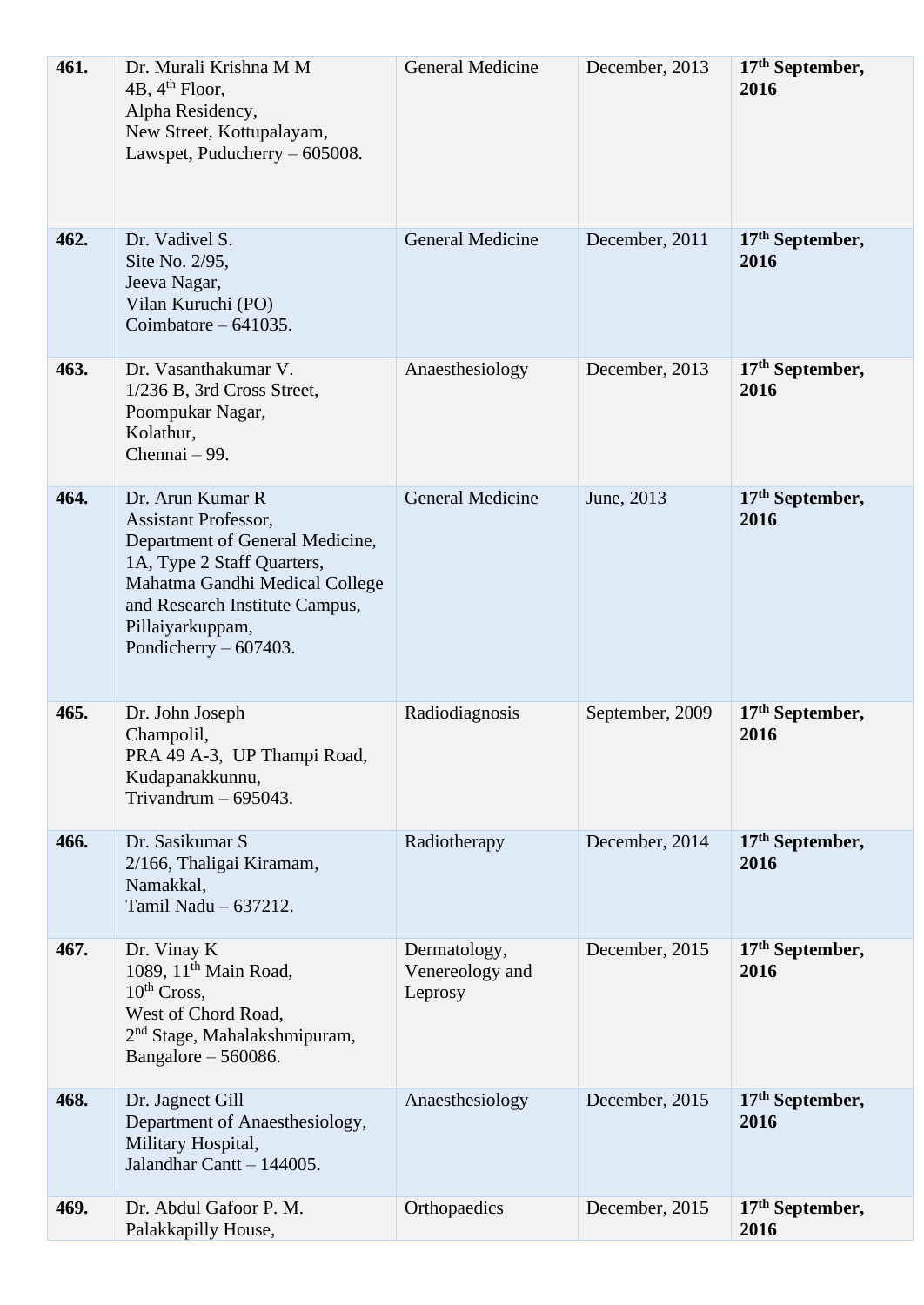| 461. | Dr. Murali Krishna M M<br>4B, $4th$ Floor,<br>Alpha Residency,<br>New Street, Kottupalayam,<br>Lawspet, Puducherry – 605008.                                                                                                        | <b>General Medicine</b>                    | December, 2013  | $17th$ September,<br>2016           |
|------|-------------------------------------------------------------------------------------------------------------------------------------------------------------------------------------------------------------------------------------|--------------------------------------------|-----------------|-------------------------------------|
| 462. | Dr. Vadivel S.<br>Site No. 2/95,<br>Jeeva Nagar,<br>Vilan Kuruchi (PO)<br>Coimbatore $-641035$ .                                                                                                                                    | <b>General Medicine</b>                    | December, 2011  | $17th$ September,<br>2016           |
| 463. | Dr. Vasanthakumar V.<br>1/236 B, 3rd Cross Street,<br>Poompukar Nagar,<br>Kolathur,<br>Chennai – 99.                                                                                                                                | Anaesthesiology                            | December, 2013  | $17th$ September,<br>2016           |
| 464. | Dr. Arun Kumar R<br><b>Assistant Professor,</b><br>Department of General Medicine,<br>1A, Type 2 Staff Quarters,<br>Mahatma Gandhi Medical College<br>and Research Institute Campus,<br>Pillaiyarkuppam,<br>Pondicherry $-607403$ . | <b>General Medicine</b>                    | June, 2013      | 17 <sup>th</sup> September,<br>2016 |
| 465. | Dr. John Joseph<br>Champolil,<br>PRA 49 A-3, UP Thampi Road,<br>Kudapanakkunnu,<br>Trivandrum $-695043$ .                                                                                                                           | Radiodiagnosis                             | September, 2009 | $17th$ September,<br>2016           |
| 466. | Dr. Sasikumar S<br>2/166, Thaligai Kiramam,<br>Namakkal,<br>Tamil Nadu - 637212.                                                                                                                                                    | Radiotherapy                               | December, 2014  | $17th$ September,<br>2016           |
| 467. | Dr. Vinay K<br>1089, 11 <sup>th</sup> Main Road,<br>10 <sup>th</sup> Cross,<br>West of Chord Road,<br>2 <sup>nd</sup> Stage, Mahalakshmipuram,<br>Bangalore $-560086$ .                                                             | Dermatology,<br>Venereology and<br>Leprosy | December, 2015  | 17 <sup>th</sup> September,<br>2016 |
| 468. | Dr. Jagneet Gill<br>Department of Anaesthesiology,<br>Military Hospital,<br>Jalandhar Cantt - 144005.                                                                                                                               | Anaesthesiology                            | December, 2015  | $17th$ September,<br>2016           |
| 469. | Dr. Abdul Gafoor P. M.<br>Palakkapilly House,                                                                                                                                                                                       | Orthopaedics                               | December, 2015  | $17th$ September,<br>2016           |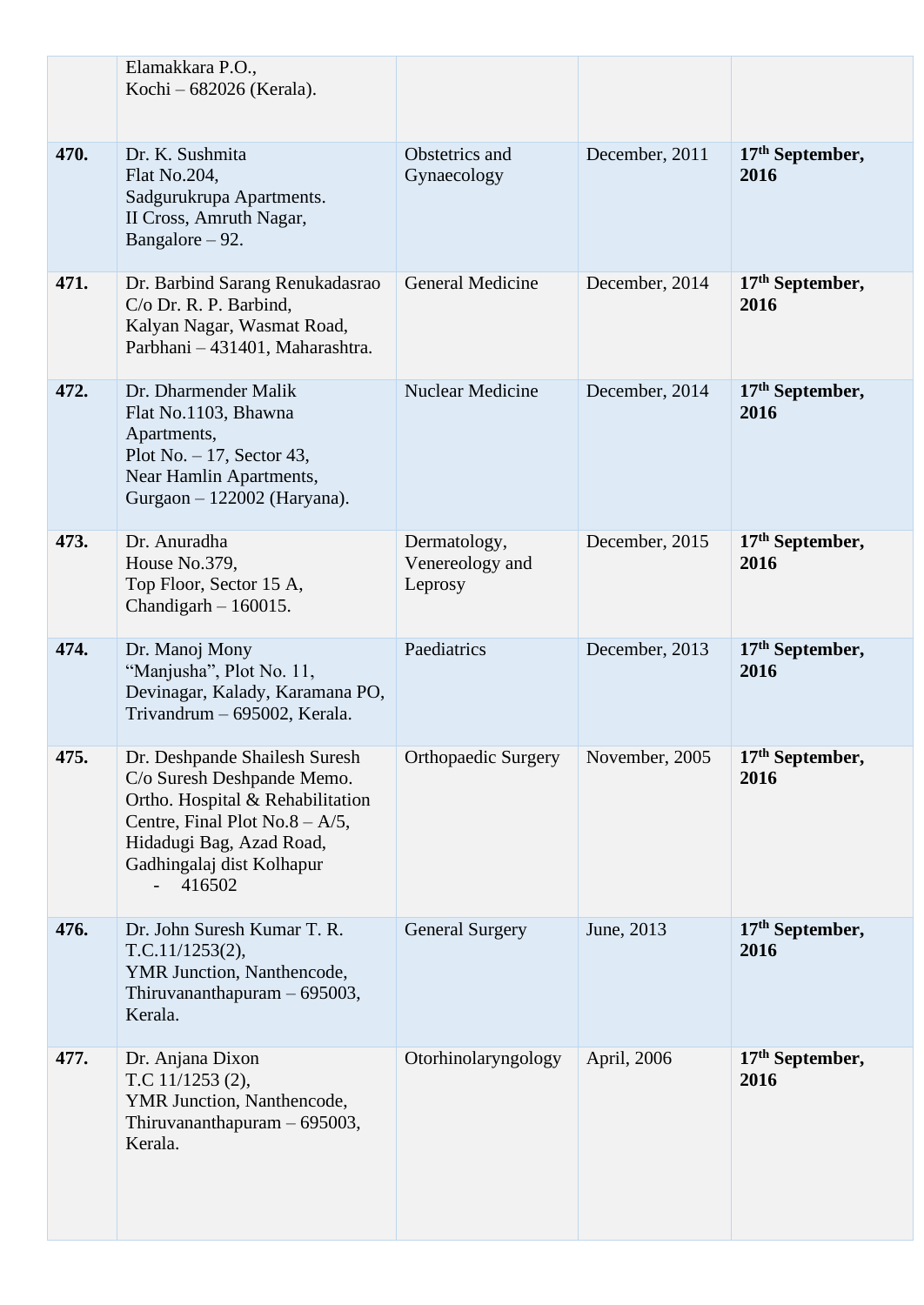|      | Elamakkara P.O.,<br>Kochi - 682026 (Kerala).                                                                                                                                                            |                                            |                |                                     |
|------|---------------------------------------------------------------------------------------------------------------------------------------------------------------------------------------------------------|--------------------------------------------|----------------|-------------------------------------|
| 470. | Dr. K. Sushmita<br>Flat No.204,<br>Sadgurukrupa Apartments.<br>II Cross, Amruth Nagar,<br>Bangalore $-92$ .                                                                                             | Obstetrics and<br>Gynaecology              | December, 2011 | $17th$ September,<br>2016           |
| 471. | Dr. Barbind Sarang Renukadasrao<br>C/o Dr. R. P. Barbind,<br>Kalyan Nagar, Wasmat Road,<br>Parbhani - 431401, Maharashtra.                                                                              | <b>General Medicine</b>                    | December, 2014 | $17th$ September,<br>2016           |
| 472. | Dr. Dharmender Malik<br>Flat No.1103, Bhawna<br>Apartments,<br>Plot No. $-17$ , Sector 43,<br>Near Hamlin Apartments,<br>Gurgaon $- 122002$ (Haryana).                                                  | <b>Nuclear Medicine</b>                    | December, 2014 | $17th$ September,<br>2016           |
| 473. | Dr. Anuradha<br>House No.379,<br>Top Floor, Sector 15 A,<br>Chandigarh $-160015$ .                                                                                                                      | Dermatology,<br>Venereology and<br>Leprosy | December, 2015 | 17 <sup>th</sup> September,<br>2016 |
| 474. | Dr. Manoj Mony<br>"Manjusha", Plot No. 11,<br>Devinagar, Kalady, Karamana PO,<br>Trivandrum - 695002, Kerala.                                                                                           | Paediatrics                                | December, 2013 | $17th$ September,<br>2016           |
| 475. | Dr. Deshpande Shailesh Suresh<br>C/o Suresh Deshpande Memo.<br>Ortho. Hospital & Rehabilitation<br>Centre, Final Plot No.8 – $A/5$ ,<br>Hidadugi Bag, Azad Road,<br>Gadhingalaj dist Kolhapur<br>416502 | <b>Orthopaedic Surgery</b>                 | November, 2005 | 17 <sup>th</sup> September,<br>2016 |
| 476. | Dr. John Suresh Kumar T. R.<br>T.C.11/1253(2),<br>YMR Junction, Nanthencode,<br>Thiruvananthapuram - 695003,<br>Kerala.                                                                                 | <b>General Surgery</b>                     | June, 2013     | $17th$ September,<br>2016           |
| 477. | Dr. Anjana Dixon<br>T.C 11/1253 (2),<br>YMR Junction, Nanthencode,<br>Thiruvananthapuram $-695003$ ,<br>Kerala.                                                                                         | Otorhinolaryngology                        | April, 2006    | $17th$ September,<br>2016           |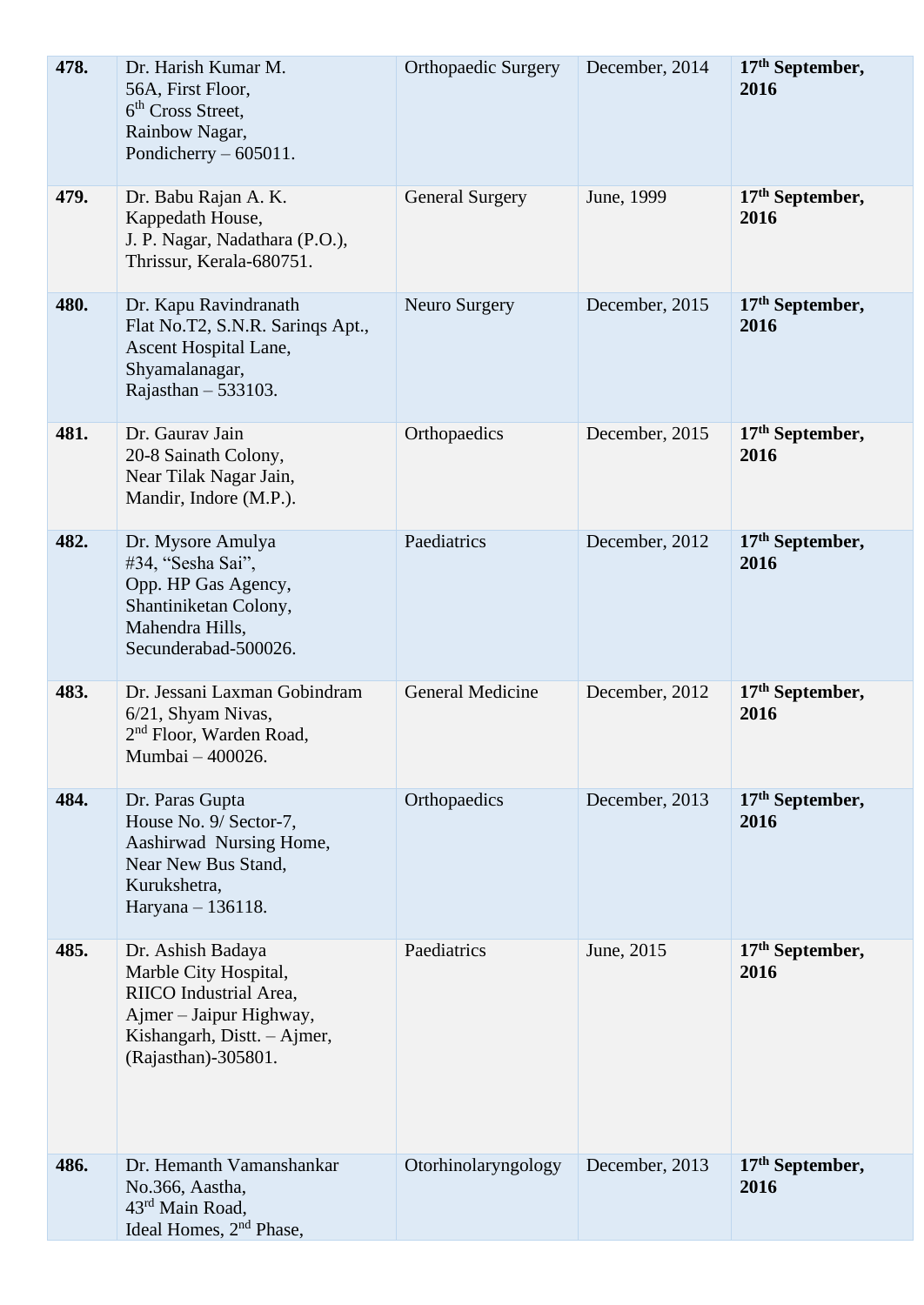| 478. | Dr. Harish Kumar M.<br>56A, First Floor,<br>6 <sup>th</sup> Cross Street.<br>Rainbow Nagar,<br>Pondicherry $-605011$ .                                | <b>Orthopaedic Surgery</b> | December, 2014 | 17th September,<br>2016             |
|------|-------------------------------------------------------------------------------------------------------------------------------------------------------|----------------------------|----------------|-------------------------------------|
| 479. | Dr. Babu Rajan A. K.<br>Kappedath House,<br>J. P. Nagar, Nadathara (P.O.),<br>Thrissur, Kerala-680751.                                                | <b>General Surgery</b>     | June, 1999     | $17th$ September,<br>2016           |
| 480. | Dr. Kapu Ravindranath<br>Flat No.T2, S.N.R. Sarings Apt.,<br>Ascent Hospital Lane,<br>Shyamalanagar,<br>Rajasthan $-533103$ .                         | <b>Neuro Surgery</b>       | December, 2015 | 17 <sup>th</sup> September,<br>2016 |
| 481. | Dr. Gaurav Jain<br>20-8 Sainath Colony,<br>Near Tilak Nagar Jain,<br>Mandir, Indore (M.P.).                                                           | Orthopaedics               | December, 2015 | $17th$ September,<br>2016           |
| 482. | Dr. Mysore Amulya<br>#34, "Sesha Sai",<br>Opp. HP Gas Agency,<br>Shantiniketan Colony,<br>Mahendra Hills,<br>Secunderabad-500026.                     | Paediatrics                | December, 2012 | 17 <sup>th</sup> September,<br>2016 |
| 483. | Dr. Jessani Laxman Gobindram<br>6/21, Shyam Nivas,<br>2 <sup>nd</sup> Floor, Warden Road,<br>Mumbai - 400026.                                         | <b>General Medicine</b>    | December, 2012 | $17th$ September,<br>2016           |
| 484. | Dr. Paras Gupta<br>House No. 9/ Sector-7,<br>Aashirwad Nursing Home,<br>Near New Bus Stand,<br>Kurukshetra,<br>Haryana - 136118.                      | Orthopaedics               | December, 2013 | $17th$ September,<br>2016           |
| 485. | Dr. Ashish Badaya<br>Marble City Hospital,<br>RIICO Industrial Area,<br>Ajmer – Jaipur Highway,<br>Kishangarh, Distt. - Ajmer,<br>(Rajasthan)-305801. | Paediatrics                | June, 2015     | $17th$ September,<br>2016           |
| 486. | Dr. Hemanth Vamanshankar<br>No.366, Aastha,<br>43rd Main Road,<br>Ideal Homes, 2 <sup>nd</sup> Phase,                                                 | Otorhinolaryngology        | December, 2013 | 17 <sup>th</sup> September,<br>2016 |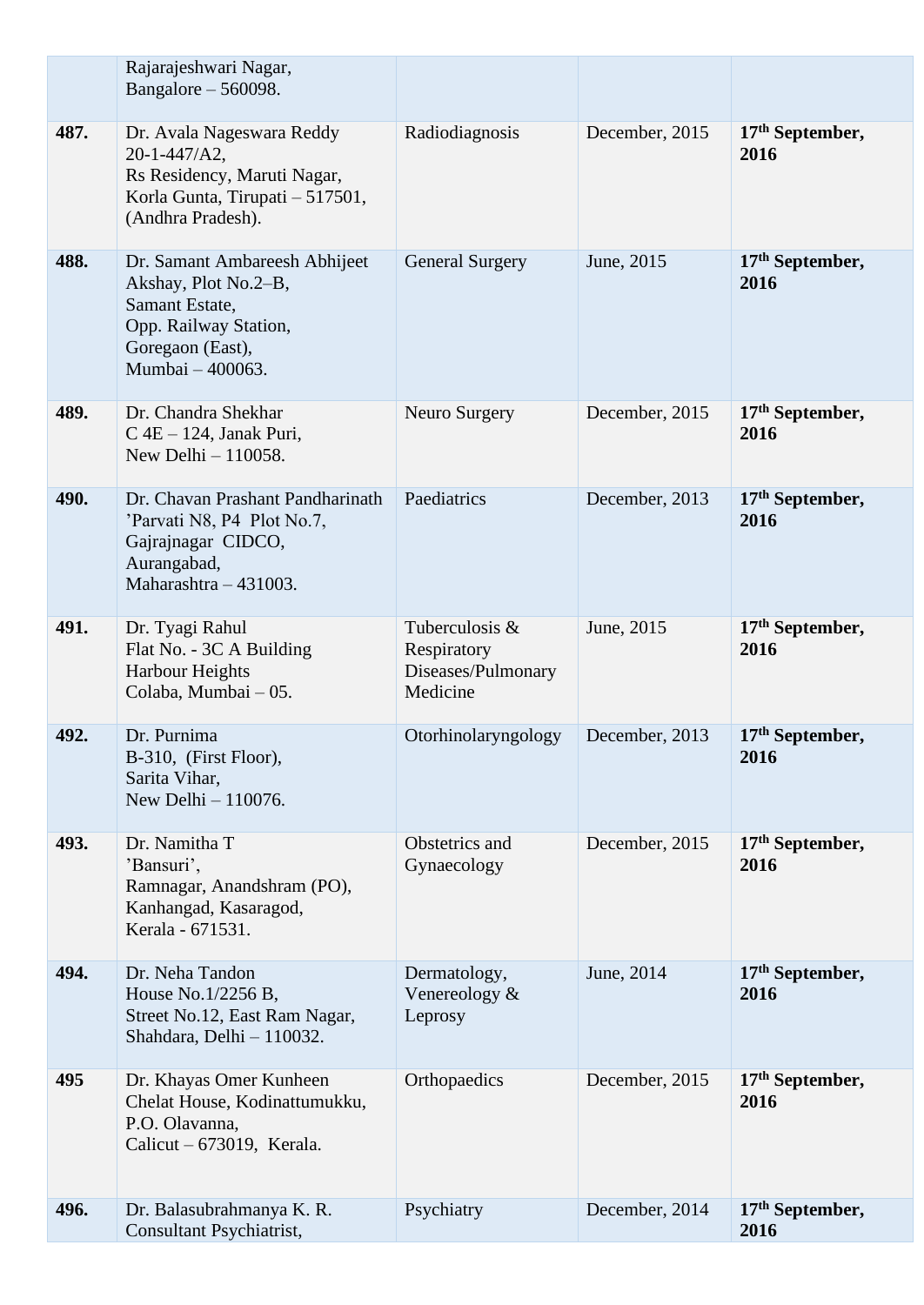|      | Rajarajeshwari Nagar,<br>Bangalore $-560098$ .                                                                                           |                                                                 |                |                                     |
|------|------------------------------------------------------------------------------------------------------------------------------------------|-----------------------------------------------------------------|----------------|-------------------------------------|
| 487. | Dr. Avala Nageswara Reddy<br>$20 - 1 - 447/A2$ ,<br>Rs Residency, Maruti Nagar,<br>Korla Gunta, Tirupati - 517501,<br>(Andhra Pradesh).  | Radiodiagnosis                                                  | December, 2015 | $17th$ September,<br>2016           |
| 488. | Dr. Samant Ambareesh Abhijeet<br>Akshay, Plot No.2-B,<br>Samant Estate,<br>Opp. Railway Station,<br>Goregaon (East),<br>Mumbai - 400063. | <b>General Surgery</b>                                          | June, 2015     | $17th$ September,<br>2016           |
| 489. | Dr. Chandra Shekhar<br>$C$ 4E $-$ 124, Janak Puri,<br>New Delhi - 110058.                                                                | Neuro Surgery                                                   | December, 2015 | $17th$ September,<br>2016           |
| 490. | Dr. Chavan Prashant Pandharinath<br>'Parvati N8, P4 Plot No.7,<br>Gajrajnagar CIDCO,<br>Aurangabad,<br>Maharashtra - 431003.             | Paediatrics                                                     | December, 2013 | $17th$ September,<br>2016           |
| 491. | Dr. Tyagi Rahul<br>Flat No. - 3C A Building<br><b>Harbour Heights</b><br>Colaba, Mumbai - 05.                                            | Tuberculosis &<br>Respiratory<br>Diseases/Pulmonary<br>Medicine | June, 2015     | $17th$ September,<br>2016           |
| 492. | Dr. Purnima<br>B-310, (First Floor),<br>Sarita Vihar,<br>New Delhi - 110076.                                                             | Otorhinolaryngology                                             | December, 2013 | 17 <sup>th</sup> September,<br>2016 |
| 493. | Dr. Namitha T<br>'Bansuri',<br>Ramnagar, Anandshram (PO),<br>Kanhangad, Kasaragod,<br>Kerala - 671531.                                   | Obstetrics and<br>Gynaecology                                   | December, 2015 | $17th$ September,<br>2016           |
| 494. | Dr. Neha Tandon<br>House No.1/2256 B,<br>Street No.12, East Ram Nagar,<br>Shahdara, Delhi - 110032.                                      | Dermatology,<br>Venereology $\&$<br>Leprosy                     | June, 2014     | $17th$ September,<br>2016           |
| 495  | Dr. Khayas Omer Kunheen<br>Chelat House, Kodinattumukku,<br>P.O. Olavanna,<br>Calicut $-673019$ , Kerala.                                | Orthopaedics                                                    | December, 2015 | $17th$ September,<br>2016           |
| 496. | Dr. Balasubrahmanya K. R.<br>Consultant Psychiatrist,                                                                                    | Psychiatry                                                      | December, 2014 | $17th$ September,<br>2016           |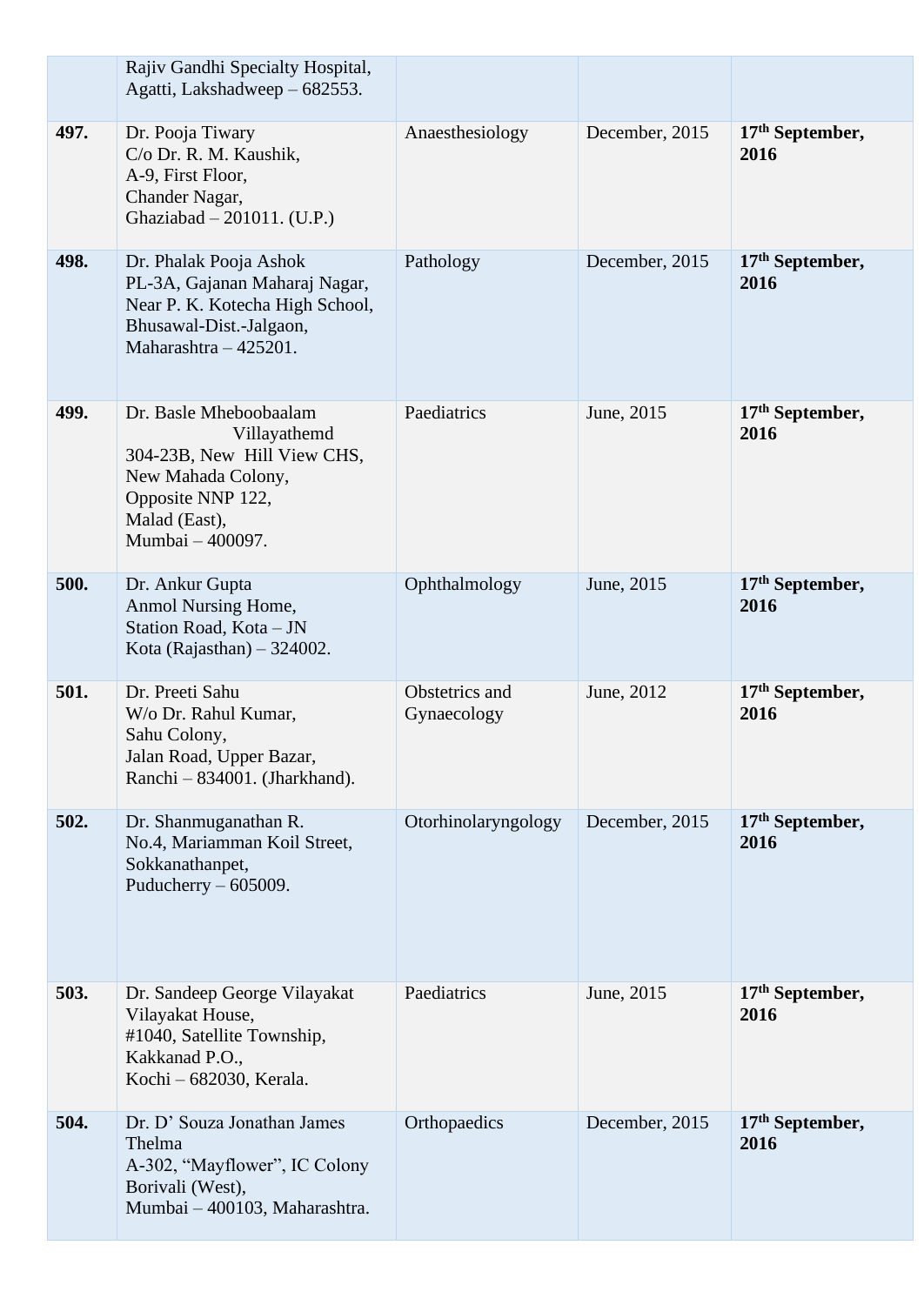|      | Rajiv Gandhi Specialty Hospital,<br>Agatti, Lakshadweep - 682553.                                                                                     |                               |                |                                     |
|------|-------------------------------------------------------------------------------------------------------------------------------------------------------|-------------------------------|----------------|-------------------------------------|
| 497. | Dr. Pooja Tiwary<br>C/o Dr. R. M. Kaushik,<br>A-9, First Floor,<br>Chander Nagar,<br>Ghaziabad - 201011. (U.P.)                                       | Anaesthesiology               | December, 2015 | 17 <sup>th</sup> September,<br>2016 |
| 498. | Dr. Phalak Pooja Ashok<br>PL-3A, Gajanan Maharaj Nagar,<br>Near P. K. Kotecha High School,<br>Bhusawal-Dist.-Jalgaon,<br>Maharashtra - 425201.        | Pathology                     | December, 2015 | $17th$ September,<br>2016           |
| 499. | Dr. Basle Mheboobaalam<br>Villayathemd<br>304-23B, New Hill View CHS,<br>New Mahada Colony,<br>Opposite NNP 122,<br>Malad (East),<br>Mumbai - 400097. | Paediatrics                   | June, 2015     | $17th$ September,<br>2016           |
| 500. | Dr. Ankur Gupta<br>Anmol Nursing Home,<br>Station Road, Kota - JN<br>Kota (Rajasthan) $-324002$ .                                                     | Ophthalmology                 | June, 2015     | $17th$ September,<br>2016           |
| 501. | Dr. Preeti Sahu<br>W/o Dr. Rahul Kumar,<br>Sahu Colony,<br>Jalan Road, Upper Bazar,<br>Ranchi - 834001. (Jharkhand).                                  | Obstetrics and<br>Gynaecology | June, 2012     | $17th$ September,<br>2016           |
| 502. | Dr. Shanmuganathan R.<br>No.4, Mariamman Koil Street,<br>Sokkanathanpet,<br>Puducherry $-605009$ .                                                    | Otorhinolaryngology           | December, 2015 | $17th$ September,<br>2016           |
| 503. | Dr. Sandeep George Vilayakat<br>Vilayakat House,<br>#1040, Satellite Township,<br>Kakkanad P.O.,<br>Kochi - 682030, Kerala.                           | Paediatrics                   | June, 2015     | $17th$ September,<br>2016           |
| 504. | Dr. D' Souza Jonathan James<br>Thelma<br>A-302, "Mayflower", IC Colony<br>Borivali (West),<br>Mumbai - 400103, Maharashtra.                           | Orthopaedics                  | December, 2015 | $17th$ September,<br>2016           |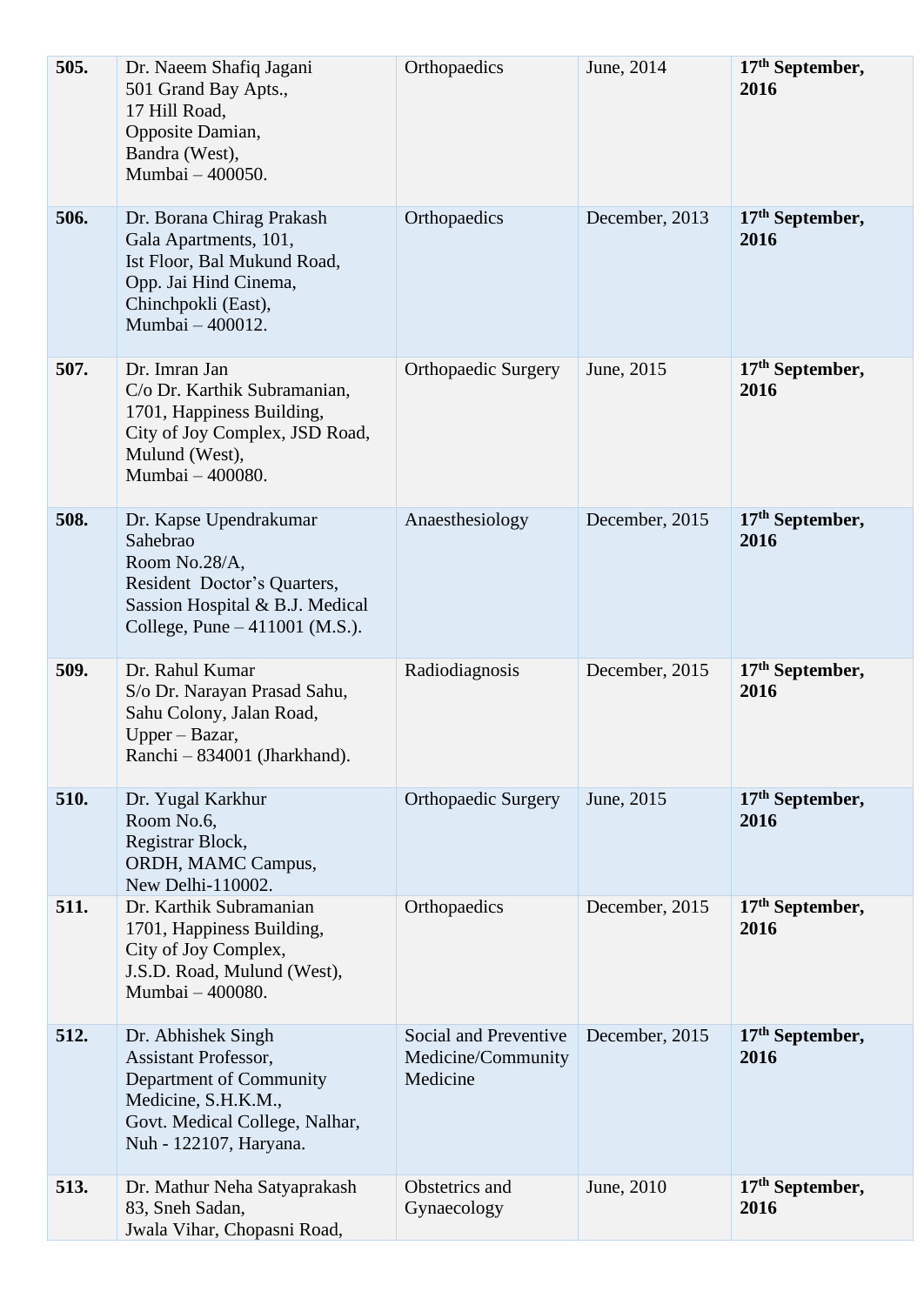| 505. | Dr. Naeem Shafiq Jagani<br>501 Grand Bay Apts.,<br>17 Hill Road,<br>Opposite Damian,<br>Bandra (West),<br>Mumbai - 400050.                                      | Orthopaedics                                            | June, 2014     | 17th September,<br>2016             |
|------|-----------------------------------------------------------------------------------------------------------------------------------------------------------------|---------------------------------------------------------|----------------|-------------------------------------|
| 506. | Dr. Borana Chirag Prakash<br>Gala Apartments, 101,<br>Ist Floor, Bal Mukund Road,<br>Opp. Jai Hind Cinema,<br>Chinchpokli (East),<br>Mumbai - 400012.           | Orthopaedics                                            | December, 2013 | $17th$ September,<br>2016           |
| 507. | Dr. Imran Jan<br>C/o Dr. Karthik Subramanian,<br>1701, Happiness Building,<br>City of Joy Complex, JSD Road,<br>Mulund (West),<br>Mumbai - 400080.              | <b>Orthopaedic Surgery</b>                              | June, 2015     | $17th$ September,<br>2016           |
| 508. | Dr. Kapse Upendrakumar<br>Sahebrao<br>Room No.28/A,<br>Resident Doctor's Quarters,<br>Sassion Hospital & B.J. Medical<br>College, Pune $-411001$ (M.S.).        | Anaesthesiology                                         | December, 2015 | $17th$ September,<br>2016           |
| 509. | Dr. Rahul Kumar<br>S/o Dr. Narayan Prasad Sahu,<br>Sahu Colony, Jalan Road,<br>Upper – Bazar,<br>Ranchi – 834001 (Jharkhand).                                   | Radiodiagnosis                                          | December, 2015 | $17th$ September,<br>2016           |
| 510. | Dr. Yugal Karkhur<br>Room No.6,<br>Registrar Block,<br>ORDH, MAMC Campus,<br>New Delhi-110002.                                                                  | <b>Orthopaedic Surgery</b>                              | June, 2015     | $17th$ September,<br>2016           |
| 511. | Dr. Karthik Subramanian<br>1701, Happiness Building,<br>City of Joy Complex,<br>J.S.D. Road, Mulund (West),<br>Mumbai - 400080.                                 | Orthopaedics                                            | December, 2015 | $17th$ September,<br>2016           |
| 512. | Dr. Abhishek Singh<br><b>Assistant Professor,</b><br>Department of Community<br>Medicine, S.H.K.M.,<br>Govt. Medical College, Nalhar,<br>Nuh - 122107, Haryana. | Social and Preventive<br>Medicine/Community<br>Medicine | December, 2015 | 17 <sup>th</sup> September,<br>2016 |
| 513. | Dr. Mathur Neha Satyaprakash<br>83, Sneh Sadan,<br>Jwala Vihar, Chopasni Road,                                                                                  | Obstetrics and<br>Gynaecology                           | June, 2010     | $17th$ September,<br>2016           |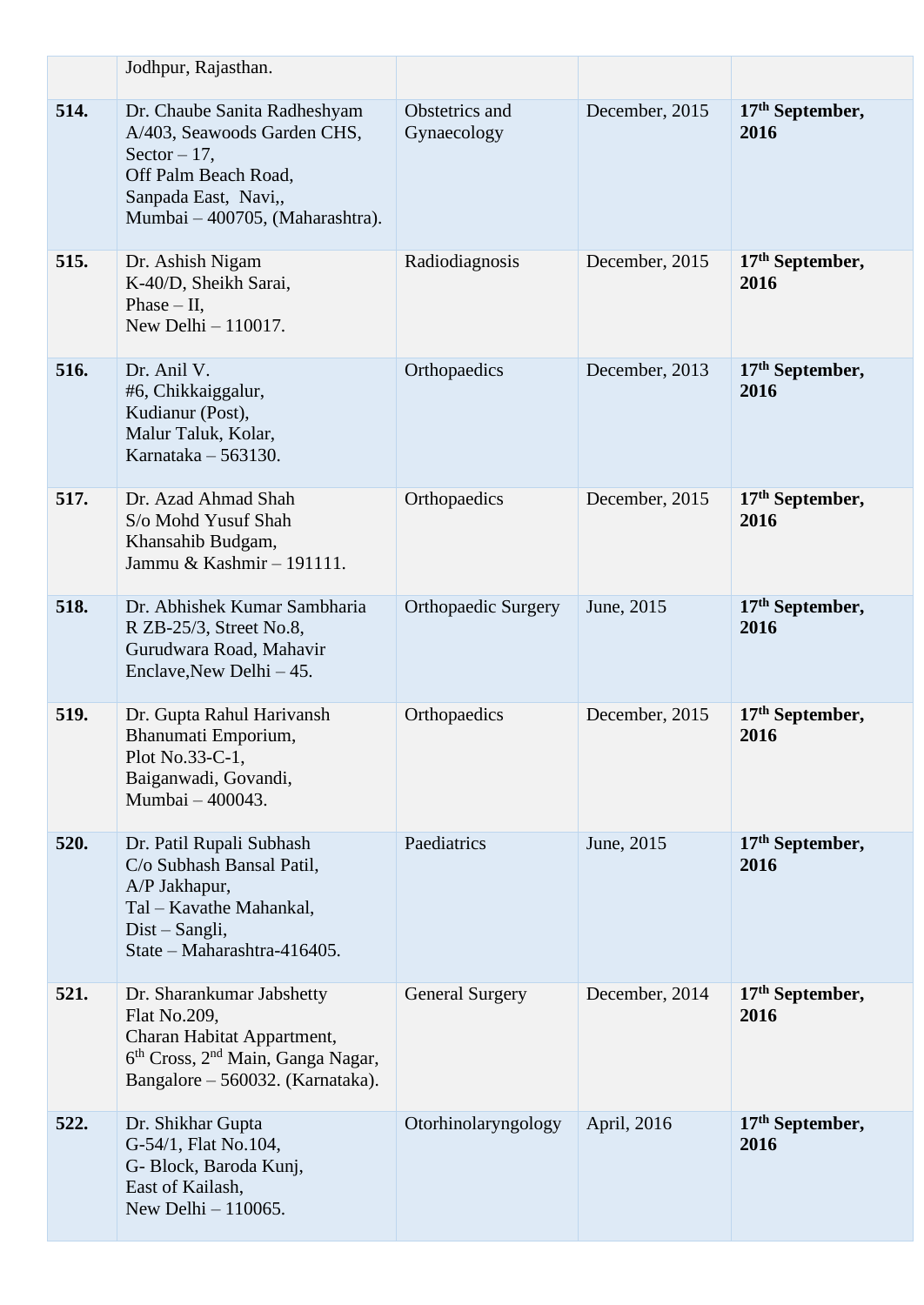|      | Jodhpur, Rajasthan.                                                                                                                                                      |                               |                |                           |
|------|--------------------------------------------------------------------------------------------------------------------------------------------------------------------------|-------------------------------|----------------|---------------------------|
| 514. | Dr. Chaube Sanita Radheshyam<br>A/403, Seawoods Garden CHS,<br>Sector $-17$ ,<br>Off Palm Beach Road,<br>Sanpada East, Navi,,<br>Mumbai - 400705, (Maharashtra).         | Obstetrics and<br>Gynaecology | December, 2015 | $17th$ September,<br>2016 |
| 515. | Dr. Ashish Nigam<br>K-40/D, Sheikh Sarai,<br>Phase $-$ II,<br>New Delhi $-110017$ .                                                                                      | Radiodiagnosis                | December, 2015 | $17th$ September,<br>2016 |
| 516. | Dr. Anil V.<br>#6, Chikkaiggalur,<br>Kudianur (Post),<br>Malur Taluk, Kolar,<br>Karnataka - 563130.                                                                      | Orthopaedics                  | December, 2013 | $17th$ September,<br>2016 |
| 517. | Dr. Azad Ahmad Shah<br>S/o Mohd Yusuf Shah<br>Khansahib Budgam,<br>Jammu & Kashmir - 191111.                                                                             | Orthopaedics                  | December, 2015 | $17th$ September,<br>2016 |
| 518. | Dr. Abhishek Kumar Sambharia<br>R ZB-25/3, Street No.8,<br>Gurudwara Road, Mahavir<br>Enclave, New Delhi - 45.                                                           | <b>Orthopaedic Surgery</b>    | June, 2015     | $17th$ September,<br>2016 |
| 519. | Dr. Gupta Rahul Harivansh<br>Bhanumati Emporium,<br>Plot No.33-C-1,<br>Baiganwadi, Govandi,<br>Mumbai - 400043.                                                          | Orthopaedics                  | December, 2015 | $17th$ September,<br>2016 |
| 520. | Dr. Patil Rupali Subhash<br>C/o Subhash Bansal Patil,<br>A/P Jakhapur,<br>Tal - Kavathe Mahankal,<br>Dist – Sangli,<br>State - Maharashtra-416405.                       | Paediatrics                   | June, 2015     | $17th$ September,<br>2016 |
| 521. | Dr. Sharankumar Jabshetty<br>Flat No.209,<br>Charan Habitat Appartment,<br>6 <sup>th</sup> Cross, 2 <sup>nd</sup> Main, Ganga Nagar,<br>Bangalore – 560032. (Karnataka). | <b>General Surgery</b>        | December, 2014 | $17th$ September,<br>2016 |
| 522. | Dr. Shikhar Gupta<br>G-54/1, Flat No.104,<br>G- Block, Baroda Kunj,<br>East of Kailash,<br>New Delhi - 110065.                                                           | Otorhinolaryngology           | April, 2016    | $17th$ September,<br>2016 |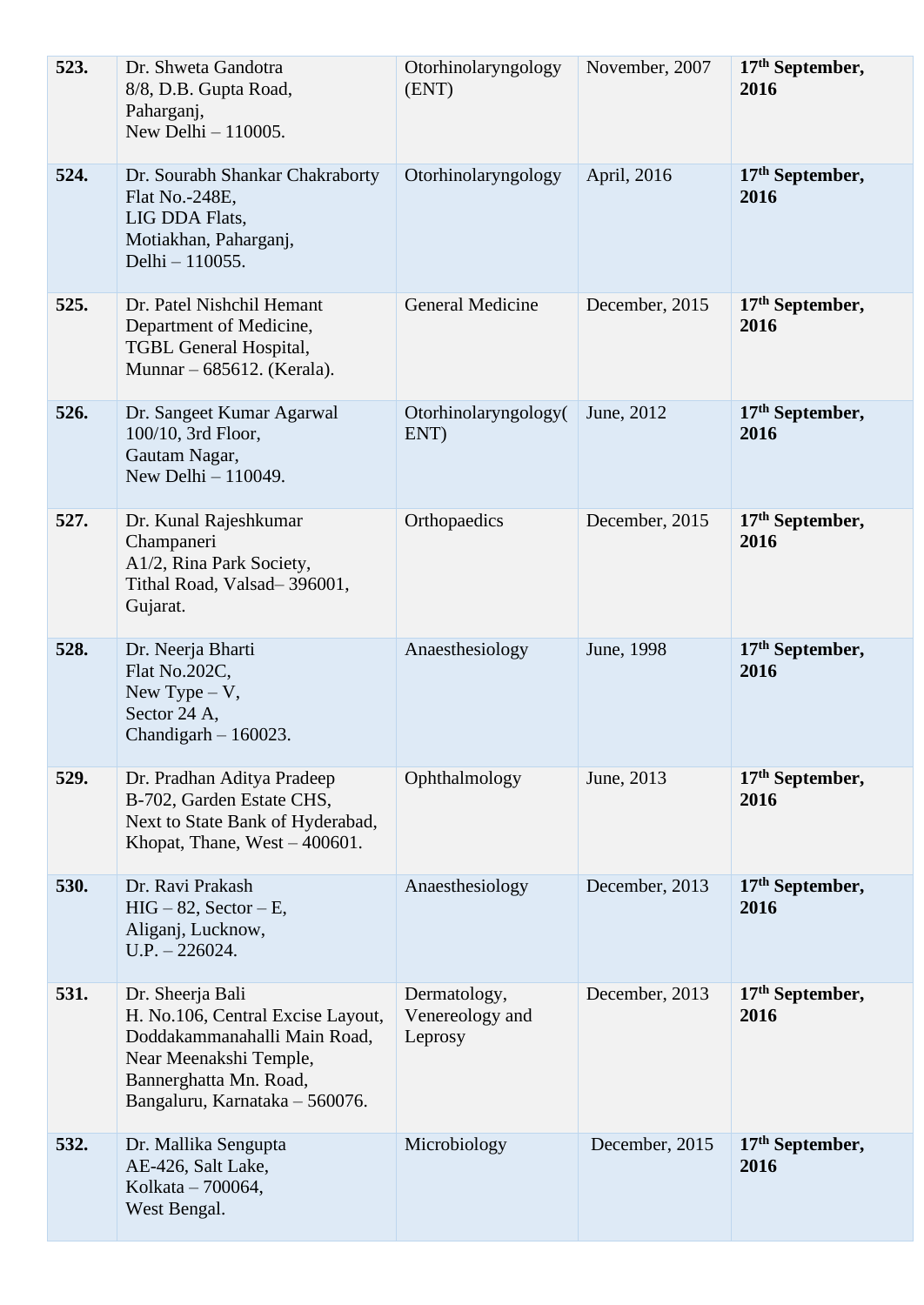| 523. | Dr. Shweta Gandotra<br>8/8, D.B. Gupta Road,<br>Paharganj,<br>New Delhi $-110005$ .                                                                                         | Otorhinolaryngology<br>(ENT)               | November, 2007 | 17 <sup>th</sup> September,<br>2016 |
|------|-----------------------------------------------------------------------------------------------------------------------------------------------------------------------------|--------------------------------------------|----------------|-------------------------------------|
| 524. | Dr. Sourabh Shankar Chakraborty<br>Flat No.-248E,<br>LIG DDA Flats,<br>Motiakhan, Paharganj,<br>Delhi - 110055.                                                             | Otorhinolaryngology                        | April, 2016    | $17th$ September,<br>2016           |
| 525. | Dr. Patel Nishchil Hemant<br>Department of Medicine,<br>TGBL General Hospital,<br>Munnar – 685612. (Kerala).                                                                | General Medicine                           | December, 2015 | $17th$ September,<br>2016           |
| 526. | Dr. Sangeet Kumar Agarwal<br>100/10, 3rd Floor,<br>Gautam Nagar,<br>New Delhi $-110049$ .                                                                                   | Otorhinolaryngology(<br>ENT)               | June, 2012     | 17 <sup>th</sup> September,<br>2016 |
| 527. | Dr. Kunal Rajeshkumar<br>Champaneri<br>A1/2, Rina Park Society,<br>Tithal Road, Valsad-396001,<br>Gujarat.                                                                  | Orthopaedics                               | December, 2015 | $17th$ September,<br>2016           |
| 528. | Dr. Neerja Bharti<br>Flat No.202C,<br>New Type $-V$ ,<br>Sector 24 A,<br>Chandigarh $-160023$ .                                                                             | Anaesthesiology                            | June, 1998     | $17th$ September,<br>2016           |
| 529. | Dr. Pradhan Aditya Pradeep<br>B-702, Garden Estate CHS,<br>Next to State Bank of Hyderabad,<br>Khopat, Thane, $West - 400601$ .                                             | Ophthalmology                              | June, 2013     | $17th$ September,<br>2016           |
| 530. | Dr. Ravi Prakash<br>$HIG-82$ , Sector – E,<br>Aliganj, Lucknow,<br>$U.P. - 226024.$                                                                                         | Anaesthesiology                            | December, 2013 | 17 <sup>th</sup> September,<br>2016 |
| 531. | Dr. Sheerja Bali<br>H. No.106, Central Excise Layout,<br>Doddakammanahalli Main Road,<br>Near Meenakshi Temple,<br>Bannerghatta Mn. Road,<br>Bangaluru, Karnataka - 560076. | Dermatology,<br>Venereology and<br>Leprosy | December, 2013 | $17th$ September,<br>2016           |
| 532. | Dr. Mallika Sengupta<br>AE-426, Salt Lake,<br>Kolkata - 700064,<br>West Bengal.                                                                                             | Microbiology                               | December, 2015 | $17th$ September,<br>2016           |